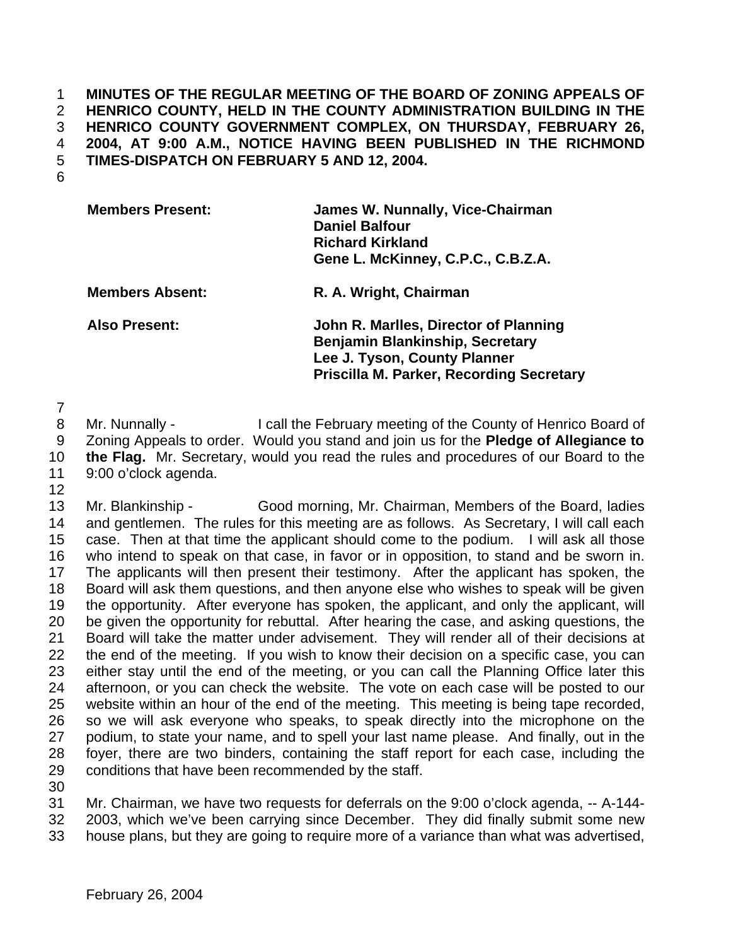## **MINUTES OF THE REGULAR MEETING OF THE BOARD OF ZONING APPEALS OF HENRICO COUNTY, HELD IN THE COUNTY ADMINISTRATION BUILDING IN THE HENRICO COUNTY GOVERNMENT COMPLEX, ON THURSDAY, FEBRUARY 26, 2004, AT 9:00 A.M., NOTICE HAVING BEEN PUBLISHED IN THE RICHMOND TIMES-DISPATCH ON FEBRUARY 5 AND 12, 2004.**

| <b>Members Present:</b> | James W. Nunnally, Vice-Chairman<br><b>Daniel Balfour</b><br><b>Richard Kirkland</b><br>Gene L. McKinney, C.P.C., C.B.Z.A.                                  |
|-------------------------|-------------------------------------------------------------------------------------------------------------------------------------------------------------|
| <b>Members Absent:</b>  | R. A. Wright, Chairman                                                                                                                                      |
| <b>Also Present:</b>    | John R. Marlles, Director of Planning<br>Benjamin Blankinship, Secretary<br>Lee J. Tyson, County Planner<br><b>Priscilla M. Parker, Recording Secretary</b> |

8 Mr. Nunnally - I call the February meeting of the County of Henrico Board of Zoning Appeals to order. Would you stand and join us for the **Pledge of Allegiance to the Flag.** Mr. Secretary, would you read the rules and procedures of our Board to the 9:00 o'clock agenda.

 Mr. Blankinship - Good morning, Mr. Chairman, Members of the Board, ladies and gentlemen. The rules for this meeting are as follows. As Secretary, I will call each case. Then at that time the applicant should come to the podium. I will ask all those who intend to speak on that case, in favor or in opposition, to stand and be sworn in. The applicants will then present their testimony. After the applicant has spoken, the Board will ask them questions, and then anyone else who wishes to speak will be given the opportunity. After everyone has spoken, the applicant, and only the applicant, will be given the opportunity for rebuttal. After hearing the case, and asking questions, the Board will take the matter under advisement. They will render all of their decisions at the end of the meeting. If you wish to know their decision on a specific case, you can either stay until the end of the meeting, or you can call the Planning Office later this afternoon, or you can check the website. The vote on each case will be posted to our website within an hour of the end of the meeting. This meeting is being tape recorded, so we will ask everyone who speaks, to speak directly into the microphone on the podium, to state your name, and to spell your last name please. And finally, out in the foyer, there are two binders, containing the staff report for each case, including the conditions that have been recommended by the staff.

 Mr. Chairman, we have two requests for deferrals on the 9:00 o'clock agenda, -- A-144- 2003, which we've been carrying since December. They did finally submit some new

house plans, but they are going to require more of a variance than what was advertised,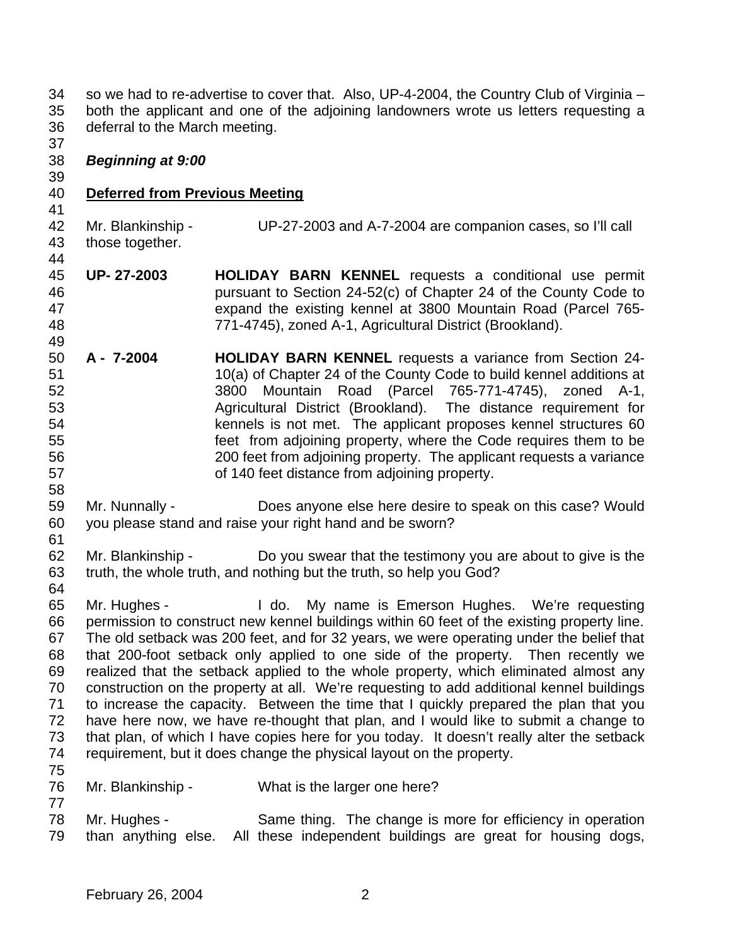so we had to re-advertise to cover that. Also, UP-4-2004, the Country Club of Virginia – both the applicant and one of the adjoining landowners wrote us letters requesting a deferral to the March meeting.

## *Beginning at 9:00*

## **Deferred from Previous Meeting**

Mr. Blankinship - UP-27-2003 and A-7-2004 are companion cases, so I'll call

- those together.
- **UP- 27-2003 HOLIDAY BARN KENNEL** requests a conditional use permit pursuant to Section 24-52(c) of Chapter 24 of the County Code to expand the existing kennel at 3800 Mountain Road (Parcel 765- 771-4745), zoned A-1, Agricultural District (Brookland).
- **A 7-2004 HOLIDAY BARN KENNEL** requests a variance from Section 24- 10(a) of Chapter 24 of the County Code to build kennel additions at 3800 Mountain Road (Parcel 765-771-4745), zoned A-1, Agricultural District (Brookland). The distance requirement for kennels is not met. The applicant proposes kennel structures 60 feet from adjoining property, where the Code requires them to be 200 feet from adjoining property. The applicant requests a variance of 140 feet distance from adjoining property.
- Mr. Nunnally Does anyone else here desire to speak on this case? Would you please stand and raise your right hand and be sworn?
- 62 Mr. Blankinship - Do you swear that the testimony you are about to give is the truth, the whole truth, and nothing but the truth, so help you God?
- Mr. Hughes I do. My name is Emerson Hughes. We're requesting permission to construct new kennel buildings within 60 feet of the existing property line. The old setback was 200 feet, and for 32 years, we were operating under the belief that that 200-foot setback only applied to one side of the property. Then recently we realized that the setback applied to the whole property, which eliminated almost any construction on the property at all. We're requesting to add additional kennel buildings to increase the capacity. Between the time that I quickly prepared the plan that you have here now, we have re-thought that plan, and I would like to submit a change to that plan, of which I have copies here for you today. It doesn't really alter the setback requirement, but it does change the physical layout on the property.
- Mr. Blankinship What is the larger one here?
- Mr. Hughes Same thing. The change is more for efficiency in operation than anything else. All these independent buildings are great for housing dogs,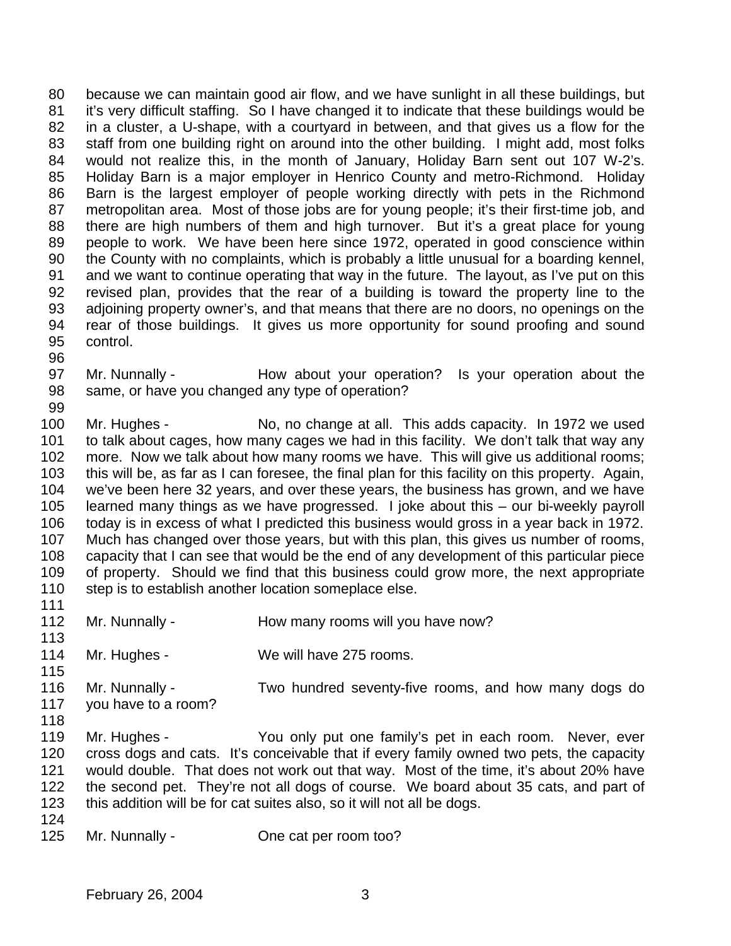because we can maintain good air flow, and we have sunlight in all these buildings, but it's very difficult staffing. So I have changed it to indicate that these buildings would be in a cluster, a U-shape, with a courtyard in between, and that gives us a flow for the staff from one building right on around into the other building. I might add, most folks would not realize this, in the month of January, Holiday Barn sent out 107 W-2's. Holiday Barn is a major employer in Henrico County and metro-Richmond. Holiday Barn is the largest employer of people working directly with pets in the Richmond metropolitan area. Most of those jobs are for young people; it's their first-time job, and there are high numbers of them and high turnover. But it's a great place for young people to work. We have been here since 1972, operated in good conscience within the County with no complaints, which is probably a little unusual for a boarding kennel, and we want to continue operating that way in the future. The layout, as I've put on this revised plan, provides that the rear of a building is toward the property line to the adjoining property owner's, and that means that there are no doors, no openings on the rear of those buildings. It gives us more opportunity for sound proofing and sound control.

- Mr. Nunnally How about your operation? Is your operation about the same, or have you changed any type of operation?
- 100 Mr. Hughes No, no change at all. This adds capacity. In 1972 we used to talk about cages, how many cages we had in this facility. We don't talk that way any more. Now we talk about how many rooms we have. This will give us additional rooms; this will be, as far as I can foresee, the final plan for this facility on this property. Again, we've been here 32 years, and over these years, the business has grown, and we have learned many things as we have progressed. I joke about this – our bi-weekly payroll today is in excess of what I predicted this business would gross in a year back in 1972. Much has changed over those years, but with this plan, this gives us number of rooms, capacity that I can see that would be the end of any development of this particular piece of property. Should we find that this business could grow more, the next appropriate 110 step is to establish another location someplace else.
- 112 Mr. Nunnally - How many rooms will you have now? Mr. Hughes - We will have 275 rooms. Mr. Nunnally - Two hundred seventy-five rooms, and how many dogs do you have to a room? Mr. Hughes - You only put one family's pet in each room. Never, ever cross dogs and cats. It's conceivable that if every family owned two pets, the capacity would double. That does not work out that way. Most of the time, it's about 20% have the second pet. They're not all dogs of course. We board about 35 cats, and part of this addition will be for cat suites also, so it will not all be dogs. Mr. Nunnally - One cat per room too?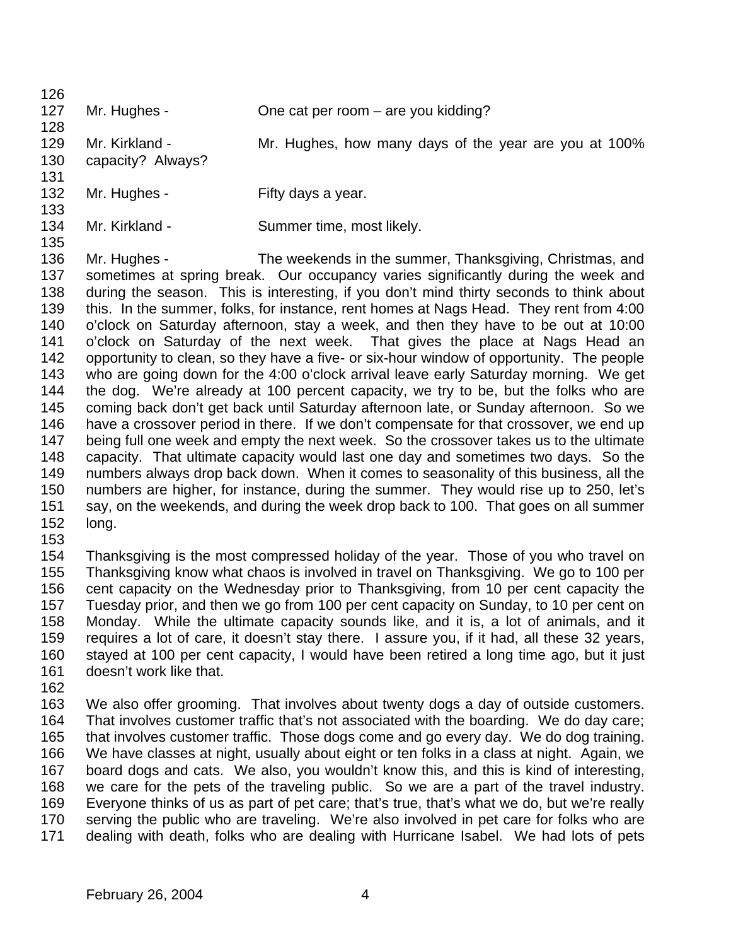| 126 |                   |                                                                                          |
|-----|-------------------|------------------------------------------------------------------------------------------|
| 127 | Mr. Hughes -      | One cat per room – are you kidding?                                                      |
| 128 |                   |                                                                                          |
| 129 | Mr. Kirkland -    | Mr. Hughes, how many days of the year are you at 100%                                    |
| 130 | capacity? Always? |                                                                                          |
| 131 |                   |                                                                                          |
| 132 | Mr. Hughes -      | Fifty days a year.                                                                       |
| 133 |                   |                                                                                          |
| 134 | Mr. Kirkland -    | Summer time, most likely.                                                                |
| 135 |                   |                                                                                          |
| 136 | Mr. Hughes -      | The weekends in the summer, Thanksgiving, Christmas, and                                 |
| 137 |                   | sometimes at spring break. Our occupancy varies significantly during the week and        |
| 138 |                   | during the season. This is interesting, if you don't mind thirty seconds to think about  |
| 139 |                   | this. In the summer, folks, for instance, rent homes at Nags Head. They rent from 4:00   |
| 140 |                   | o'clock on Saturday afternoon, stay a week, and then they have to be out at 10:00        |
| 141 |                   | o'clock on Saturday of the next week. That gives the place at Nags Head an               |
| 142 |                   | opportunity to clean, so they have a five- or six-hour window of opportunity. The people |

 who are going down for the 4:00 o'clock arrival leave early Saturday morning. We get the dog. We're already at 100 percent capacity, we try to be, but the folks who are coming back don't get back until Saturday afternoon late, or Sunday afternoon. So we have a crossover period in there. If we don't compensate for that crossover, we end up being full one week and empty the next week. So the crossover takes us to the ultimate capacity. That ultimate capacity would last one day and sometimes two days. So the numbers always drop back down. When it comes to seasonality of this business, all the numbers are higher, for instance, during the summer. They would rise up to 250, let's say, on the weekends, and during the week drop back to 100. That goes on all summer long.

 Thanksgiving is the most compressed holiday of the year. Those of you who travel on Thanksgiving know what chaos is involved in travel on Thanksgiving. We go to 100 per cent capacity on the Wednesday prior to Thanksgiving, from 10 per cent capacity the Tuesday prior, and then we go from 100 per cent capacity on Sunday, to 10 per cent on Monday. While the ultimate capacity sounds like, and it is, a lot of animals, and it requires a lot of care, it doesn't stay there. I assure you, if it had, all these 32 years, stayed at 100 per cent capacity, I would have been retired a long time ago, but it just doesn't work like that.

 We also offer grooming. That involves about twenty dogs a day of outside customers. That involves customer traffic that's not associated with the boarding. We do day care; that involves customer traffic. Those dogs come and go every day. We do dog training. We have classes at night, usually about eight or ten folks in a class at night. Again, we board dogs and cats. We also, you wouldn't know this, and this is kind of interesting, we care for the pets of the traveling public. So we are a part of the travel industry. Everyone thinks of us as part of pet care; that's true, that's what we do, but we're really serving the public who are traveling. We're also involved in pet care for folks who are dealing with death, folks who are dealing with Hurricane Isabel. We had lots of pets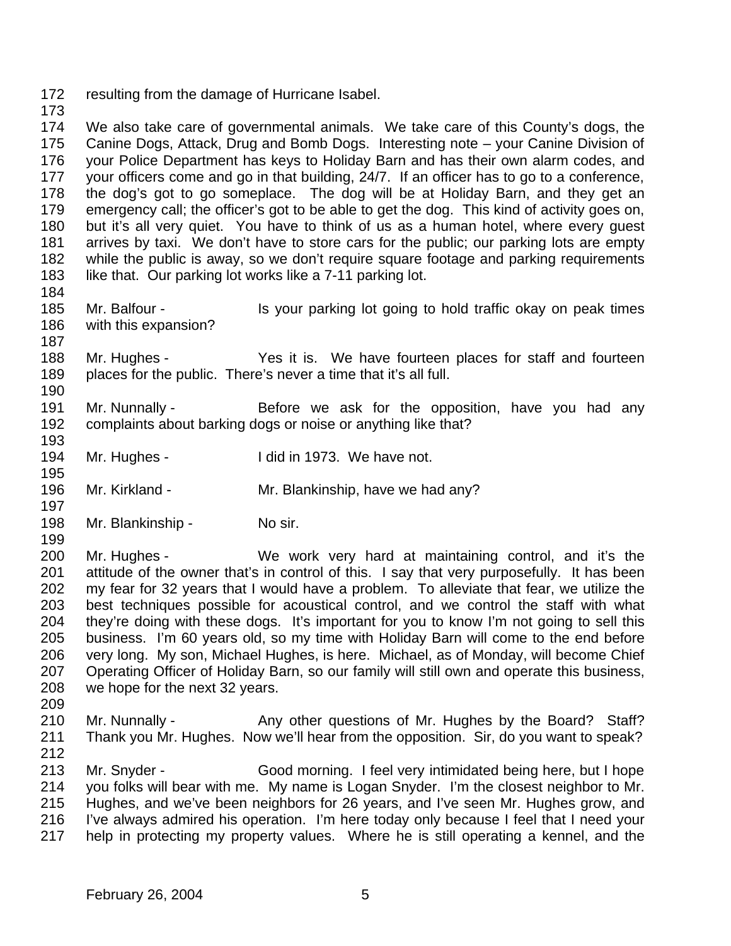- resulting from the damage of Hurricane Isabel.
- 

 We also take care of governmental animals. We take care of this County's dogs, the Canine Dogs, Attack, Drug and Bomb Dogs. Interesting note – your Canine Division of your Police Department has keys to Holiday Barn and has their own alarm codes, and your officers come and go in that building, 24/7. If an officer has to go to a conference, the dog's got to go someplace. The dog will be at Holiday Barn, and they get an emergency call; the officer's got to be able to get the dog. This kind of activity goes on, but it's all very quiet. You have to think of us as a human hotel, where every guest arrives by taxi. We don't have to store cars for the public; our parking lots are empty while the public is away, so we don't require square footage and parking requirements 183 like that. Our parking lot works like a 7-11 parking lot.

- Mr. Balfour Is your parking lot going to hold traffic okay on peak times with this expansion?
- Mr. Hughes Yes it is. We have fourteen places for staff and fourteen places for the public. There's never a time that it's all full.
- 191 Mr. Nunnally Before we ask for the opposition, have you had any complaints about barking dogs or noise or anything like that?
- 194 Mr. Hughes I did in 1973. We have not.
- Mr. Kirkland Mr. Blankinship, have we had any?
- 198 Mr. Blankinship No sir.
- Mr. Hughes - We work very hard at maintaining control, and it's the attitude of the owner that's in control of this. I say that very purposefully. It has been my fear for 32 years that I would have a problem. To alleviate that fear, we utilize the best techniques possible for acoustical control, and we control the staff with what they're doing with these dogs. It's important for you to know I'm not going to sell this business. I'm 60 years old, so my time with Holiday Barn will come to the end before very long. My son, Michael Hughes, is here. Michael, as of Monday, will become Chief Operating Officer of Holiday Barn, so our family will still own and operate this business, we hope for the next 32 years.
- 210 Mr. Nunnally - Any other questions of Mr. Hughes by the Board? Staff? Thank you Mr. Hughes. Now we'll hear from the opposition. Sir, do you want to speak? Mr. Snyder - Good morning. I feel very intimidated being here, but I hope you folks will bear with me. My name is Logan Snyder. I'm the closest neighbor to Mr.
- Hughes, and we've been neighbors for 26 years, and I've seen Mr. Hughes grow, and I've always admired his operation. I'm here today only because I feel that I need your help in protecting my property values. Where he is still operating a kennel, and the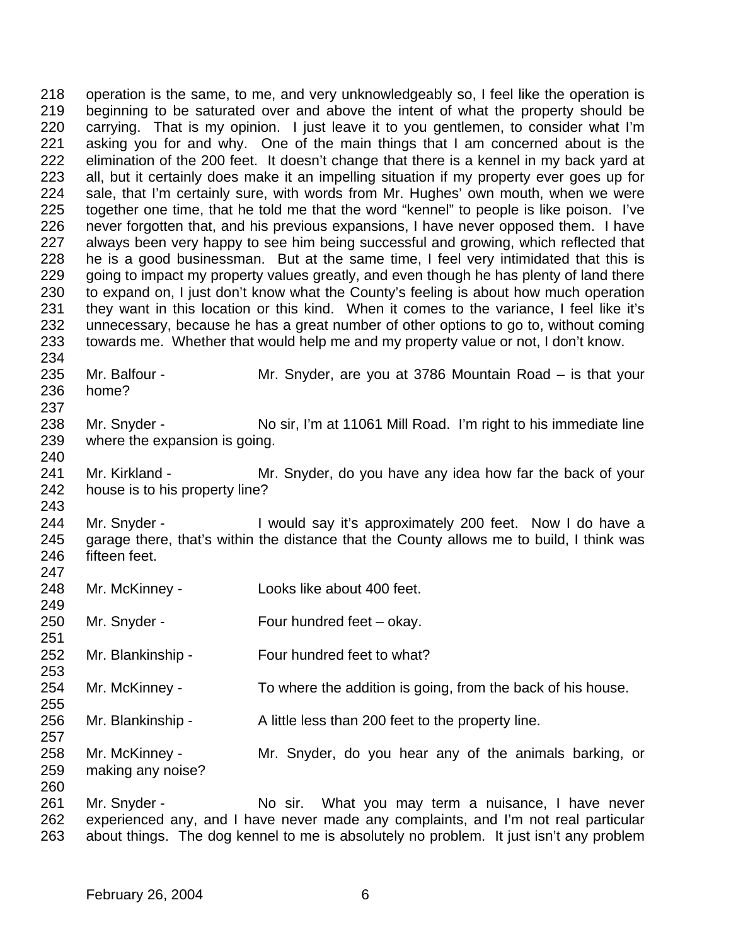operation is the same, to me, and very unknowledgeably so, I feel like the operation is beginning to be saturated over and above the intent of what the property should be carrying. That is my opinion. I just leave it to you gentlemen, to consider what I'm asking you for and why. One of the main things that I am concerned about is the elimination of the 200 feet. It doesn't change that there is a kennel in my back yard at all, but it certainly does make it an impelling situation if my property ever goes up for sale, that I'm certainly sure, with words from Mr. Hughes' own mouth, when we were together one time, that he told me that the word "kennel" to people is like poison. I've never forgotten that, and his previous expansions, I have never opposed them. I have always been very happy to see him being successful and growing, which reflected that he is a good businessman. But at the same time, I feel very intimidated that this is 229 going to impact my property values greatly, and even though he has plenty of land there to expand on, I just don't know what the County's feeling is about how much operation they want in this location or this kind. When it comes to the variance, I feel like it's unnecessary, because he has a great number of other options to go to, without coming towards me. Whether that would help me and my property value or not, I don't know. Mr. Balfour - Mr. Snyder, are you at 3786 Mountain Road – is that your home? 

238 Mr. Snyder - No sir, I'm at 11061 Mill Road. I'm right to his immediate line where the expansion is going. 

 Mr. Kirkland - Mr. Snyder, do you have any idea how far the back of your house is to his property line?

244 Mr. Snyder - I would say it's approximately 200 feet. Now I do have a garage there, that's within the distance that the County allows me to build, I think was fifteen feet. 

- Mr. McKinney Looks like about 400 feet.
- Mr. Snyder Four hundred feet okay.
- Mr. Blankinship Four hundred feet to what?
- Mr. McKinney To where the addition is going, from the back of his house.
- 256 Mr. Blankinship A little less than 200 feet to the property line.
- Mr. McKinney Mr. Snyder, do you hear any of the animals barking, or making any noise?
- 261 Mr. Snyder No sir. What you may term a nuisance, I have never experienced any, and I have never made any complaints, and I'm not real particular about things. The dog kennel to me is absolutely no problem. It just isn't any problem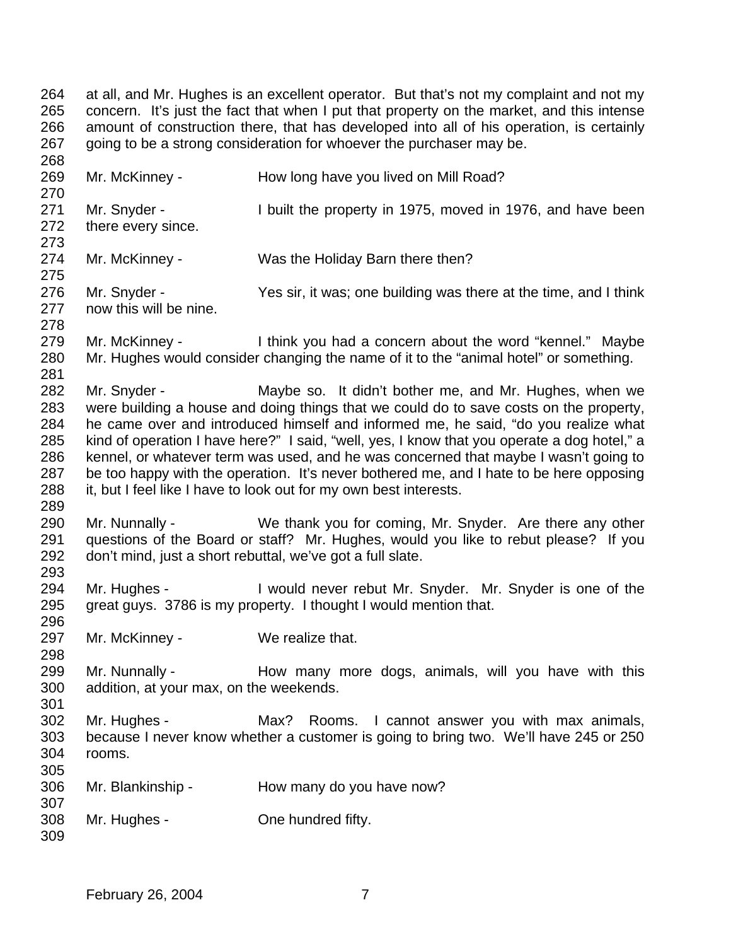at all, and Mr. Hughes is an excellent operator. But that's not my complaint and not my concern. It's just the fact that when I put that property on the market, and this intense amount of construction there, that has developed into all of his operation, is certainly 267 going to be a strong consideration for whoever the purchaser may be. 269 Mr. McKinney - How long have you lived on Mill Road? 

 Mr. Snyder - I built the property in 1975, moved in 1976, and have been there every since.

Mr. McKinney - Was the Holiday Barn there then?

276 Mr. Snyder - Yes sir, it was; one building was there at the time, and I think now this will be nine. 

 Mr. McKinney - I think you had a concern about the word "kennel." Maybe Mr. Hughes would consider changing the name of it to the "animal hotel" or something. 

282 Mr. Snyder - Maybe so. It didn't bother me, and Mr. Hughes, when we were building a house and doing things that we could do to save costs on the property, he came over and introduced himself and informed me, he said, "do you realize what kind of operation I have here?" I said, "well, yes, I know that you operate a dog hotel," a kennel, or whatever term was used, and he was concerned that maybe I wasn't going to be too happy with the operation. It's never bothered me, and I hate to be here opposing it, but I feel like I have to look out for my own best interests.

 Mr. Nunnally - We thank you for coming, Mr. Snyder. Are there any other questions of the Board or staff? Mr. Hughes, would you like to rebut please? If you don't mind, just a short rebuttal, we've got a full slate. 

 Mr. Hughes - I would never rebut Mr. Snyder. Mr. Snyder is one of the great guys. 3786 is my property. I thought I would mention that.

297 Mr. McKinney - We realize that.

299 Mr. Nunnally - How many more dogs, animals, will you have with this addition, at your max, on the weekends.

 Mr. Hughes - Max? Rooms. I cannot answer you with max animals, because I never know whether a customer is going to bring two. We'll have 245 or 250 rooms. 

 Mr. Blankinship - How many do you have now? 

 Mr. Hughes - One hundred fifty.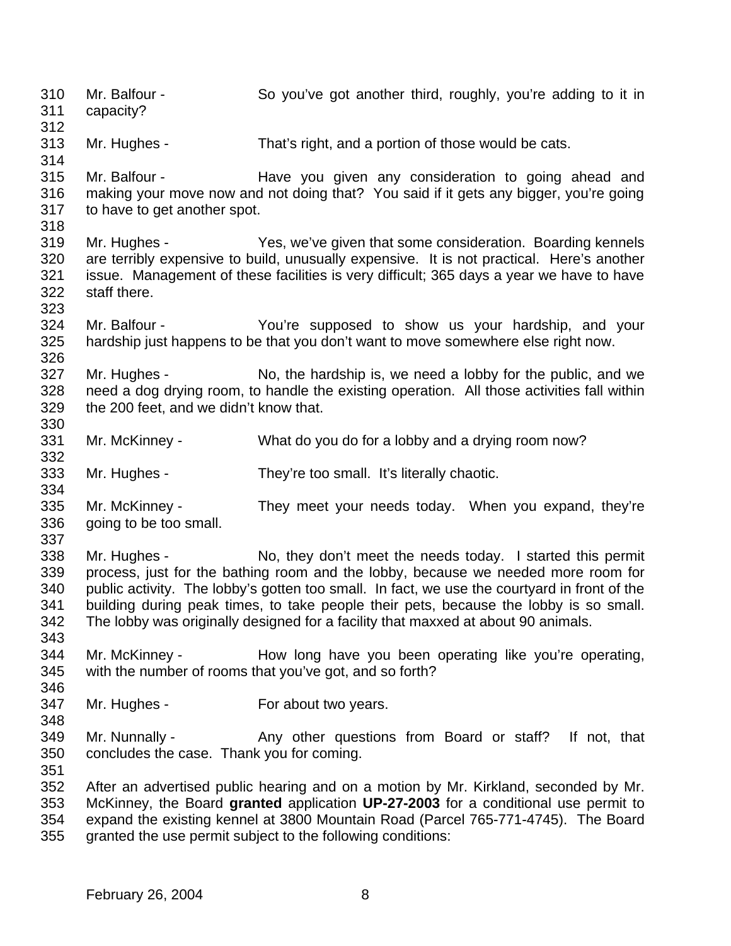Mr. Balfour - So you've got another third, roughly, you're adding to it in capacity? Mr. Hughes - That's right, and a portion of those would be cats. Mr. Balfour - Have you given any consideration to going ahead and making your move now and not doing that? You said if it gets any bigger, you're going to have to get another spot. Mr. Hughes - Yes, we've given that some consideration. Boarding kennels are terribly expensive to build, unusually expensive. It is not practical. Here's another issue. Management of these facilities is very difficult; 365 days a year we have to have staff there. Mr. Balfour - You're supposed to show us your hardship, and your hardship just happens to be that you don't want to move somewhere else right now. 327 Mr. Hughes - No, the hardship is, we need a lobby for the public, and we need a dog drying room, to handle the existing operation. All those activities fall within the 200 feet, and we didn't know that. Mr. McKinney - What do you do for a lobby and a drying room now? Mr. Hughes - They're too small. It's literally chaotic. Mr. McKinney - They meet your needs today. When you expand, they're 336 going to be too small. Mr. Hughes - No, they don't meet the needs today. I started this permit process, just for the bathing room and the lobby, because we needed more room for public activity. The lobby's gotten too small. In fact, we use the courtyard in front of the building during peak times, to take people their pets, because the lobby is so small. The lobby was originally designed for a facility that maxxed at about 90 animals. Mr. McKinney - How long have you been operating like you're operating, with the number of rooms that you've got, and so forth? Mr. Hughes - For about two years. 349 Mr. Nunnally - Any other questions from Board or staff? If not, that concludes the case. Thank you for coming. After an advertised public hearing and on a motion by Mr. Kirkland, seconded by Mr. McKinney, the Board **granted** application **UP-27-2003** for a conditional use permit to expand the existing kennel at 3800 Mountain Road (Parcel 765-771-4745). The Board granted the use permit subject to the following conditions: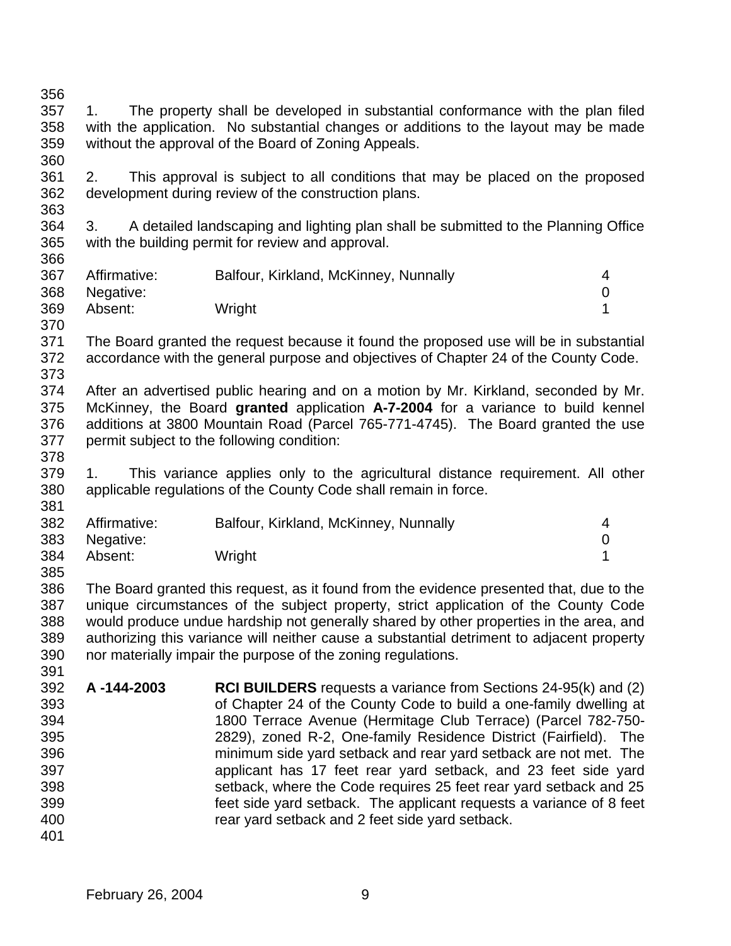- 1. The property shall be developed in substantial conformance with the plan filed with the application. No substantial changes or additions to the layout may be made without the approval of the Board of Zoning Appeals.
- 2. This approval is subject to all conditions that may be placed on the proposed development during review of the construction plans.
- 3. A detailed landscaping and lighting plan shall be submitted to the Planning Office with the building permit for review and approval.

| 367 | Affirmative:  | Balfour, Kirkland, McKinney, Nunnally |  |
|-----|---------------|---------------------------------------|--|
|     | 368 Negative: |                                       |  |
| 369 | Absent:       | Wright                                |  |

- The Board granted the request because it found the proposed use will be in substantial accordance with the general purpose and objectives of Chapter 24 of the County Code.
- After an advertised public hearing and on a motion by Mr. Kirkland, seconded by Mr. McKinney, the Board **granted** application **A-7-2004** for a variance to build kennel additions at 3800 Mountain Road (Parcel 765-771-4745). The Board granted the use permit subject to the following condition:
- 1. This variance applies only to the agricultural distance requirement. All other applicable regulations of the County Code shall remain in force.

| 382 | Affirmative:  | Balfour, Kirkland, McKinney, Nunnally |  |
|-----|---------------|---------------------------------------|--|
|     | 383 Negative: |                                       |  |
| 384 | Absent:       | Wright                                |  |
| 385 |               |                                       |  |

 The Board granted this request, as it found from the evidence presented that, due to the unique circumstances of the subject property, strict application of the County Code would produce undue hardship not generally shared by other properties in the area, and authorizing this variance will neither cause a substantial detriment to adjacent property nor materially impair the purpose of the zoning regulations.

- **A -144-2003 RCI BUILDERS** requests a variance from Sections 24-95(k) and (2) of Chapter 24 of the County Code to build a one-family dwelling at 1800 Terrace Avenue (Hermitage Club Terrace) (Parcel 782-750- 2829), zoned R-2, One-family Residence District (Fairfield). The minimum side yard setback and rear yard setback are not met. The applicant has 17 feet rear yard setback, and 23 feet side yard setback, where the Code requires 25 feet rear yard setback and 25 feet side yard setback. The applicant requests a variance of 8 feet rear yard setback and 2 feet side yard setback.
	- February 26, 2004 9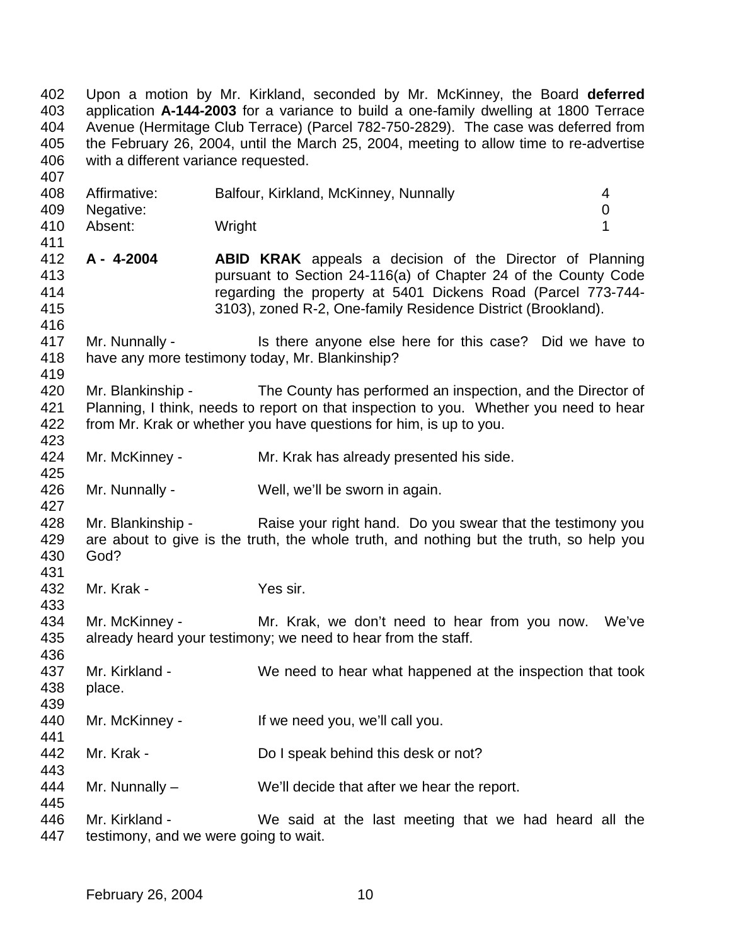Upon a motion by Mr. Kirkland, seconded by Mr. McKinney, the Board **deferred** application **A-144-2003** for a variance to build a one-family dwelling at 1800 Terrace Avenue (Hermitage Club Terrace) (Parcel 782-750-2829). The case was deferred from the February 26, 2004, until the March 25, 2004, meeting to allow time to re-advertise with a different variance requested.

| 408 | Affirmative: | Balfour, Kirkland, McKinney, Nunnally |  |
|-----|--------------|---------------------------------------|--|
| 409 | Negative:    |                                       |  |
| 410 | Absent:      | Wright                                |  |

- **A 4-2004 ABID KRAK** appeals a decision of the Director of Planning pursuant to Section 24-116(a) of Chapter 24 of the County Code regarding the property at 5401 Dickens Road (Parcel 773-744- 3103), zoned R-2, One-family Residence District (Brookland).
- Mr. Nunnally Is there anyone else here for this case? Did we have to have any more testimony today, Mr. Blankinship?
- Mr. Blankinship The County has performed an inspection, and the Director of Planning, I think, needs to report on that inspection to you. Whether you need to hear from Mr. Krak or whether you have questions for him, is up to you.
- Mr. McKinney Mr. Krak has already presented his side.
- Mr. Nunnally Well, we'll be sworn in again.
- 428 Mr. Blankinship Raise your right hand. Do you swear that the testimony you are about to give is the truth, the whole truth, and nothing but the truth, so help you God?
- 432 Mr. Krak Yes sir.

- 434 Mr. McKinney Mr. Krak, we don't need to hear from you now. We've already heard your testimony; we need to hear from the staff.
- Mr. Kirkland - We need to hear what happened at the inspection that took place.
- 440 Mr. McKinney If we need you, we'll call you.
- 442 Mr. Krak Do I speak behind this desk or not?
- Mr. Nunnally We'll decide that after we hear the report.
- Mr. Kirkland We said at the last meeting that we had heard all the testimony, and we were going to wait.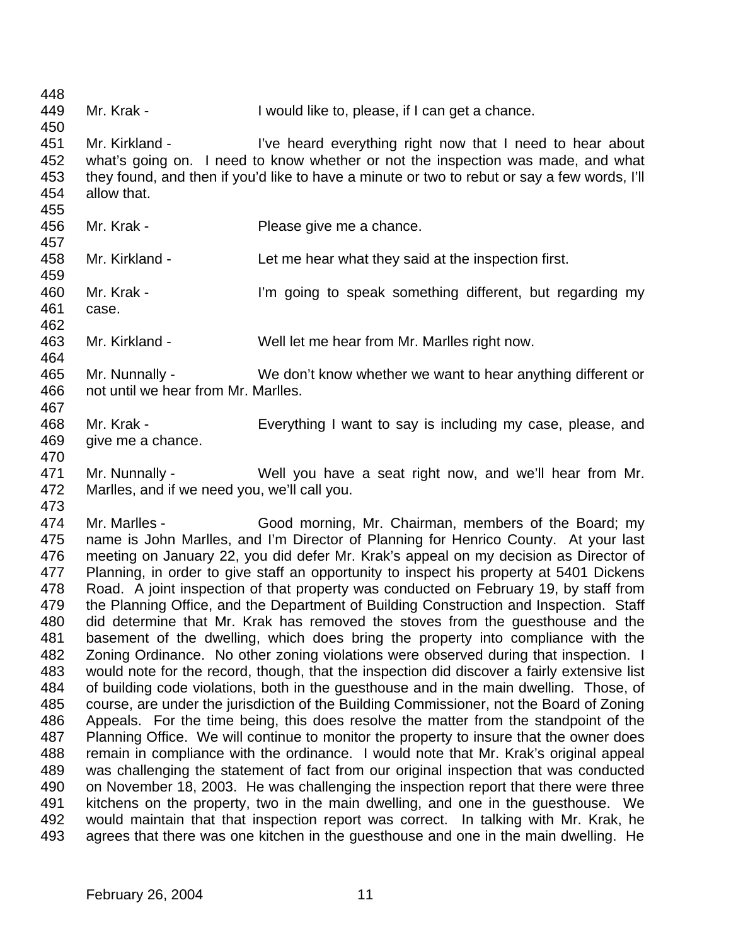Mr. Krak - I would like to, please, if I can get a chance. Mr. Kirkland - I've heard everything right now that I need to hear about what's going on. I need to know whether or not the inspection was made, and what they found, and then if you'd like to have a minute or two to rebut or say a few words, I'll allow that. Mr. Krak - Please give me a chance. Mr. Kirkland - Let me hear what they said at the inspection first. Mr. Krak - I'm going to speak something different, but regarding my case. Mr. Kirkland - Well let me hear from Mr. Marlles right now. Mr. Nunnally - We don't know whether we want to hear anything different or not until we hear from Mr. Marlles. Mr. Krak - Everything I want to say is including my case, please, and give me a chance. Mr. Nunnally - Well you have a seat right now, and we'll hear from Mr. Marlles, and if we need you, we'll call you. Mr. Marlles - Good morning, Mr. Chairman, members of the Board; my name is John Marlles, and I'm Director of Planning for Henrico County. At your last meeting on January 22, you did defer Mr. Krak's appeal on my decision as Director of Planning, in order to give staff an opportunity to inspect his property at 5401 Dickens Road. A joint inspection of that property was conducted on February 19, by staff from the Planning Office, and the Department of Building Construction and Inspection. Staff did determine that Mr. Krak has removed the stoves from the guesthouse and the basement of the dwelling, which does bring the property into compliance with the Zoning Ordinance. No other zoning violations were observed during that inspection. I would note for the record, though, that the inspection did discover a fairly extensive list of building code violations, both in the guesthouse and in the main dwelling. Those, of course, are under the jurisdiction of the Building Commissioner, not the Board of Zoning Appeals. For the time being, this does resolve the matter from the standpoint of the Planning Office. We will continue to monitor the property to insure that the owner does remain in compliance with the ordinance. I would note that Mr. Krak's original appeal was challenging the statement of fact from our original inspection that was conducted on November 18, 2003. He was challenging the inspection report that there were three kitchens on the property, two in the main dwelling, and one in the guesthouse. We would maintain that that inspection report was correct. In talking with Mr. Krak, he agrees that there was one kitchen in the guesthouse and one in the main dwelling. He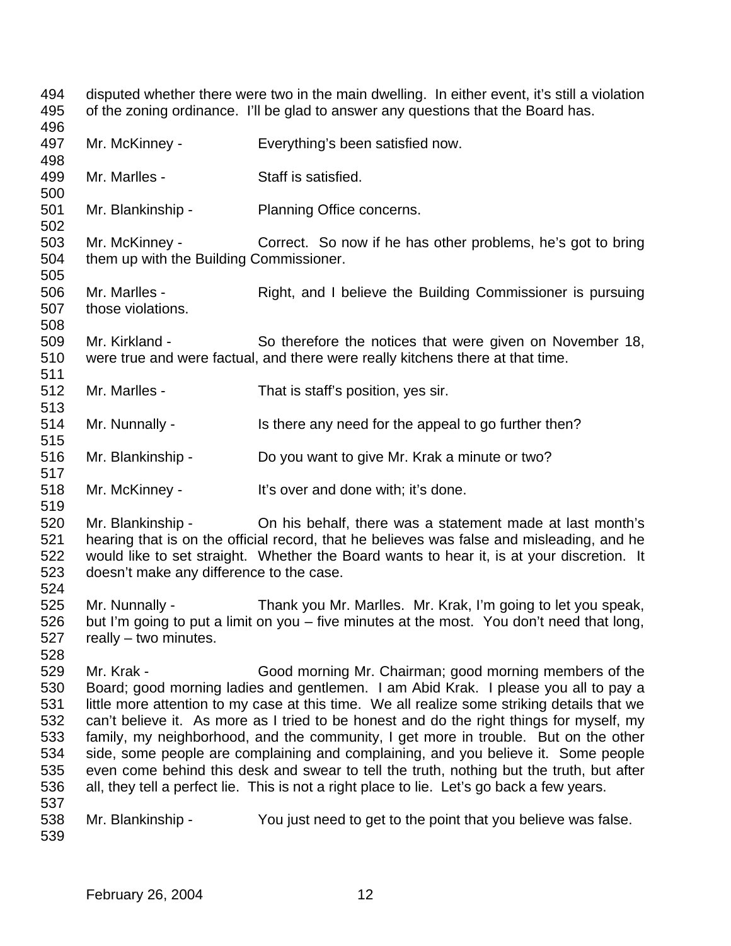disputed whether there were two in the main dwelling. In either event, it's still a violation of the zoning ordinance. I'll be glad to answer any questions that the Board has. Mr. McKinney - Everything's been satisfied now. Mr. Marlles - Staff is satisfied. Mr. Blankinship - Planning Office concerns. Mr. McKinney - Correct. So now if he has other problems, he's got to bring them up with the Building Commissioner. 506 Mr. Marlles - Right, and I believe the Building Commissioner is pursuing those violations. Mr. Kirkland - So therefore the notices that were given on November 18, were true and were factual, and there were really kitchens there at that time. Mr. Marlles - That is staff's position, yes sir. 514 Mr. Nunnally - Is there any need for the appeal to go further then? Mr. Blankinship - Do you want to give Mr. Krak a minute or two? Mr. McKinney - It's over and done with; it's done. Mr. Blankinship - On his behalf, there was a statement made at last month's hearing that is on the official record, that he believes was false and misleading, and he would like to set straight. Whether the Board wants to hear it, is at your discretion. It doesn't make any difference to the case. Mr. Nunnally - Thank you Mr. Marlles. Mr. Krak, I'm going to let you speak, but I'm going to put a limit on you – five minutes at the most. You don't need that long, really – two minutes. Mr. Krak - Good morning Mr. Chairman; good morning members of the Board; good morning ladies and gentlemen. I am Abid Krak. I please you all to pay a little more attention to my case at this time. We all realize some striking details that we can't believe it. As more as I tried to be honest and do the right things for myself, my family, my neighborhood, and the community, I get more in trouble. But on the other side, some people are complaining and complaining, and you believe it. Some people even come behind this desk and swear to tell the truth, nothing but the truth, but after all, they tell a perfect lie. This is not a right place to lie. Let's go back a few years. Mr. Blankinship - You just need to get to the point that you believe was false.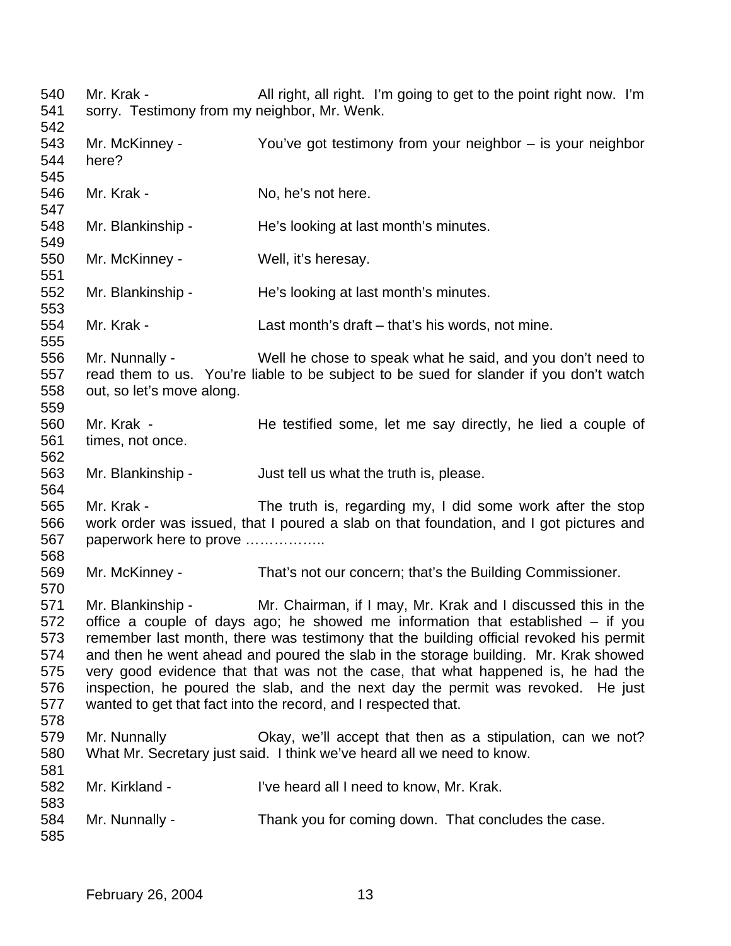540 Mr. Krak - All right, all right. I'm going to get to the point right now. I'm sorry. Testimony from my neighbor, Mr. Wenk. Mr. McKinney - You've got testimony from your neighbor – is your neighbor here? 546 Mr. Krak - No. he's not here. Mr. Blankinship - He's looking at last month's minutes. Mr. McKinney - Well, it's heresay. Mr. Blankinship - He's looking at last month's minutes. Mr. Krak - Last month's draft – that's his words, not mine. Mr. Nunnally - Well he chose to speak what he said, and you don't need to read them to us. You're liable to be subject to be sued for slander if you don't watch out, so let's move along. Mr. Krak - He testified some, let me say directly, he lied a couple of times, not once. Mr. Blankinship - Just tell us what the truth is, please. Mr. Krak - The truth is, regarding my, I did some work after the stop work order was issued, that I poured a slab on that foundation, and I got pictures and paperwork here to prove …………….. Mr. McKinney - That's not our concern; that's the Building Commissioner. Mr. Blankinship - Mr. Chairman, if I may, Mr. Krak and I discussed this in the office a couple of days ago; he showed me information that established – if you remember last month, there was testimony that the building official revoked his permit and then he went ahead and poured the slab in the storage building. Mr. Krak showed very good evidence that that was not the case, that what happened is, he had the inspection, he poured the slab, and the next day the permit was revoked. He just wanted to get that fact into the record, and I respected that. Mr. Nunnally Okay, we'll accept that then as a stipulation, can we not? What Mr. Secretary just said. I think we've heard all we need to know. Mr. Kirkland - I've heard all I need to know, Mr. Krak. Mr. Nunnally - Thank you for coming down. That concludes the case.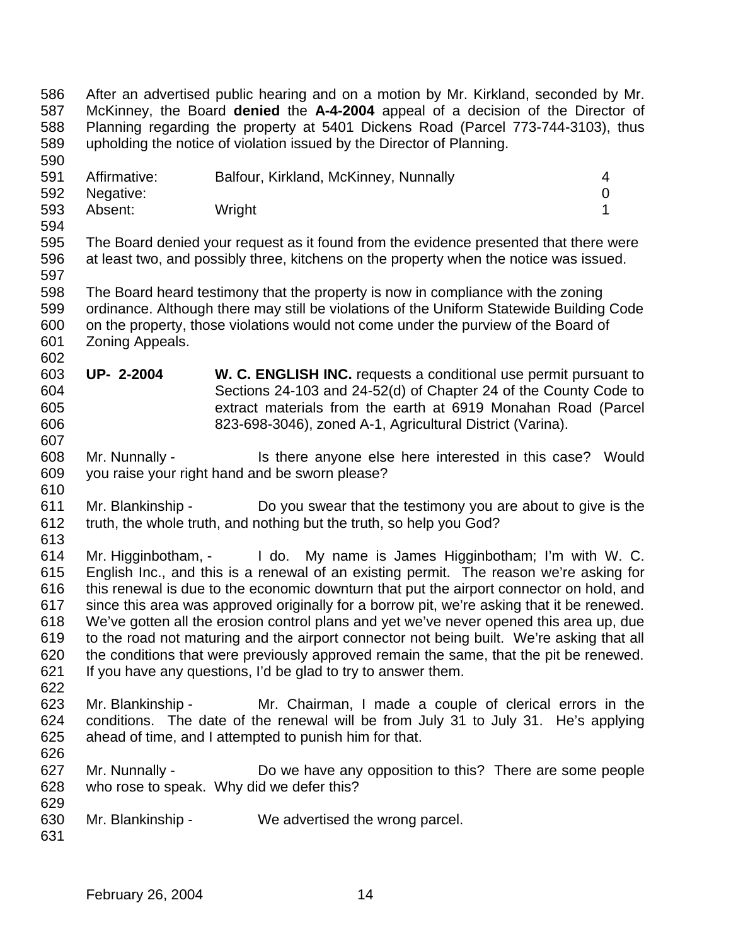After an advertised public hearing and on a motion by Mr. Kirkland, seconded by Mr. McKinney, the Board **denied** the **A-4-2004** appeal of a decision of the Director of Planning regarding the property at 5401 Dickens Road (Parcel 773-744-3103), thus upholding the notice of violation issued by the Director of Planning. Affirmative: Balfour, Kirkland, McKinney, Nunnally 4 Negative: 0 Absent: Wright 1 The Board denied your request as it found from the evidence presented that there were at least two, and possibly three, kitchens on the property when the notice was issued. The Board heard testimony that the property is now in compliance with the zoning ordinance. Although there may still be violations of the Uniform Statewide Building Code on the property, those violations would not come under the purview of the Board of Zoning Appeals. **UP- 2-2004 W. C. ENGLISH INC.** requests a conditional use permit pursuant to Sections 24-103 and 24-52(d) of Chapter 24 of the County Code to extract materials from the earth at 6919 Monahan Road (Parcel 823-698-3046), zoned A-1, Agricultural District (Varina). Mr. Nunnally - Is there anyone else here interested in this case? Would you raise your right hand and be sworn please? Mr. Blankinship - Do you swear that the testimony you are about to give is the truth, the whole truth, and nothing but the truth, so help you God? Mr. Higginbotham, - I do. My name is James Higginbotham; I'm with W. C. English Inc., and this is a renewal of an existing permit. The reason we're asking for this renewal is due to the economic downturn that put the airport connector on hold, and since this area was approved originally for a borrow pit, we're asking that it be renewed. We've gotten all the erosion control plans and yet we've never opened this area up, due to the road not maturing and the airport connector not being built. We're asking that all the conditions that were previously approved remain the same, that the pit be renewed. If you have any questions, I'd be glad to try to answer them. Mr. Blankinship - Mr. Chairman, I made a couple of clerical errors in the conditions. The date of the renewal will be from July 31 to July 31. He's applying ahead of time, and I attempted to punish him for that. Mr. Nunnally - Do we have any opposition to this? There are some people who rose to speak. Why did we defer this? Mr. Blankinship - We advertised the wrong parcel.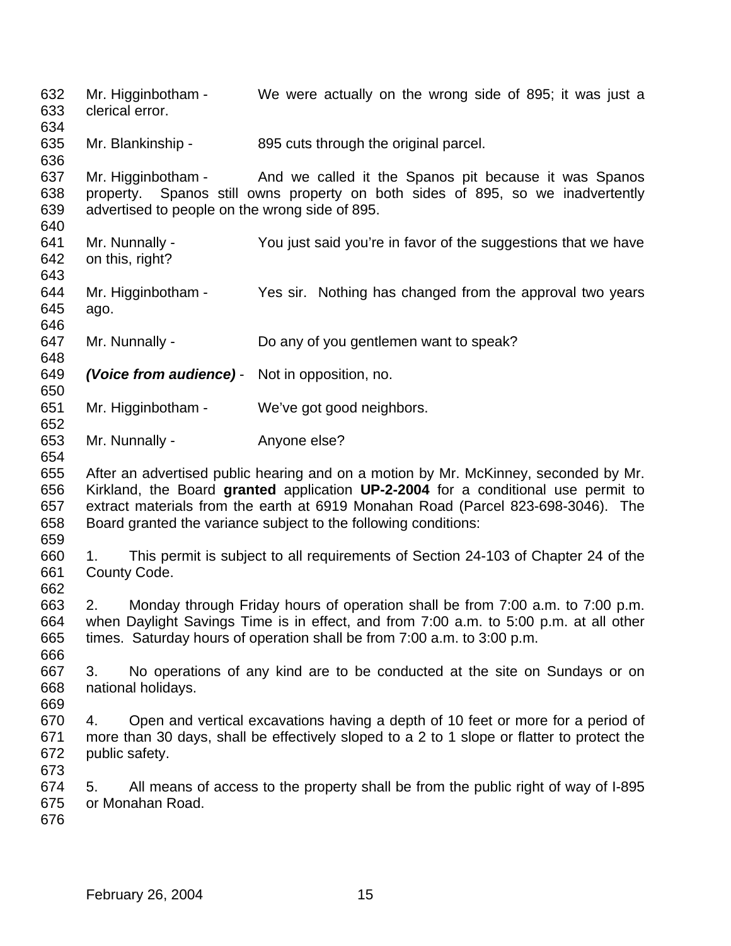Mr. Higginbotham - We were actually on the wrong side of 895; it was just a clerical error. 635 Mr. Blankinship - 895 cuts through the original parcel. Mr. Higginbotham - And we called it the Spanos pit because it was Spanos property. Spanos still owns property on both sides of 895, so we inadvertently advertised to people on the wrong side of 895. Mr. Nunnally - You just said you're in favor of the suggestions that we have on this, right? Mr. Higginbotham - Yes sir. Nothing has changed from the approval two years ago. Mr. Nunnally - Do any of you gentlemen want to speak? *(Voice from audience)* - Not in opposition, no. Mr. Higginbotham - We've got good neighbors. Mr. Nunnally - Anyone else? After an advertised public hearing and on a motion by Mr. McKinney, seconded by Mr. Kirkland, the Board **granted** application **UP-2-2004** for a conditional use permit to extract materials from the earth at 6919 Monahan Road (Parcel 823-698-3046). The Board granted the variance subject to the following conditions: 1. This permit is subject to all requirements of Section 24-103 of Chapter 24 of the County Code. 2. Monday through Friday hours of operation shall be from 7:00 a.m. to 7:00 p.m. when Daylight Savings Time is in effect, and from 7:00 a.m. to 5:00 p.m. at all other times. Saturday hours of operation shall be from 7:00 a.m. to 3:00 p.m. 3. No operations of any kind are to be conducted at the site on Sundays or on national holidays. 4. Open and vertical excavations having a depth of 10 feet or more for a period of more than 30 days, shall be effectively sloped to a 2 to 1 slope or flatter to protect the public safety. 5. All means of access to the property shall be from the public right of way of I-895 or Monahan Road.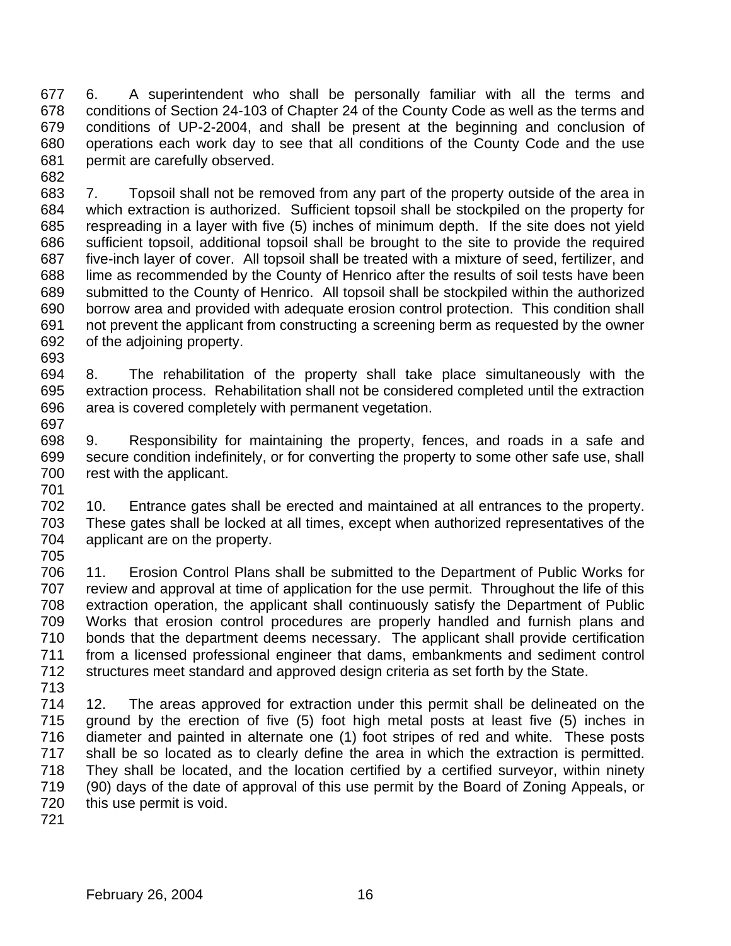6. A superintendent who shall be personally familiar with all the terms and conditions of Section 24-103 of Chapter 24 of the County Code as well as the terms and conditions of UP-2-2004, and shall be present at the beginning and conclusion of operations each work day to see that all conditions of the County Code and the use permit are carefully observed. 

 7. Topsoil shall not be removed from any part of the property outside of the area in which extraction is authorized. Sufficient topsoil shall be stockpiled on the property for respreading in a layer with five (5) inches of minimum depth. If the site does not yield sufficient topsoil, additional topsoil shall be brought to the site to provide the required five-inch layer of cover. All topsoil shall be treated with a mixture of seed, fertilizer, and lime as recommended by the County of Henrico after the results of soil tests have been submitted to the County of Henrico. All topsoil shall be stockpiled within the authorized borrow area and provided with adequate erosion control protection. This condition shall not prevent the applicant from constructing a screening berm as requested by the owner of the adjoining property.

- 8. The rehabilitation of the property shall take place simultaneously with the extraction process. Rehabilitation shall not be considered completed until the extraction area is covered completely with permanent vegetation.
- 9. Responsibility for maintaining the property, fences, and roads in a safe and secure condition indefinitely, or for converting the property to some other safe use, shall rest with the applicant.
- 10. Entrance gates shall be erected and maintained at all entrances to the property. These gates shall be locked at all times, except when authorized representatives of the applicant are on the property.
- 11. Erosion Control Plans shall be submitted to the Department of Public Works for review and approval at time of application for the use permit. Throughout the life of this extraction operation, the applicant shall continuously satisfy the Department of Public Works that erosion control procedures are properly handled and furnish plans and bonds that the department deems necessary. The applicant shall provide certification from a licensed professional engineer that dams, embankments and sediment control structures meet standard and approved design criteria as set forth by the State.
- 12. The areas approved for extraction under this permit shall be delineated on the ground by the erection of five (5) foot high metal posts at least five (5) inches in diameter and painted in alternate one (1) foot stripes of red and white. These posts shall be so located as to clearly define the area in which the extraction is permitted. They shall be located, and the location certified by a certified surveyor, within ninety (90) days of the date of approval of this use permit by the Board of Zoning Appeals, or this use permit is void.
-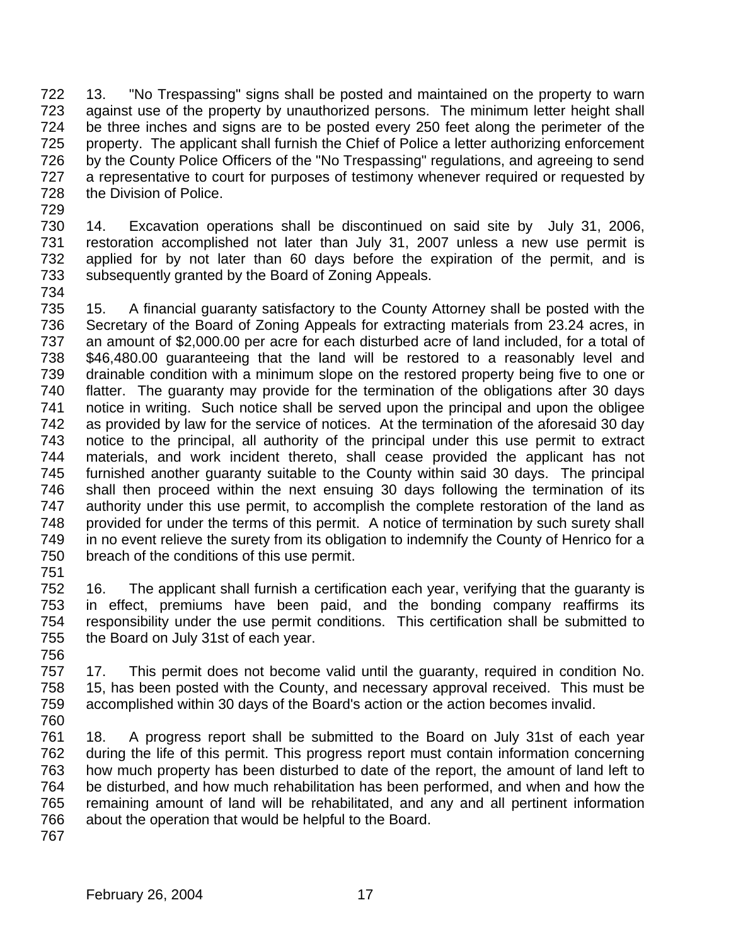13. "No Trespassing" signs shall be posted and maintained on the property to warn against use of the property by unauthorized persons. The minimum letter height shall be three inches and signs are to be posted every 250 feet along the perimeter of the property. The applicant shall furnish the Chief of Police a letter authorizing enforcement by the County Police Officers of the "No Trespassing" regulations, and agreeing to send a representative to court for purposes of testimony whenever required or requested by the Division of Police.

 14. Excavation operations shall be discontinued on said site by July 31, 2006, restoration accomplished not later than July 31, 2007 unless a new use permit is applied for by not later than 60 days before the expiration of the permit, and is subsequently granted by the Board of Zoning Appeals.

 15. A financial guaranty satisfactory to the County Attorney shall be posted with the Secretary of the Board of Zoning Appeals for extracting materials from 23.24 acres, in an amount of \$2,000.00 per acre for each disturbed acre of land included, for a total of \$46,480.00 guaranteeing that the land will be restored to a reasonably level and drainable condition with a minimum slope on the restored property being five to one or flatter. The guaranty may provide for the termination of the obligations after 30 days notice in writing. Such notice shall be served upon the principal and upon the obligee as provided by law for the service of notices. At the termination of the aforesaid 30 day notice to the principal, all authority of the principal under this use permit to extract materials, and work incident thereto, shall cease provided the applicant has not furnished another guaranty suitable to the County within said 30 days. The principal shall then proceed within the next ensuing 30 days following the termination of its authority under this use permit, to accomplish the complete restoration of the land as provided for under the terms of this permit. A notice of termination by such surety shall 749 in no event relieve the surety from its obligation to indemnify the County of Henrico for a breach of the conditions of this use permit. 

 16. The applicant shall furnish a certification each year, verifying that the guaranty is in effect, premiums have been paid, and the bonding company reaffirms its responsibility under the use permit conditions. This certification shall be submitted to the Board on July 31st of each year. 

 17. This permit does not become valid until the guaranty, required in condition No. 15, has been posted with the County, and necessary approval received. This must be accomplished within 30 days of the Board's action or the action becomes invalid. 

 18. A progress report shall be submitted to the Board on July 31st of each year during the life of this permit. This progress report must contain information concerning how much property has been disturbed to date of the report, the amount of land left to be disturbed, and how much rehabilitation has been performed, and when and how the remaining amount of land will be rehabilitated, and any and all pertinent information about the operation that would be helpful to the Board.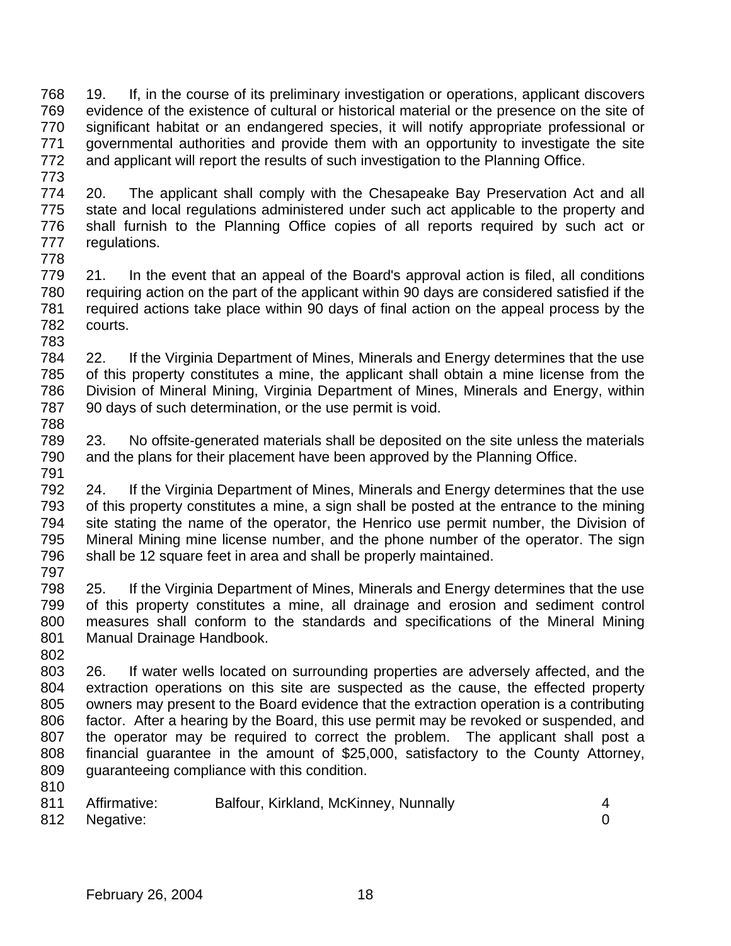19. If, in the course of its preliminary investigation or operations, applicant discovers evidence of the existence of cultural or historical material or the presence on the site of significant habitat or an endangered species, it will notify appropriate professional or governmental authorities and provide them with an opportunity to investigate the site and applicant will report the results of such investigation to the Planning Office.

 20. The applicant shall comply with the Chesapeake Bay Preservation Act and all state and local regulations administered under such act applicable to the property and shall furnish to the Planning Office copies of all reports required by such act or regulations. 

 21. In the event that an appeal of the Board's approval action is filed, all conditions requiring action on the part of the applicant within 90 days are considered satisfied if the required actions take place within 90 days of final action on the appeal process by the courts.

 22. If the Virginia Department of Mines, Minerals and Energy determines that the use of this property constitutes a mine, the applicant shall obtain a mine license from the Division of Mineral Mining, Virginia Department of Mines, Minerals and Energy, within 90 days of such determination, or the use permit is void. 

 23. No offsite-generated materials shall be deposited on the site unless the materials and the plans for their placement have been approved by the Planning Office. 

 24. If the Virginia Department of Mines, Minerals and Energy determines that the use of this property constitutes a mine, a sign shall be posted at the entrance to the mining site stating the name of the operator, the Henrico use permit number, the Division of Mineral Mining mine license number, and the phone number of the operator. The sign shall be 12 square feet in area and shall be properly maintained. 

 25. If the Virginia Department of Mines, Minerals and Energy determines that the use of this property constitutes a mine, all drainage and erosion and sediment control measures shall conform to the standards and specifications of the Mineral Mining Manual Drainage Handbook.

 26. If water wells located on surrounding properties are adversely affected, and the extraction operations on this site are suspected as the cause, the effected property owners may present to the Board evidence that the extraction operation is a contributing factor. After a hearing by the Board, this use permit may be revoked or suspended, and the operator may be required to correct the problem. The applicant shall post a financial guarantee in the amount of \$25,000, satisfactory to the County Attorney, guaranteeing compliance with this condition.

| 811 | Affirmative:  | Balfour, Kirkland, McKinney, Nunnally |  |
|-----|---------------|---------------------------------------|--|
|     | 812 Negative: |                                       |  |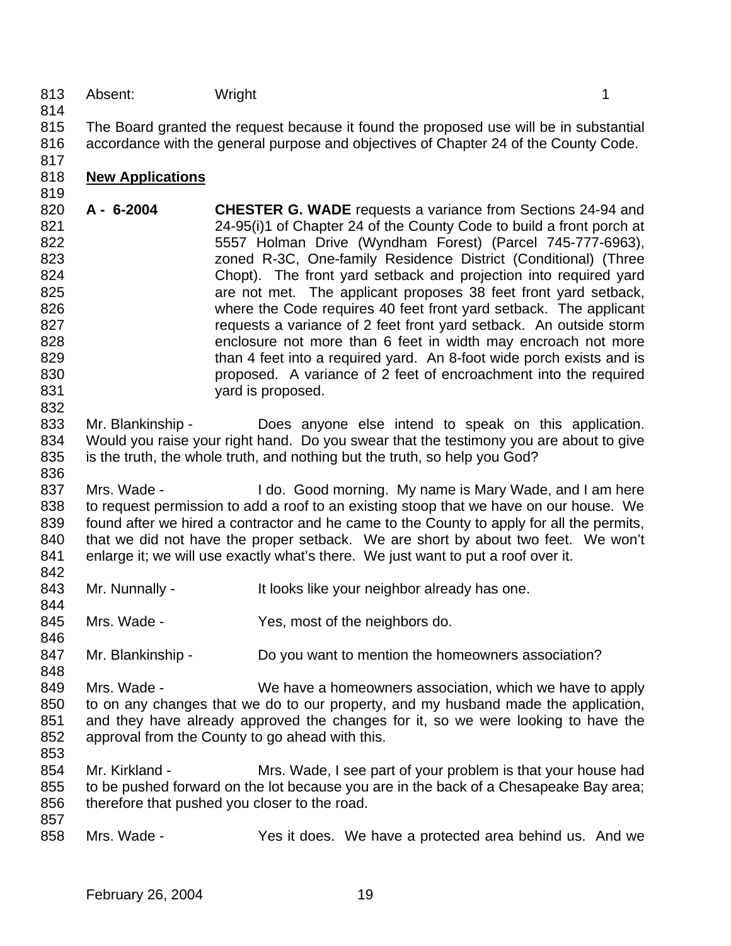## 813 Absent: Wright 1

 The Board granted the request because it found the proposed use will be in substantial accordance with the general purpose and objectives of Chapter 24 of the County Code.

**New Applications**

- **A 6-2004 CHESTER G. WADE** requests a variance from Sections 24-94 and 24-95(i)1 of Chapter 24 of the County Code to build a front porch at 5557 Holman Drive (Wyndham Forest) (Parcel 745-777-6963), zoned R-3C, One-family Residence District (Conditional) (Three Chopt). The front yard setback and projection into required yard are not met. The applicant proposes 38 feet front yard setback, where the Code requires 40 feet front yard setback. The applicant requests a variance of 2 feet front yard setback. An outside storm enclosure not more than 6 feet in width may encroach not more 829 than 4 feet into a required vard. An 8-foot wide porch exists and is proposed. A variance of 2 feet of encroachment into the required 831 vard is proposed.
- 833 Mr. Blankinship Does anyone else intend to speak on this application. Would you raise your right hand. Do you swear that the testimony you are about to give is the truth, the whole truth, and nothing but the truth, so help you God?
- 837 Mrs. Wade I do. Good morning. My name is Mary Wade, and I am here to request permission to add a roof to an existing stoop that we have on our house. We found after we hired a contractor and he came to the County to apply for all the permits, that we did not have the proper setback. We are short by about two feet. We won't enlarge it; we will use exactly what's there. We just want to put a roof over it.
- 843 Mr. Nunnally It looks like your neighbor already has one.
- 845 Mrs. Wade Yes, most of the neighbors do.
- 847 Mr. Blankinship Do you want to mention the homeowners association?
- Mrs. Wade We have a homeowners association, which we have to apply to on any changes that we do to our property, and my husband made the application, and they have already approved the changes for it, so we were looking to have the approval from the County to go ahead with this.
- Mr. Kirkland Mrs. Wade, I see part of your problem is that your house had to be pushed forward on the lot because you are in the back of a Chesapeake Bay area; therefore that pushed you closer to the road.
- Mrs. Wade Yes it does. We have a protected area behind us. And we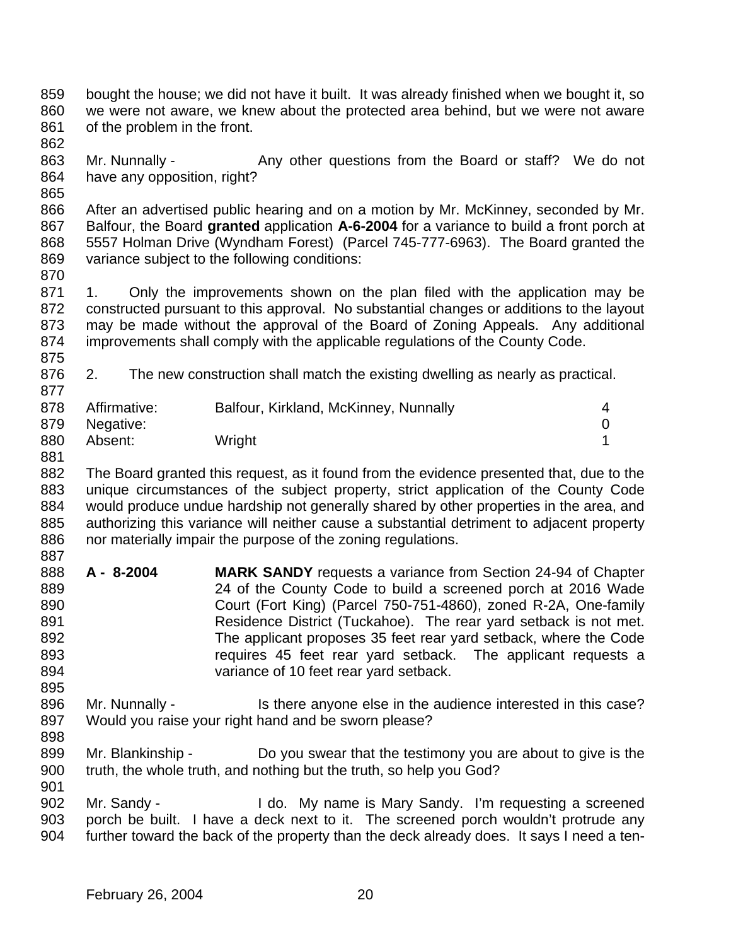- bought the house; we did not have it built. It was already finished when we bought it, so we were not aware, we knew about the protected area behind, but we were not aware of the problem in the front.
- 863 Mr. Nunnally Any other questions from the Board or staff? We do not have any opposition, right?
- 

 After an advertised public hearing and on a motion by Mr. McKinney, seconded by Mr. Balfour, the Board **granted** application **A-6-2004** for a variance to build a front porch at 5557 Holman Drive (Wyndham Forest) (Parcel 745-777-6963). The Board granted the variance subject to the following conditions:

871 1. Only the improvements shown on the plan filed with the application may be constructed pursuant to this approval. No substantial changes or additions to the layout may be made without the approval of the Board of Zoning Appeals. Any additional improvements shall comply with the applicable regulations of the County Code. 

2. The new construction shall match the existing dwelling as nearly as practical.

| 878 | Affirmative:  | Balfour, Kirkland, McKinney, Nunnally | $\mathbf 4$ |
|-----|---------------|---------------------------------------|-------------|
|     | 879 Negative: |                                       |             |
| 880 | Absent:       | Wright                                |             |

- The Board granted this request, as it found from the evidence presented that, due to the unique circumstances of the subject property, strict application of the County Code would produce undue hardship not generally shared by other properties in the area, and authorizing this variance will neither cause a substantial detriment to adjacent property
- 886 nor materially impair the purpose of the zoning regulations.
- **A 8-2004 MARK SANDY** requests a variance from Section 24-94 of Chapter 24 of the County Code to build a screened porch at 2016 Wade Court (Fort King) (Parcel 750-751-4860), zoned R-2A, One-family Residence District (Tuckahoe). The rear yard setback is not met. The applicant proposes 35 feet rear yard setback, where the Code requires 45 feet rear yard setback. The applicant requests a variance of 10 feet rear yard setback.
- 896 Mr. Nunnally Is there anyone else in the audience interested in this case? Would you raise your right hand and be sworn please?
- 899 Mr. Blankinship Do you swear that the testimony you are about to give is the truth, the whole truth, and nothing but the truth, so help you God?
- Mr. Sandy I do. My name is Mary Sandy. I'm requesting a screened porch be built. I have a deck next to it. The screened porch wouldn't protrude any further toward the back of the property than the deck already does. It says I need a ten-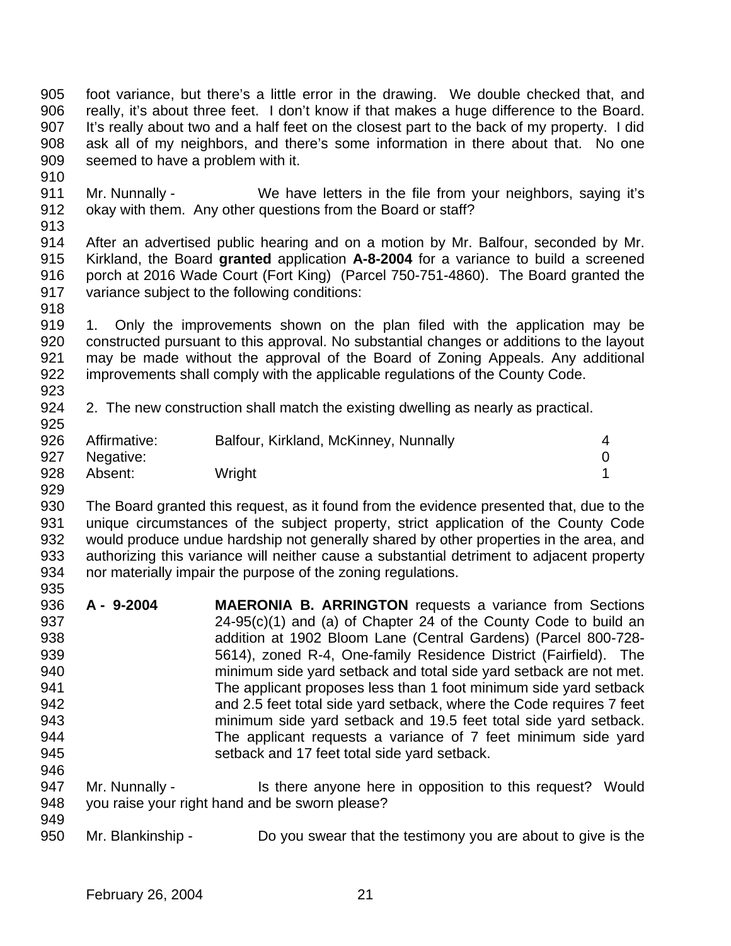foot variance, but there's a little error in the drawing. We double checked that, and really, it's about three feet. I don't know if that makes a huge difference to the Board. It's really about two and a half feet on the closest part to the back of my property. I did ask all of my neighbors, and there's some information in there about that. No one seemed to have a problem with it.

 Mr. Nunnally - We have letters in the file from your neighbors, saying it's okay with them. Any other questions from the Board or staff?

 After an advertised public hearing and on a motion by Mr. Balfour, seconded by Mr. Kirkland, the Board **granted** application **A-8-2004** for a variance to build a screened porch at 2016 Wade Court (Fort King) (Parcel 750-751-4860). The Board granted the variance subject to the following conditions:

 1. Only the improvements shown on the plan filed with the application may be constructed pursuant to this approval. No substantial changes or additions to the layout may be made without the approval of the Board of Zoning Appeals. Any additional improvements shall comply with the applicable regulations of the County Code. 

2. The new construction shall match the existing dwelling as nearly as practical.

| 926 | Affirmative: | Balfour, Kirkland, McKinney, Nunnally |  |
|-----|--------------|---------------------------------------|--|
| 927 | Negative:    |                                       |  |
| 928 | Absent:      | Wright                                |  |

 The Board granted this request, as it found from the evidence presented that, due to the unique circumstances of the subject property, strict application of the County Code would produce undue hardship not generally shared by other properties in the area, and authorizing this variance will neither cause a substantial detriment to adjacent property nor materially impair the purpose of the zoning regulations. 

- **A 9-2004 MAERONIA B. ARRINGTON** requests a variance from Sections 24-95(c)(1) and (a) of Chapter 24 of the County Code to build an addition at 1902 Bloom Lane (Central Gardens) (Parcel 800-728- 5614), zoned R-4, One-family Residence District (Fairfield). The minimum side yard setback and total side yard setback are not met. The applicant proposes less than 1 foot minimum side yard setback and 2.5 feet total side yard setback, where the Code requires 7 feet minimum side yard setback and 19.5 feet total side yard setback. The applicant requests a variance of 7 feet minimum side yard setback and 17 feet total side yard setback.
- 947 Mr. Nunnally Is there anyone here in opposition to this request? Would you raise your right hand and be sworn please?
- Mr. Blankinship Do you swear that the testimony you are about to give is the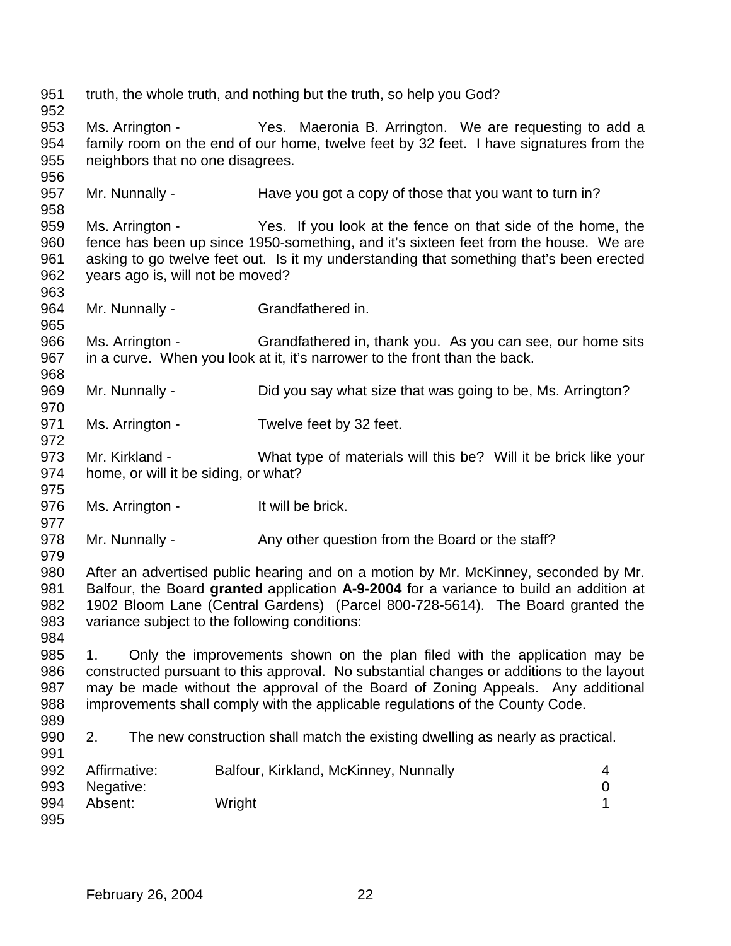| 951<br>952                      |                                                                                                                                                                                                                                                                                                                                                 | truth, the whole truth, and nothing but the truth, so help you God?                                                                                                                                                                                                                                              |  |
|---------------------------------|-------------------------------------------------------------------------------------------------------------------------------------------------------------------------------------------------------------------------------------------------------------------------------------------------------------------------------------------------|------------------------------------------------------------------------------------------------------------------------------------------------------------------------------------------------------------------------------------------------------------------------------------------------------------------|--|
| 953<br>954<br>955<br>956        | neighbors that no one disagrees.                                                                                                                                                                                                                                                                                                                | Ms. Arrington - Yes. Maeronia B. Arrington. We are requesting to add a<br>family room on the end of our home, twelve feet by 32 feet. I have signatures from the                                                                                                                                                 |  |
| 957<br>958                      | Mr. Nunnally -                                                                                                                                                                                                                                                                                                                                  | Have you got a copy of those that you want to turn in?                                                                                                                                                                                                                                                           |  |
| 959<br>960<br>961<br>962<br>963 | years ago is, will not be moved?                                                                                                                                                                                                                                                                                                                | Ms. Arrington - Yes. If you look at the fence on that side of the home, the<br>fence has been up since 1950-something, and it's sixteen feet from the house. We are<br>asking to go twelve feet out. Is it my understanding that something that's been erected                                                   |  |
| 964<br>965                      | Mr. Nunnally -                                                                                                                                                                                                                                                                                                                                  | Grandfathered in.                                                                                                                                                                                                                                                                                                |  |
| 966<br>967<br>968               |                                                                                                                                                                                                                                                                                                                                                 | Ms. Arrington - Grandfathered in, thank you. As you can see, our home sits<br>in a curve. When you look at it, it's narrower to the front than the back.                                                                                                                                                         |  |
| 969<br>970                      | Mr. Nunnally -                                                                                                                                                                                                                                                                                                                                  | Did you say what size that was going to be, Ms. Arrington?                                                                                                                                                                                                                                                       |  |
| 971<br>972                      | Ms. Arrington -                                                                                                                                                                                                                                                                                                                                 | Twelve feet by 32 feet.                                                                                                                                                                                                                                                                                          |  |
| 973<br>974<br>975               | home, or will it be siding, or what?                                                                                                                                                                                                                                                                                                            | Mr. Kirkland - What type of materials will this be? Will it be brick like your                                                                                                                                                                                                                                   |  |
| 976<br>977                      | Ms. Arrington -                                                                                                                                                                                                                                                                                                                                 | It will be brick.                                                                                                                                                                                                                                                                                                |  |
| 978<br>979                      | Mr. Nunnally -                                                                                                                                                                                                                                                                                                                                  | Any other question from the Board or the staff?                                                                                                                                                                                                                                                                  |  |
| 980<br>981<br>982<br>983<br>984 |                                                                                                                                                                                                                                                                                                                                                 | After an advertised public hearing and on a motion by Mr. McKinney, seconded by Mr.<br>Balfour, the Board granted application A-9-2004 for a variance to build an addition at<br>1902 Bloom Lane (Central Gardens) (Parcel 800-728-5614). The Board granted the<br>variance subject to the following conditions: |  |
| 985<br>986<br>987<br>988<br>989 | Only the improvements shown on the plan filed with the application may be<br>1.<br>constructed pursuant to this approval. No substantial changes or additions to the layout<br>may be made without the approval of the Board of Zoning Appeals. Any additional<br>improvements shall comply with the applicable regulations of the County Code. |                                                                                                                                                                                                                                                                                                                  |  |
| 990<br>991                      | 2.                                                                                                                                                                                                                                                                                                                                              | The new construction shall match the existing dwelling as nearly as practical.                                                                                                                                                                                                                                   |  |
| 992<br>993                      | Affirmative:<br>Negative:                                                                                                                                                                                                                                                                                                                       | Balfour, Kirkland, McKinney, Nunnally<br>4<br>$\boldsymbol{0}$                                                                                                                                                                                                                                                   |  |
| 994<br>995                      | Absent:                                                                                                                                                                                                                                                                                                                                         | Wright<br>1                                                                                                                                                                                                                                                                                                      |  |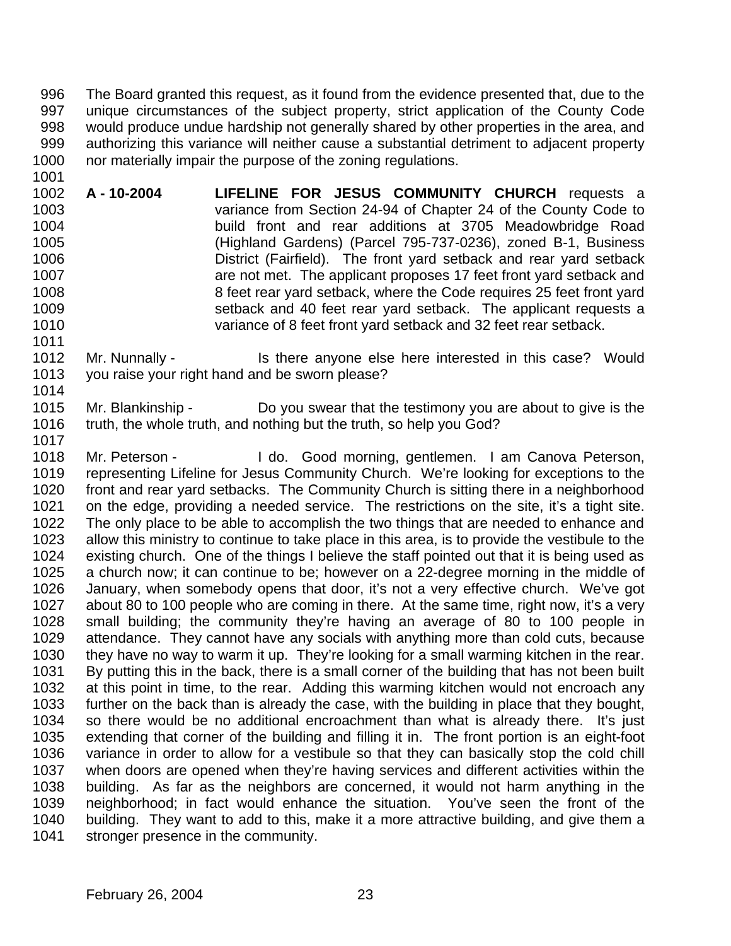The Board granted this request, as it found from the evidence presented that, due to the unique circumstances of the subject property, strict application of the County Code would produce undue hardship not generally shared by other properties in the area, and authorizing this variance will neither cause a substantial detriment to adjacent property 1000 nor materially impair the purpose of the zoning regulations.

 **A - 10-2004 LIFELINE FOR JESUS COMMUNITY CHURCH** requests a variance from Section 24-94 of Chapter 24 of the County Code to build front and rear additions at 3705 Meadowbridge Road (Highland Gardens) (Parcel 795-737-0236), zoned B-1, Business District (Fairfield). The front yard setback and rear yard setback are not met. The applicant proposes 17 feet front yard setback and 8 feet rear yard setback, where the Code requires 25 feet front yard setback and 40 feet rear yard setback. The applicant requests a variance of 8 feet front yard setback and 32 feet rear setback.

1012 Mr. Nunnally - Is there anyone else here interested in this case? Would you raise your right hand and be sworn please? 

 Mr. Blankinship - Do you swear that the testimony you are about to give is the truth, the whole truth, and nothing but the truth, so help you God? 

1018 Mr. Peterson - I do. Good morning, gentlemen. I am Canova Peterson, 1019 representing Lifeline for Jesus Community Church. We're looking for exceptions to the<br>1020 front and rear vard setbacks. The Community Church is sitting there in a neighborhood front and rear yard setbacks. The Community Church is sitting there in a neighborhood on the edge, providing a needed service. The restrictions on the site, it's a tight site. The only place to be able to accomplish the two things that are needed to enhance and allow this ministry to continue to take place in this area, is to provide the vestibule to the existing church. One of the things I believe the staff pointed out that it is being used as a church now; it can continue to be; however on a 22-degree morning in the middle of January, when somebody opens that door, it's not a very effective church. We've got about 80 to 100 people who are coming in there. At the same time, right now, it's a very small building; the community they're having an average of 80 to 100 people in attendance. They cannot have any socials with anything more than cold cuts, because they have no way to warm it up. They're looking for a small warming kitchen in the rear. By putting this in the back, there is a small corner of the building that has not been built at this point in time, to the rear. Adding this warming kitchen would not encroach any further on the back than is already the case, with the building in place that they bought, so there would be no additional encroachment than what is already there. It's just extending that corner of the building and filling it in. The front portion is an eight-foot variance in order to allow for a vestibule so that they can basically stop the cold chill when doors are opened when they're having services and different activities within the building. As far as the neighbors are concerned, it would not harm anything in the neighborhood; in fact would enhance the situation. You've seen the front of the building. They want to add to this, make it a more attractive building, and give them a 1041 stronger presence in the community.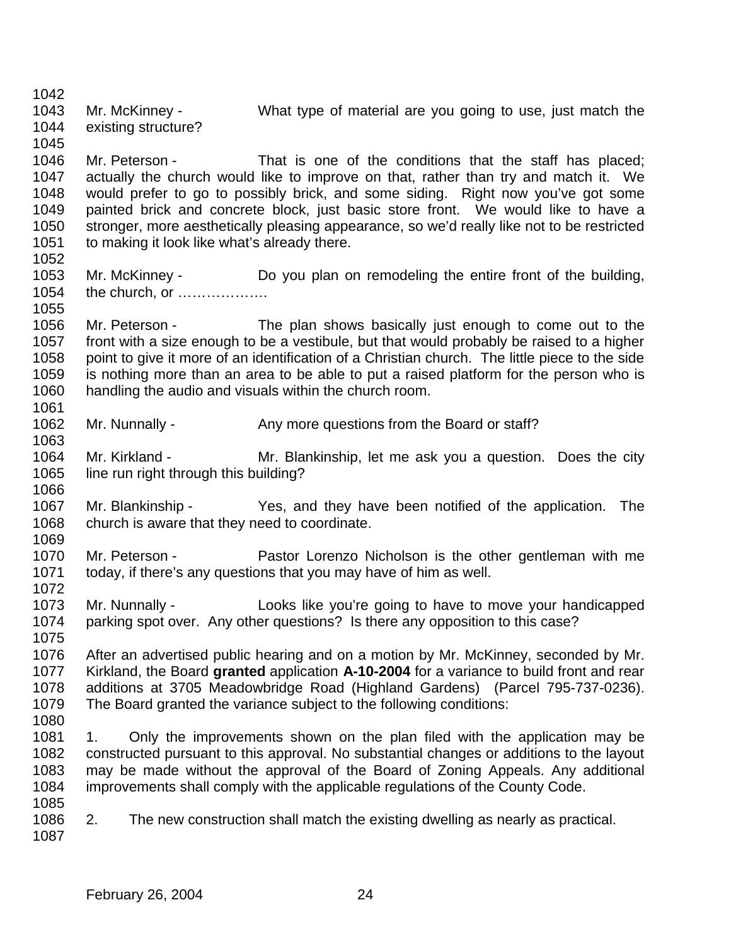Mr. McKinney - What type of material are you going to use, just match the existing structure? Mr. Peterson - That is one of the conditions that the staff has placed; actually the church would like to improve on that, rather than try and match it. We would prefer to go to possibly brick, and some siding. Right now you've got some painted brick and concrete block, just basic store front. We would like to have a stronger, more aesthetically pleasing appearance, so we'd really like not to be restricted 1051 to making it look like what's already there. Mr. McKinney - Do you plan on remodeling the entire front of the building, the church, or ………………. Mr. Peterson - The plan shows basically just enough to come out to the front with a size enough to be a vestibule, but that would probably be raised to a higher point to give it more of an identification of a Christian church. The little piece to the side is nothing more than an area to be able to put a raised platform for the person who is handling the audio and visuals within the church room. 1062 Mr. Nunnally - Any more questions from the Board or staff? Mr. Kirkland - Mr. Blankinship, let me ask you a question. Does the city 1065 line run right through this building? Mr. Blankinship - Yes, and they have been notified of the application. The church is aware that they need to coordinate. Mr. Peterson - Pastor Lorenzo Nicholson is the other gentleman with me today, if there's any questions that you may have of him as well. Mr. Nunnally - Looks like you're going to have to move your handicapped parking spot over. Any other questions? Is there any opposition to this case? After an advertised public hearing and on a motion by Mr. McKinney, seconded by Mr. Kirkland, the Board **granted** application **A-10-2004** for a variance to build front and rear additions at 3705 Meadowbridge Road (Highland Gardens) (Parcel 795-737-0236). The Board granted the variance subject to the following conditions: 1. Only the improvements shown on the plan filed with the application may be constructed pursuant to this approval. No substantial changes or additions to the layout may be made without the approval of the Board of Zoning Appeals. Any additional improvements shall comply with the applicable regulations of the County Code. 2. The new construction shall match the existing dwelling as nearly as practical.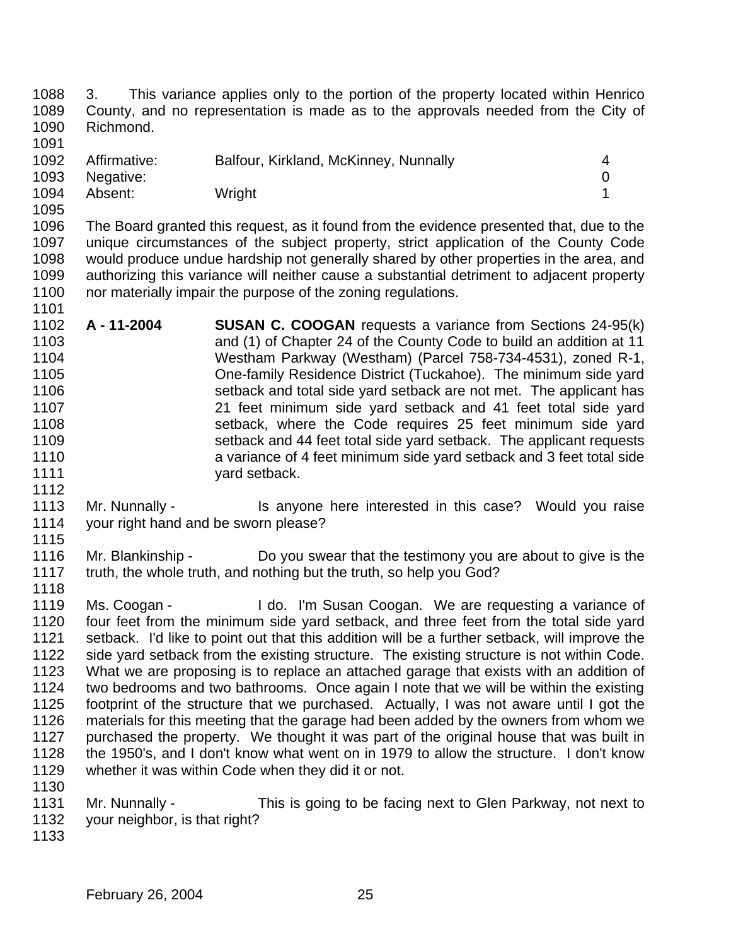3. This variance applies only to the portion of the property located within Henrico County, and no representation is made as to the approvals needed from the City of Richmond.

| 1092 | Affirmative: | Balfour, Kirkland, McKinney, Nunnally |  |
|------|--------------|---------------------------------------|--|
| 1093 | Negative:    |                                       |  |
| 1094 | Absent:      | Wright                                |  |

 The Board granted this request, as it found from the evidence presented that, due to the unique circumstances of the subject property, strict application of the County Code would produce undue hardship not generally shared by other properties in the area, and authorizing this variance will neither cause a substantial detriment to adjacent property 1100 nor materially impair the purpose of the zoning regulations.

- **A 11-2004 SUSAN C. COOGAN** requests a variance from Sections 24-95(k) and (1) of Chapter 24 of the County Code to build an addition at 11 Westham Parkway (Westham) (Parcel 758-734-4531), zoned R-1, One-family Residence District (Tuckahoe). The minimum side yard setback and total side yard setback are not met. The applicant has 21 feet minimum side yard setback and 41 feet total side yard setback, where the Code requires 25 feet minimum side yard setback and 44 feet total side yard setback. The applicant requests a variance of 4 feet minimum side yard setback and 3 feet total side 1111 yard setback.
- 1113 Mr. Nunnally Is anyone here interested in this case? Would you raise your right hand and be sworn please?
- 1116 Mr. Blankinship Do you swear that the testimony you are about to give is the 1117 truth, the whole truth, and nothing but the truth, so help you God? truth, the whole truth, and nothing but the truth, so help you God?
- 1119 Ms. Coogan I do. I'm Susan Coogan. We are requesting a variance of four feet from the minimum side yard setback, and three feet from the total side yard setback. I'd like to point out that this addition will be a further setback, will improve the side yard setback from the existing structure. The existing structure is not within Code. What we are proposing is to replace an attached garage that exists with an addition of two bedrooms and two bathrooms. Once again I note that we will be within the existing footprint of the structure that we purchased. Actually, I was not aware until I got the materials for this meeting that the garage had been added by the owners from whom we purchased the property. We thought it was part of the original house that was built in the 1950's, and I don't know what went on in 1979 to allow the structure. I don't know whether it was within Code when they did it or not.
- Mr. Nunnally This is going to be facing next to Glen Parkway, not next to your neighbor, is that right?
-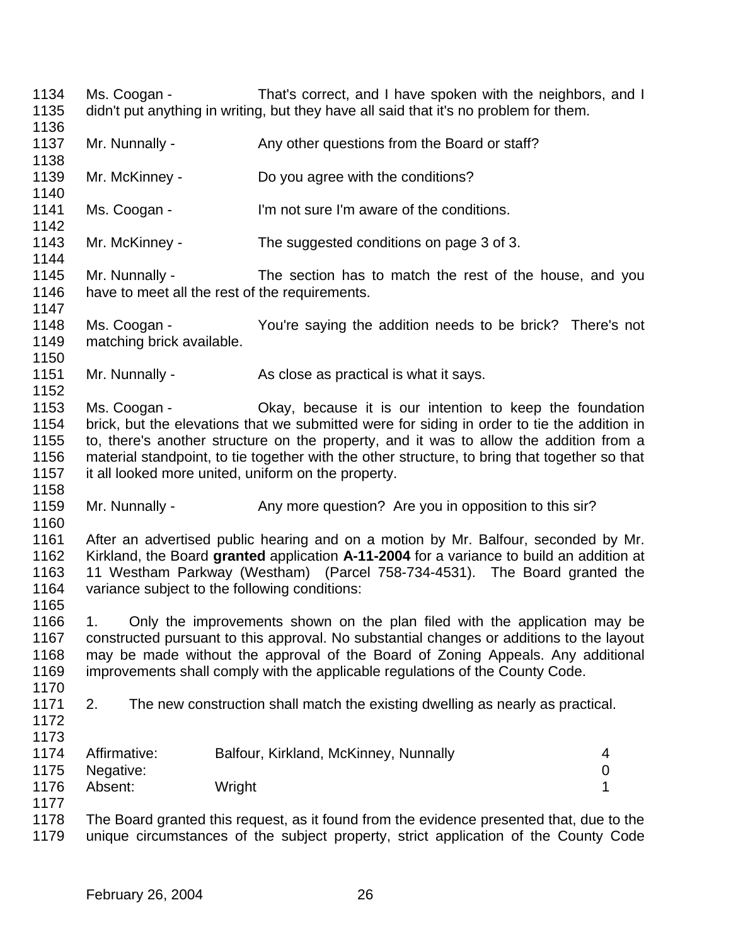Ms. Coogan - That's correct, and I have spoken with the neighbors, and I didn't put anything in writing, but they have all said that it's no problem for them. 1137 Mr. Nunnally - Any other questions from the Board or staff? Mr. McKinney - Do you agree with the conditions? Ms. Coogan - I'm not sure I'm aware of the conditions. Mr. McKinney - The suggested conditions on page 3 of 3. Mr. Nunnally - The section has to match the rest of the house, and you have to meet all the rest of the requirements. 1147<br>1148 Ms. Coogan - There's not You're saying the addition needs to be brick? There's not matching brick available. 1151 Mr. Nunnally - As close as practical is what it says. Ms. Coogan - Okay, because it is our intention to keep the foundation brick, but the elevations that we submitted were for siding in order to tie the addition in to, there's another structure on the property, and it was to allow the addition from a material standpoint, to tie together with the other structure, to bring that together so that it all looked more united, uniform on the property. 1159 Mr. Nunnally - Any more question? Are you in opposition to this sir? After an advertised public hearing and on a motion by Mr. Balfour, seconded by Mr. Kirkland, the Board **granted** application **A-11-2004** for a variance to build an addition at 11 Westham Parkway (Westham) (Parcel 758-734-4531). The Board granted the variance subject to the following conditions: 1. Only the improvements shown on the plan filed with the application may be constructed pursuant to this approval. No substantial changes or additions to the layout may be made without the approval of the Board of Zoning Appeals. Any additional improvements shall comply with the applicable regulations of the County Code. 2. The new construction shall match the existing dwelling as nearly as practical. Affirmative: Balfour, Kirkland, McKinney, Nunnally 4 Negative: 0 1176 Absent: Wright 120 November 120 November 130 November 130 November 130 November 130 November 130 November 1 The Board granted this request, as it found from the evidence presented that, due to the unique circumstances of the subject property, strict application of the County Code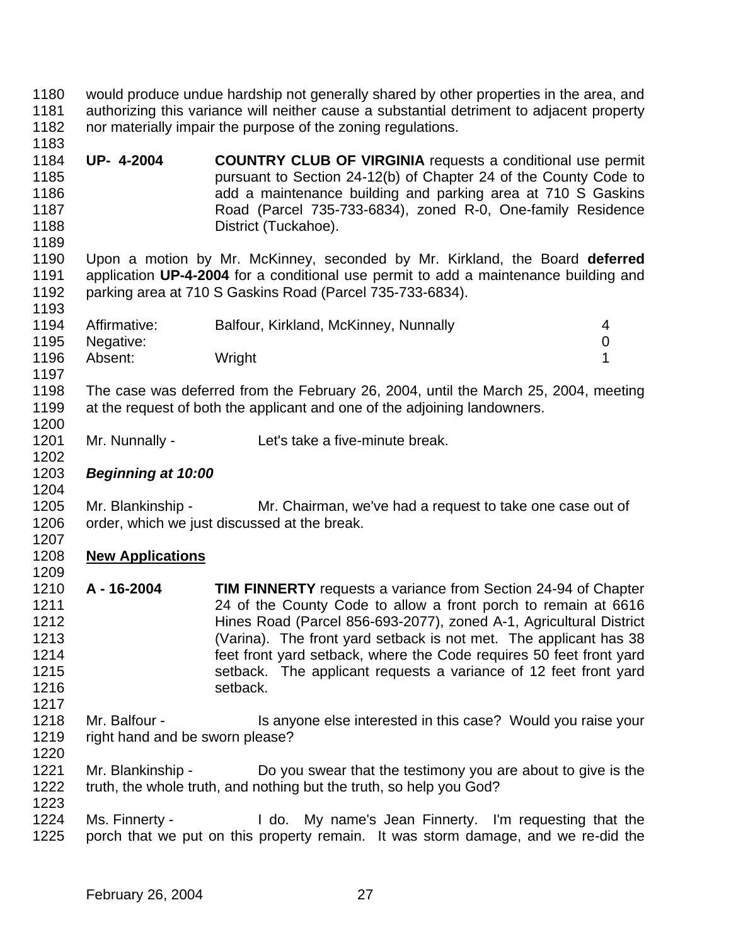- would produce undue hardship not generally shared by other properties in the area, and authorizing this variance will neither cause a substantial detriment to adjacent property nor materially impair the purpose of the zoning regulations.
- **UP- 4-2004 COUNTRY CLUB OF VIRGINIA** requests a conditional use permit pursuant to Section 24-12(b) of Chapter 24 of the County Code to **and a maintenance building and parking area at 710 S Gaskins**  Road (Parcel 735-733-6834), zoned R-0, One-family Residence 1188 District (Tuckahoe).

 Upon a motion by Mr. McKinney, seconded by Mr. Kirkland, the Board **deferred** application **UP-4-2004** for a conditional use permit to add a maintenance building and parking area at 710 S Gaskins Road (Parcel 735-733-6834).

| 1194 | Affirmative: | Balfour, Kirkland, McKinney, Nunnally | 4 |
|------|--------------|---------------------------------------|---|
| 1195 | Negative:    |                                       |   |
| 1196 | Absent:      | Wright                                |   |
| 1197 |              |                                       |   |

- The case was deferred from the February 26, 2004, until the March 25, 2004, meeting at the request of both the applicant and one of the adjoining landowners.
- Mr. Nunnally Let's take a five-minute break.
- *Beginning at 10:00*

 Mr. Blankinship - Mr. Chairman, we've had a request to take one case out of order, which we just discussed at the break.

- **New Applications**
- **A 16-2004 TIM FINNERTY** requests a variance from Section 24-94 of Chapter 24 of the County Code to allow a front porch to remain at 6616 Hines Road (Parcel 856-693-2077), zoned A-1, Agricultural District (Varina). The front yard setback is not met. The applicant has 38 feet front yard setback, where the Code requires 50 feet front yard setback. The applicant requests a variance of 12 feet front yard setback.
- 1218 Mr. Balfour Is anyone else interested in this case? Would you raise your right hand and be sworn please?
- 1221 Mr. Blankinship - Do you swear that the testimony you are about to give is the truth, the whole truth, and nothing but the truth, so help you God?
- Ms. Finnerty I do. My name's Jean Finnerty. I'm requesting that the porch that we put on this property remain. It was storm damage, and we re-did the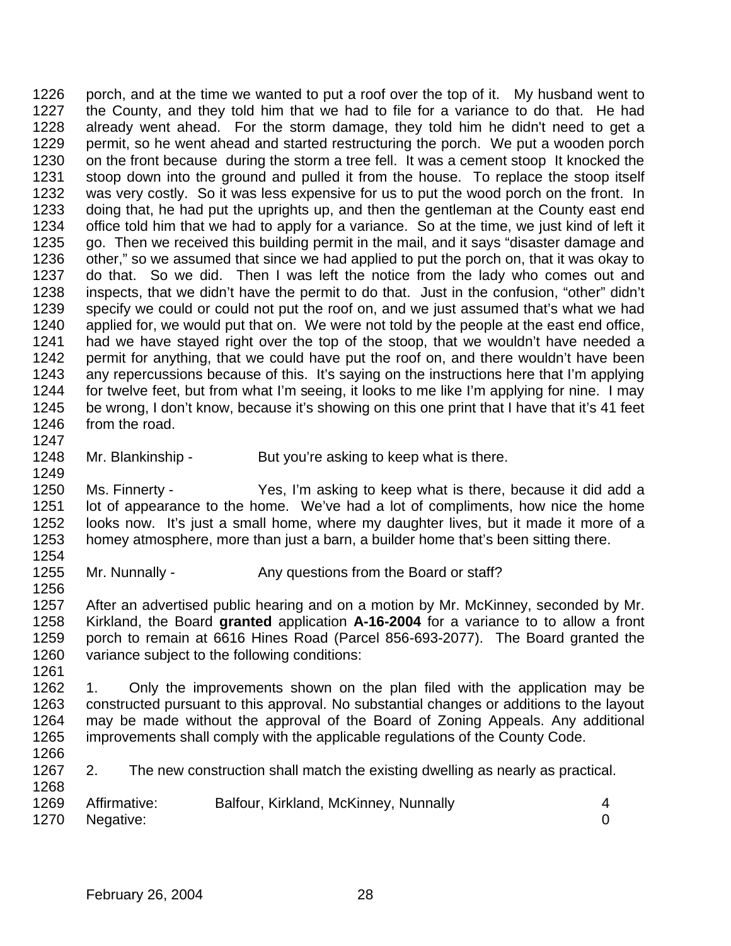porch, and at the time we wanted to put a roof over the top of it. My husband went to the County, and they told him that we had to file for a variance to do that. He had already went ahead. For the storm damage, they told him he didn't need to get a permit, so he went ahead and started restructuring the porch. We put a wooden porch on the front because during the storm a tree fell. It was a cement stoop It knocked the stoop down into the ground and pulled it from the house. To replace the stoop itself was very costly. So it was less expensive for us to put the wood porch on the front. In doing that, he had put the uprights up, and then the gentleman at the County east end office told him that we had to apply for a variance. So at the time, we just kind of left it go. Then we received this building permit in the mail, and it says "disaster damage and other," so we assumed that since we had applied to put the porch on, that it was okay to do that. So we did. Then I was left the notice from the lady who comes out and inspects, that we didn't have the permit to do that. Just in the confusion, "other" didn't specify we could or could not put the roof on, and we just assumed that's what we had applied for, we would put that on. We were not told by the people at the east end office, had we have stayed right over the top of the stoop, that we wouldn't have needed a permit for anything, that we could have put the roof on, and there wouldn't have been any repercussions because of this. It's saying on the instructions here that I'm applying for twelve feet, but from what I'm seeing, it looks to me like I'm applying for nine. I may be wrong, I don't know, because it's showing on this one print that I have that it's 41 feet from the road. 

1248 Mr. Blankinship - But you're asking to keep what is there.

 Ms. Finnerty - Yes, I'm asking to keep what is there, because it did add a lot of appearance to the home. We've had a lot of compliments, how nice the home looks now. It's just a small home, where my daughter lives, but it made it more of a homey atmosphere, more than just a barn, a builder home that's been sitting there. 

1255 Mr. Nunnally - Any questions from the Board or staff?

 After an advertised public hearing and on a motion by Mr. McKinney, seconded by Mr. Kirkland, the Board **granted** application **A-16-2004** for a variance to to allow a front porch to remain at 6616 Hines Road (Parcel 856-693-2077). The Board granted the variance subject to the following conditions:

 1. Only the improvements shown on the plan filed with the application may be constructed pursuant to this approval. No substantial changes or additions to the layout may be made without the approval of the Board of Zoning Appeals. Any additional improvements shall comply with the applicable regulations of the County Code. 

2. The new construction shall match the existing dwelling as nearly as practical.

| 1269 Affirmative: | Balfour, Kirkland, McKinney, Nunnally |  |
|-------------------|---------------------------------------|--|
| 1270 Negative:    |                                       |  |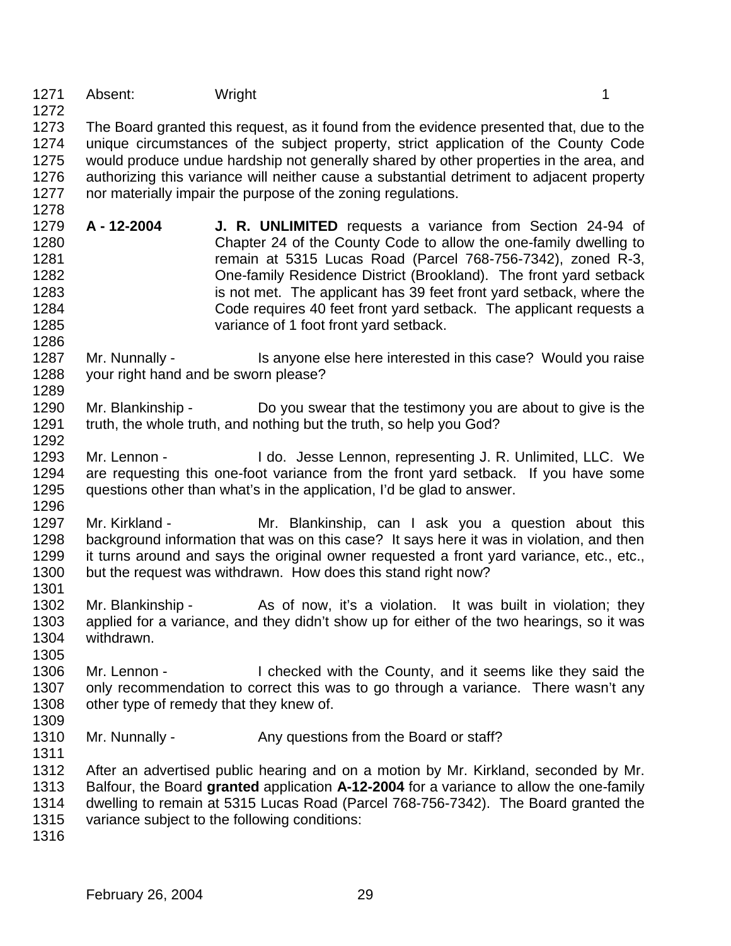1271 Absent: Wright 1271 Absent: 1

 The Board granted this request, as it found from the evidence presented that, due to the unique circumstances of the subject property, strict application of the County Code would produce undue hardship not generally shared by other properties in the area, and authorizing this variance will neither cause a substantial detriment to adjacent property nor materially impair the purpose of the zoning regulations.

- **A 12-2004 J. R. UNLIMITED** requests a variance from Section 24-94 of Chapter 24 of the County Code to allow the one-family dwelling to remain at 5315 Lucas Road (Parcel 768-756-7342), zoned R-3, One-family Residence District (Brookland). The front yard setback is not met. The applicant has 39 feet front yard setback, where the Code requires 40 feet front yard setback. The applicant requests a variance of 1 foot front yard setback.
- 1287 Mr. Nunnally Is anyone else here interested in this case? Would you raise your right hand and be sworn please?
- Mr. Blankinship Do you swear that the testimony you are about to give is the truth, the whole truth, and nothing but the truth, so help you God?
- Mr. Lennon I do. Jesse Lennon, representing J. R. Unlimited, LLC. We are requesting this one-foot variance from the front yard setback. If you have some questions other than what's in the application, I'd be glad to answer.
- 1297 Mr. Kirkland Mr. Blankinship, can I ask you a question about this background information that was on this case? It says here it was in violation, and then it turns around and says the original owner requested a front yard variance, etc., etc., but the request was withdrawn. How does this stand right now?
- 1302 Mr. Blankinship As of now, it's a violation. It was built in violation; they applied for a variance, and they didn't show up for either of the two hearings, so it was withdrawn.
- Mr. Lennon I checked with the County, and it seems like they said the 1307 only recommendation to correct this was to go through a variance. There wasn't any other type of remedy that they knew of.
- 

- 1310 Mr. Nunnally Any questions from the Board or staff?
- After an advertised public hearing and on a motion by Mr. Kirkland, seconded by Mr. Balfour, the Board **granted** application **A-12-2004** for a variance to allow the one-family dwelling to remain at 5315 Lucas Road (Parcel 768-756-7342). The Board granted the variance subject to the following conditions:
-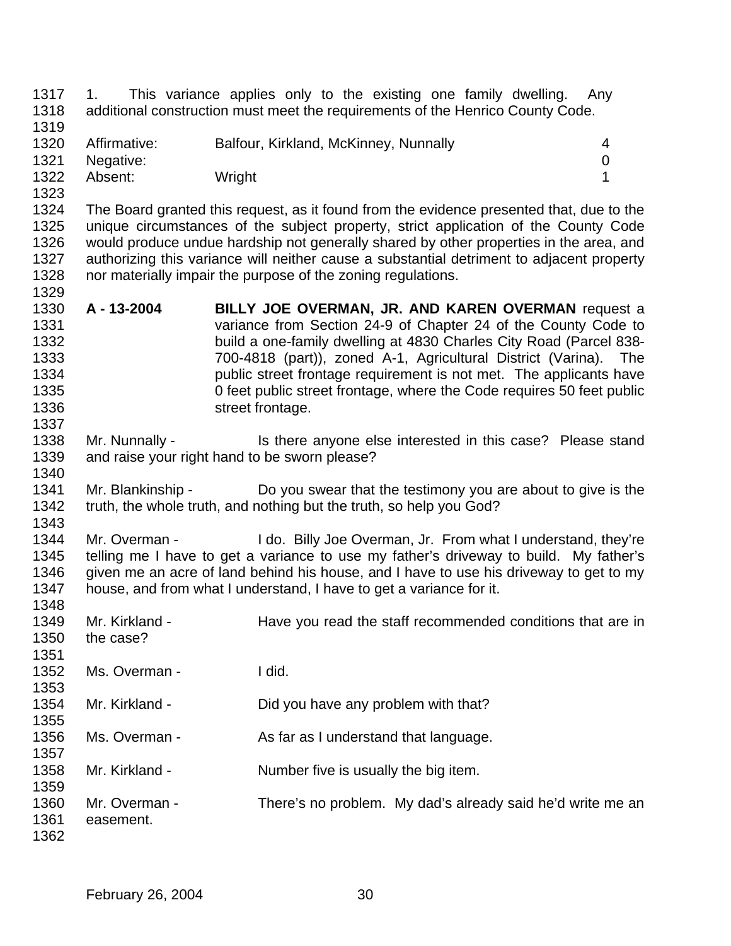1. This variance applies only to the existing one family dwelling. Any additional construction must meet the requirements of the Henrico County Code. Affirmative: Balfour, Kirkland, McKinney, Nunnally 4 Negative: 0 1322 Absent: Wright 1222 Absent: 1 The Board granted this request, as it found from the evidence presented that, due to the unique circumstances of the subject property, strict application of the County Code would produce undue hardship not generally shared by other properties in the area, and authorizing this variance will neither cause a substantial detriment to adjacent property nor materially impair the purpose of the zoning regulations. **A - 13-2004 BILLY JOE OVERMAN, JR. AND KAREN OVERMAN** request a variance from Section 24-9 of Chapter 24 of the County Code to build a one-family dwelling at 4830 Charles City Road (Parcel 838- 700-4818 (part)), zoned A-1, Agricultural District (Varina). The public street frontage requirement is not met. The applicants have 0 feet public street frontage, where the Code requires 50 feet public 1336 street frontage. 1338 Mr. Nunnally - Is there anyone else interested in this case? Please stand and raise your right hand to be sworn please? Mr. Blankinship - Do you swear that the testimony you are about to give is the truth, the whole truth, and nothing but the truth, so help you God? 1344 Mr. Overman - I do. Billy Joe Overman, Jr. From what I understand, they're telling me I have to get a variance to use my father's driveway to build. My father's 1346 given me an acre of land behind his house, and I have to use his driveway to get to my house, and from what I understand, I have to get a variance for it. 1349 Mr. Kirkland - Have you read the staff recommended conditions that are in the case? Ms. Overman - I did. Mr. Kirkland - Did you have any problem with that? 1356 Ms. Overman - As far as I understand that language. Mr. Kirkland - Number five is usually the big item. 1360 Mr. Overman - There's no problem. My dad's already said he'd write me an 1361 easement. easement.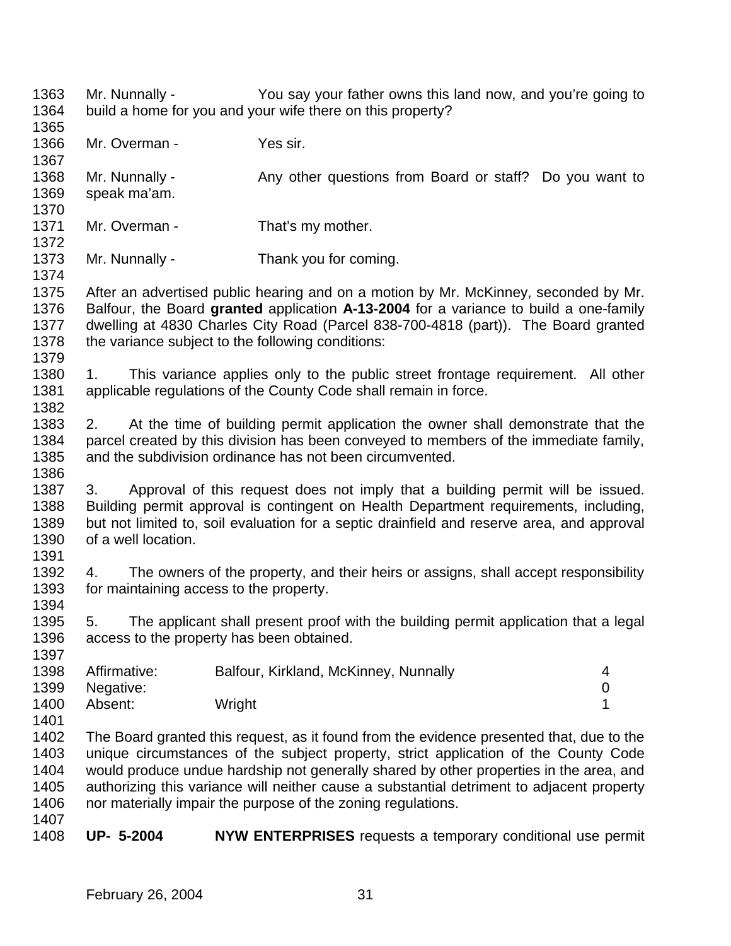Mr. Nunnally - You say your father owns this land now, and you're going to build a home for you and your wife there on this property? 1366 Mr. Overman - Yes sir. 1368 Mr. Nunnally - Any other questions from Board or staff? Do you want to speak ma'am. 1371 Mr. Overman - That's my mother. 1373 Mr. Nunnally - Thank you for coming. After an advertised public hearing and on a motion by Mr. McKinney, seconded by Mr. Balfour, the Board **granted** application **A-13-2004** for a variance to build a one-family dwelling at 4830 Charles City Road (Parcel 838-700-4818 (part)). The Board granted the variance subject to the following conditions: 1380 1. This variance applies only to the public street frontage requirement. All other applicable regulations of the County Code shall remain in force. 2. At the time of building permit application the owner shall demonstrate that the parcel created by this division has been conveyed to members of the immediate family, and the subdivision ordinance has not been circumvented. 3. Approval of this request does not imply that a building permit will be issued. Building permit approval is contingent on Health Department requirements, including, but not limited to, soil evaluation for a septic drainfield and reserve area, and approval of a well location. 4. The owners of the property, and their heirs or assigns, shall accept responsibility for maintaining access to the property. 5. The applicant shall present proof with the building permit application that a legal access to the property has been obtained. Affirmative: Balfour, Kirkland, McKinney, Nunnally 4 Negative: 0 1400 Absent: Wright 1200 Absent: 1 The Board granted this request, as it found from the evidence presented that, due to the unique circumstances of the subject property, strict application of the County Code would produce undue hardship not generally shared by other properties in the area, and authorizing this variance will neither cause a substantial detriment to adjacent property nor materially impair the purpose of the zoning regulations. **UP- 5-2004 NYW ENTERPRISES** requests a temporary conditional use permit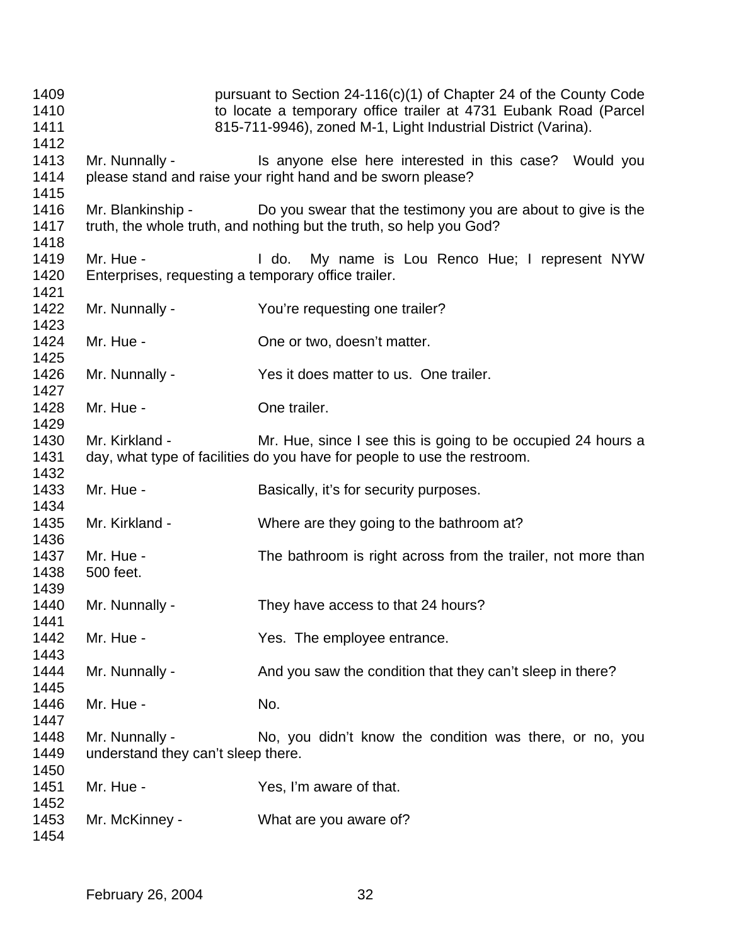pursuant to Section 24-116(c)(1) of Chapter 24 of the County Code to locate a temporary office trailer at 4731 Eubank Road (Parcel 815-711-9946), zoned M-1, Light Industrial District (Varina). 1413 Mr. Nunnally - Is anyone else here interested in this case? Would you please stand and raise your right hand and be sworn please? Mr. Blankinship - Do you swear that the testimony you are about to give is the truth, the whole truth, and nothing but the truth, so help you God? 1419 Mr. Hue - I do. My name is Lou Renco Hue; I represent NYW Enterprises, requesting a temporary office trailer. 1422 Mr. Nunnally - You're requesting one trailer? 1424 Mr. Hue - Che or two, doesn't matter. Mr. Nunnally - Yes it does matter to us. One trailer. Mr. Hue - One trailer. 1430 Mr. Kirkland - Mr. Hue, since I see this is going to be occupied 24 hours a day, what type of facilities do you have for people to use the restroom. 1433 Mr. Hue - Basically, it's for security purposes. Mr. Kirkland - Where are they going to the bathroom at? 1437 Mr. Hue - The bathroom is right across from the trailer, not more than 500 feet. Mr. Nunnally - They have access to that 24 hours? 1442 Mr. Hue - Yes. The employee entrance. 1444 Mr. Nunnally - And you saw the condition that they can't sleep in there? 1446 Mr. Hue - No. 1448 Mr. Nunnally - No, you didn't know the condition was there, or no, you understand they can't sleep there. 1451 Mr. Hue - Yes, I'm aware of that. Mr. McKinney - What are you aware of?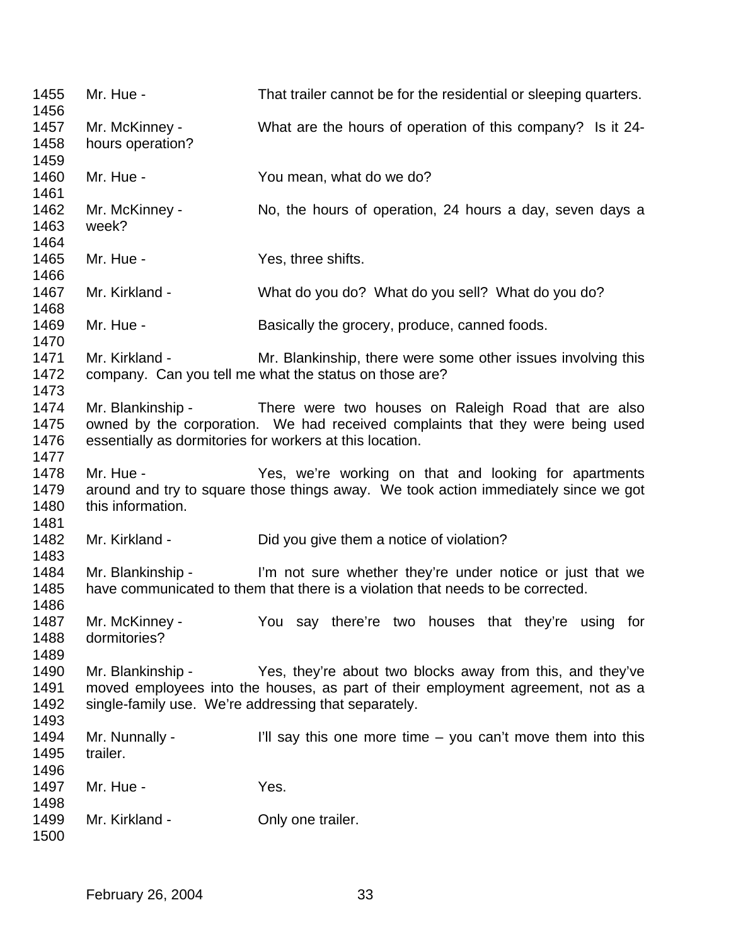1455 Mr. Hue - That trailer cannot be for the residential or sleeping quarters. Mr. McKinney - What are the hours of operation of this company? Is it 24- hours operation? Mr. Hue - You mean, what do we do? 1462 Mr. McKinney - No, the hours of operation, 24 hours a day, seven days a week? Mr. Hue - Yes, three shifts. Mr. Kirkland - What do you do? What do you sell? What do you do? 1468<br>1469 Mr. Hue - Basically the grocery, produce, canned foods. 1471 Mr. Kirkland - Mr. Blankinship, there were some other issues involving this company. Can you tell me what the status on those are? Mr. Blankinship - There were two houses on Raleigh Road that are also owned by the corporation. We had received complaints that they were being used essentially as dormitories for workers at this location. 1478 Mr. Hue - Yes, we're working on that and looking for apartments around and try to square those things away. We took action immediately since we got 1480 this information. 1482 Mr. Kirkland - Did you give them a notice of violation? Mr. Blankinship - I'm not sure whether they're under notice or just that we have communicated to them that there is a violation that needs to be corrected. Mr. McKinney - You say there're two houses that they're using for dormitories? Mr. Blankinship - Yes, they're about two blocks away from this, and they've moved employees into the houses, as part of their employment agreement, not as a single-family use. We're addressing that separately. 1494 Mr. Nunnally - I'll say this one more time – you can't move them into this trailer. 1497 Mr. Hue - Yes. 1498<br>1499 Mr. Kirkland - **Only one trailer.**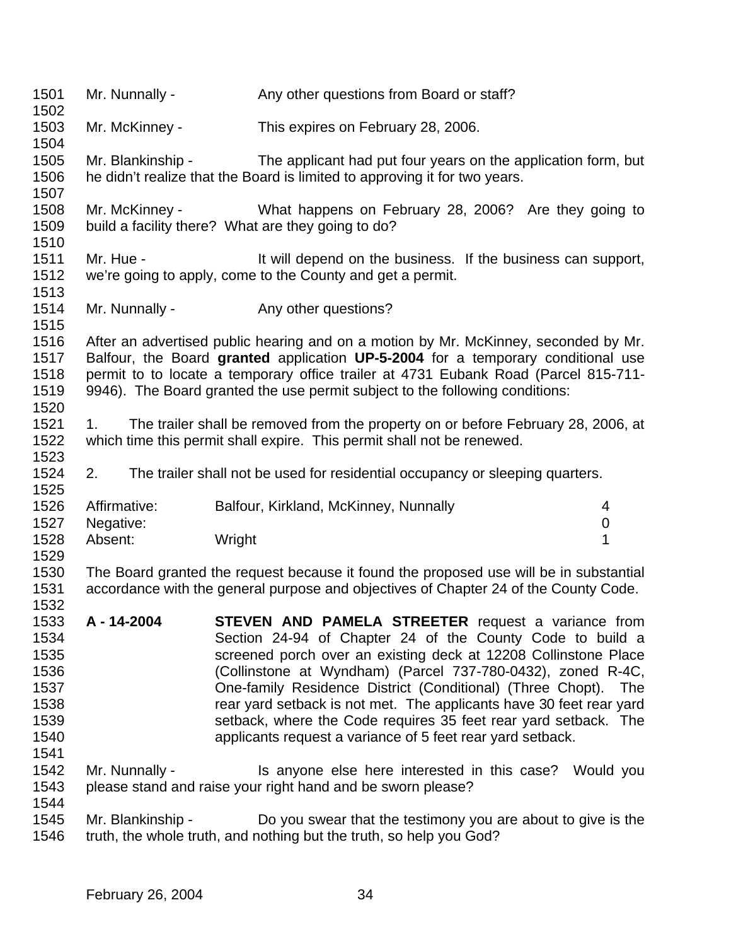1501 Mr. Nunnally - Any other questions from Board or staff? Mr. McKinney - This expires on February 28, 2006. Mr. Blankinship - The applicant had put four years on the application form, but he didn't realize that the Board is limited to approving it for two years. Mr. McKinney - What happens on February 28, 2006? Are they going to build a facility there? What are they going to do? 1511 Mr. Hue - It will depend on the business. If the business can support, we're going to apply, come to the County and get a permit. 1514 Mr. Nunnally - Any other questions? After an advertised public hearing and on a motion by Mr. McKinney, seconded by Mr. Balfour, the Board **granted** application **UP-5-2004** for a temporary conditional use permit to to locate a temporary office trailer at 4731 Eubank Road (Parcel 815-711- 9946). The Board granted the use permit subject to the following conditions: 1. The trailer shall be removed from the property on or before February 28, 2006, at which time this permit shall expire. This permit shall not be renewed. 2. The trailer shall not be used for residential occupancy or sleeping quarters. Affirmative: Balfour, Kirkland, McKinney, Nunnally 4 Negative: 0 Absent: Wright 1 The Board granted the request because it found the proposed use will be in substantial accordance with the general purpose and objectives of Chapter 24 of the County Code. **A - 14-2004 STEVEN AND PAMELA STREETER** request a variance from Section 24-94 of Chapter 24 of the County Code to build a screened porch over an existing deck at 12208 Collinstone Place (Collinstone at Wyndham) (Parcel 737-780-0432), zoned R-4C, One-family Residence District (Conditional) (Three Chopt). The rear yard setback is not met. The applicants have 30 feet rear yard setback, where the Code requires 35 feet rear yard setback. The applicants request a variance of 5 feet rear yard setback. 1542 Mr. Nunnally - Is anyone else here interested in this case? Would you please stand and raise your right hand and be sworn please? Mr. Blankinship - Do you swear that the testimony you are about to give is the truth, the whole truth, and nothing but the truth, so help you God?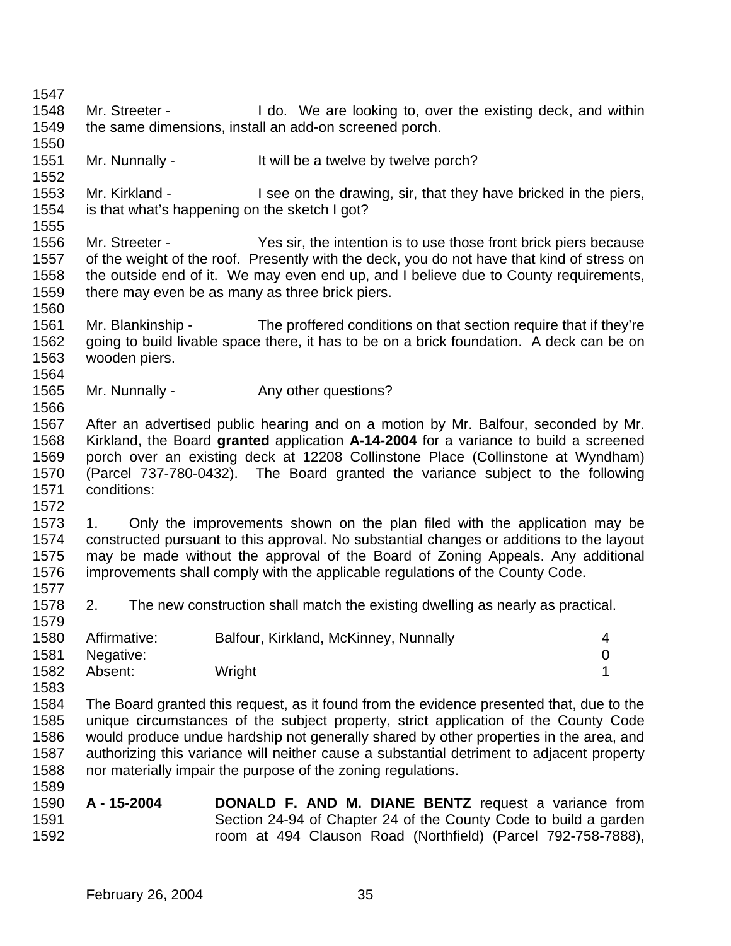Mr. Streeter - I do. We are looking to, over the existing deck, and within the same dimensions, install an add-on screened porch. 1551 Mr. Nunnally - It will be a twelve by twelve porch? Mr. Kirkland - I see on the drawing, sir, that they have bricked in the piers, is that what's happening on the sketch I got? Mr. Streeter - Yes sir, the intention is to use those front brick piers because of the weight of the roof. Presently with the deck, you do not have that kind of stress on the outside end of it. We may even end up, and I believe due to County requirements, there may even be as many as three brick piers. Mr. Blankinship - The proffered conditions on that section require that if they're going to build livable space there, it has to be on a brick foundation. A deck can be on wooden piers. 1565 Mr. Nunnally - Any other questions? After an advertised public hearing and on a motion by Mr. Balfour, seconded by Mr. Kirkland, the Board **granted** application **A-14-2004** for a variance to build a screened porch over an existing deck at 12208 Collinstone Place (Collinstone at Wyndham) (Parcel 737-780-0432). The Board granted the variance subject to the following conditions: 1. Only the improvements shown on the plan filed with the application may be constructed pursuant to this approval. No substantial changes or additions to the layout may be made without the approval of the Board of Zoning Appeals. Any additional improvements shall comply with the applicable regulations of the County Code. 2. The new construction shall match the existing dwelling as nearly as practical. Affirmative: Balfour, Kirkland, McKinney, Nunnally 4 Negative: 0 1582 Absent: Wright 1 The Board granted this request, as it found from the evidence presented that, due to the unique circumstances of the subject property, strict application of the County Code would produce undue hardship not generally shared by other properties in the area, and authorizing this variance will neither cause a substantial detriment to adjacent property nor materially impair the purpose of the zoning regulations. **A - 15-2004 DONALD F. AND M. DIANE BENTZ** request a variance from Section 24-94 of Chapter 24 of the County Code to build a garden room at 494 Clauson Road (Northfield) (Parcel 792-758-7888),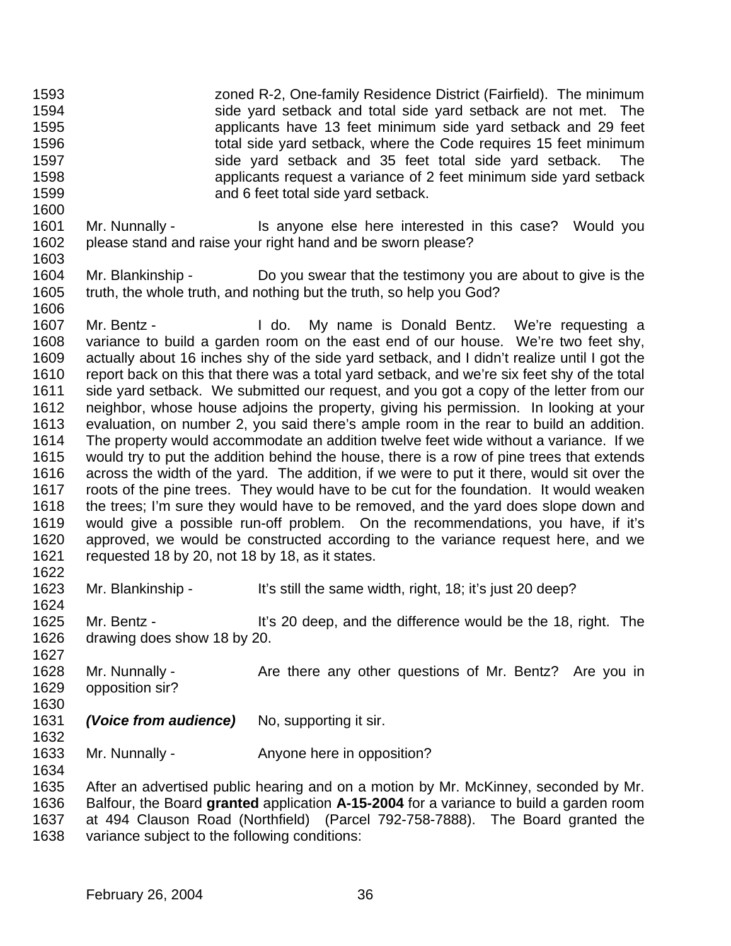zoned R-2, One-family Residence District (Fairfield). The minimum side yard setback and total side yard setback are not met. The applicants have 13 feet minimum side yard setback and 29 feet total side yard setback, where the Code requires 15 feet minimum side yard setback and 35 feet total side yard setback. The applicants request a variance of 2 feet minimum side yard setback and 6 feet total side yard setback. 1601 Mr. Nunnally - Is anyone else here interested in this case? Would you please stand and raise your right hand and be sworn please? Mr. Blankinship - Do you swear that the testimony you are about to give is the truth, the whole truth, and nothing but the truth, so help you God? Mr. Bentz - I do. My name is Donald Bentz. We're requesting a variance to build a garden room on the east end of our house. We're two feet shy, actually about 16 inches shy of the side yard setback, and I didn't realize until I got the report back on this that there was a total yard setback, and we're six feet shy of the total side yard setback. We submitted our request, and you got a copy of the letter from our neighbor, whose house adjoins the property, giving his permission. In looking at your evaluation, on number 2, you said there's ample room in the rear to build an addition. The property would accommodate an addition twelve feet wide without a variance. If we would try to put the addition behind the house, there is a row of pine trees that extends across the width of the yard. The addition, if we were to put it there, would sit over the roots of the pine trees. They would have to be cut for the foundation. It would weaken the trees; I'm sure they would have to be removed, and the yard does slope down and would give a possible run-off problem. On the recommendations, you have, if it's approved, we would be constructed according to the variance request here, and we requested 18 by 20, not 18 by 18, as it states. Mr. Blankinship - It's still the same width, right, 18; it's just 20 deep? Mr. Bentz - It's 20 deep, and the difference would be the 18, right. The drawing does show 18 by 20. 1628 Mr. Nunnally - Are there any other questions of Mr. Bentz? Are you in opposition sir? *(Voice from audience)* No, supporting it sir. 1633 Mr. Nunnally - Anyone here in opposition? After an advertised public hearing and on a motion by Mr. McKinney, seconded by Mr. Balfour, the Board **granted** application **A-15-2004** for a variance to build a garden room at 494 Clauson Road (Northfield) (Parcel 792-758-7888). The Board granted the variance subject to the following conditions: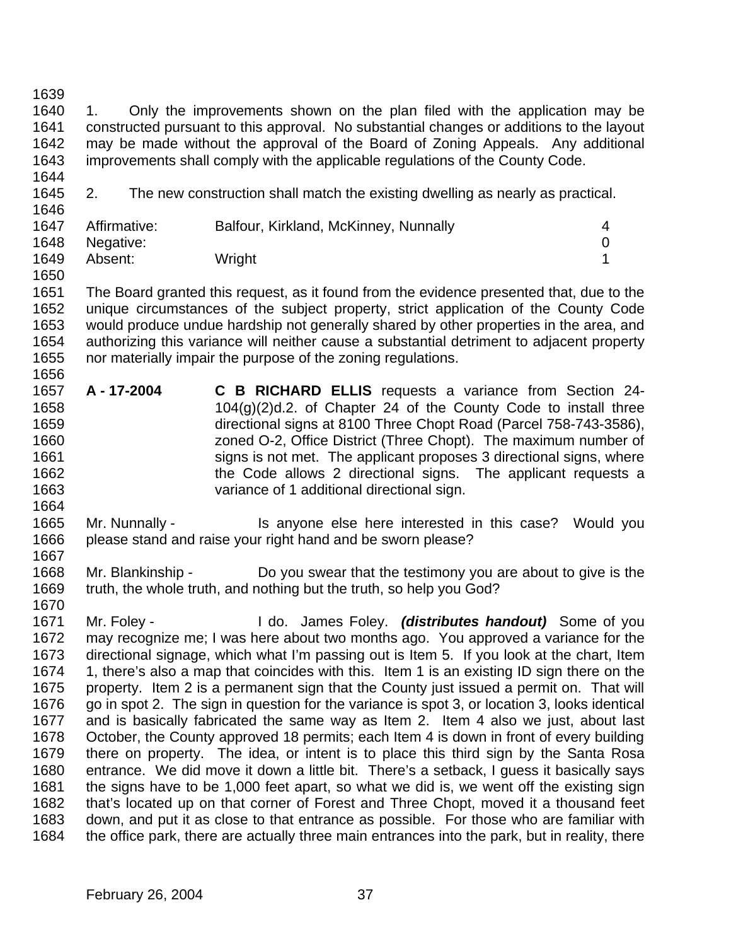1. Only the improvements shown on the plan filed with the application may be constructed pursuant to this approval. No substantial changes or additions to the layout may be made without the approval of the Board of Zoning Appeals. Any additional improvements shall comply with the applicable regulations of the County Code.

 

2. The new construction shall match the existing dwelling as nearly as practical.

| 1647 | Affirmative:   | Balfour, Kirkland, McKinney, Nunnally |  |
|------|----------------|---------------------------------------|--|
|      | 1648 Negative: |                                       |  |
| 1649 | Absent:        | Wright                                |  |

 The Board granted this request, as it found from the evidence presented that, due to the unique circumstances of the subject property, strict application of the County Code would produce undue hardship not generally shared by other properties in the area, and authorizing this variance will neither cause a substantial detriment to adjacent property nor materially impair the purpose of the zoning regulations. 

- **A 17-2004 C B RICHARD ELLIS** requests a variance from Section 24- 1658 104 $(9)(2)$ d.2. of Chapter 24 of the County Code to install three directional signs at 8100 Three Chopt Road (Parcel 758-743-3586), zoned O-2, Office District (Three Chopt). The maximum number of 1661 signs is not met. The applicant proposes 3 directional signs, where 1662 the Code allows 2 directional signs. The applicant requests a variance of 1 additional directional sign.
- 1665 Mr. Nunnally Is anyone else here interested in this case? Would you please stand and raise your right hand and be sworn please?
- Mr. Blankinship Do you swear that the testimony you are about to give is the truth, the whole truth, and nothing but the truth, so help you God?
- Mr. Foley I do. James Foley. *(distributes handout)* Some of you may recognize me; I was here about two months ago. You approved a variance for the directional signage, which what I'm passing out is Item 5. If you look at the chart, Item 1, there's also a map that coincides with this. Item 1 is an existing ID sign there on the property. Item 2 is a permanent sign that the County just issued a permit on. That will go in spot 2. The sign in question for the variance is spot 3, or location 3, looks identical and is basically fabricated the same way as Item 2. Item 4 also we just, about last October, the County approved 18 permits; each Item 4 is down in front of every building there on property. The idea, or intent is to place this third sign by the Santa Rosa entrance. We did move it down a little bit. There's a setback, I guess it basically says the signs have to be 1,000 feet apart, so what we did is, we went off the existing sign that's located up on that corner of Forest and Three Chopt, moved it a thousand feet down, and put it as close to that entrance as possible. For those who are familiar with the office park, there are actually three main entrances into the park, but in reality, there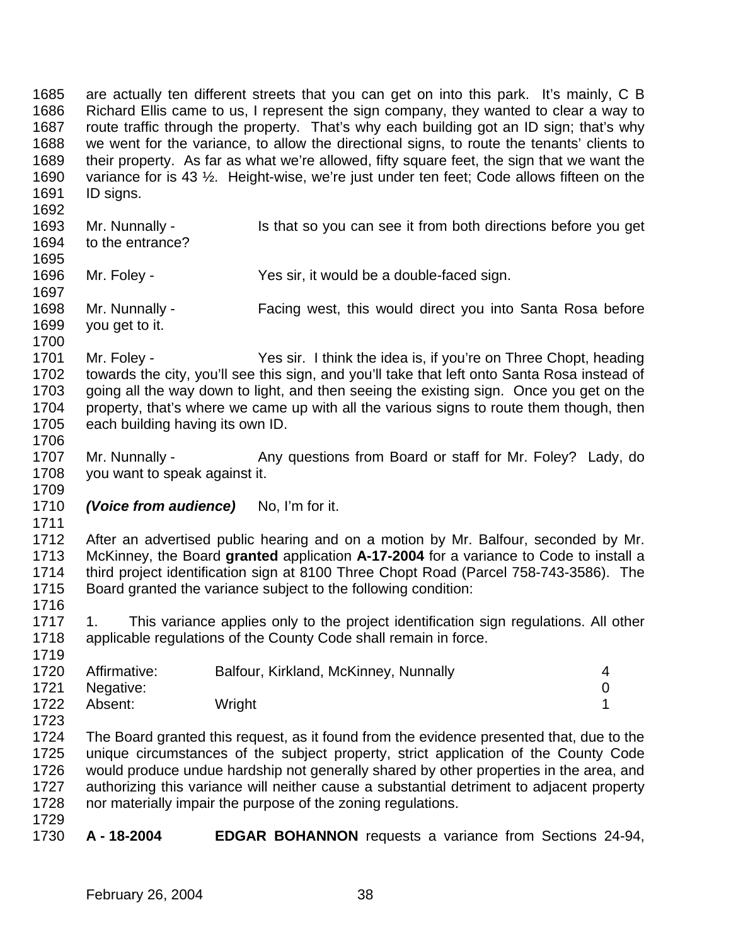are actually ten different streets that you can get on into this park. It's mainly, C B Richard Ellis came to us, I represent the sign company, they wanted to clear a way to route traffic through the property. That's why each building got an ID sign; that's why we went for the variance, to allow the directional signs, to route the tenants' clients to their property. As far as what we're allowed, fifty square feet, the sign that we want the variance for is 43 ½. Height-wise, we're just under ten feet; Code allows fifteen on the ID signs. 1693 Mr. Nunnally - Is that so you can see it from both directions before you get to the entrance? Mr. Foley - Yes sir, it would be a double-faced sign. Mr. Nunnally - Facing west, this would direct you into Santa Rosa before you get to it. Mr. Foley - Yes sir. I think the idea is, if you're on Three Chopt, heading towards the city, you'll see this sign, and you'll take that left onto Santa Rosa instead of going all the way down to light, and then seeing the existing sign. Once you get on the property, that's where we came up with all the various signs to route them though, then each building having its own ID. 1707 Mr. Nunnally - Any questions from Board or staff for Mr. Foley? Lady, do you want to speak against it. *(Voice from audience)* No, I'm for it. After an advertised public hearing and on a motion by Mr. Balfour, seconded by Mr. McKinney, the Board **granted** application **A-17-2004** for a variance to Code to install a third project identification sign at 8100 Three Chopt Road (Parcel 758-743-3586). The Board granted the variance subject to the following condition: 1717 1. This variance applies only to the project identification sign regulations. All other applicable regulations of the County Code shall remain in force. Affirmative: Balfour, Kirkland, McKinney, Nunnally 4 Negative: 0 1722 Absent: Wright 1 The Board granted this request, as it found from the evidence presented that, due to the unique circumstances of the subject property, strict application of the County Code would produce undue hardship not generally shared by other properties in the area, and authorizing this variance will neither cause a substantial detriment to adjacent property nor materially impair the purpose of the zoning regulations. **A - 18-2004 EDGAR BOHANNON** requests a variance from Sections 24-94,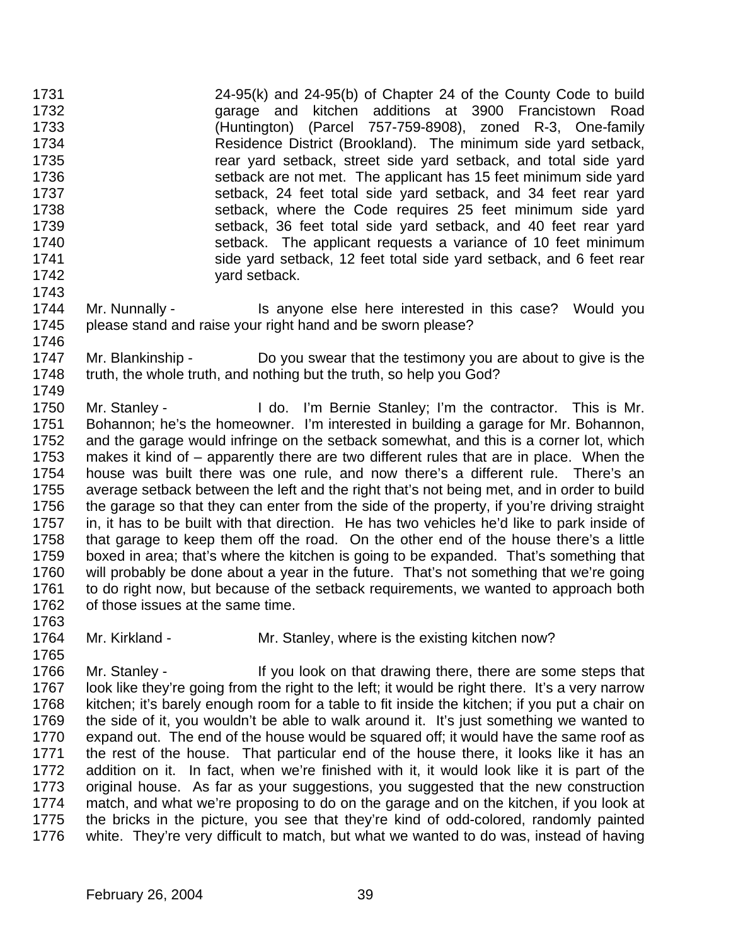24-95(k) and 24-95(b) of Chapter 24 of the County Code to build garage and kitchen additions at 3900 Francistown Road (Huntington) (Parcel 757-759-8908), zoned R-3, One-family Residence District (Brookland). The minimum side yard setback, rear yard setback, street side yard setback, and total side yard setback are not met. The applicant has 15 feet minimum side yard setback, 24 feet total side yard setback, and 34 feet rear yard setback, where the Code requires 25 feet minimum side yard setback, 36 feet total side yard setback, and 40 feet rear yard setback. The applicant requests a variance of 10 feet minimum side yard setback, 12 feet total side yard setback, and 6 feet rear yard setback. 

- 1744 Mr. Nunnally Is anyone else here interested in this case? Would you please stand and raise your right hand and be sworn please?
- 1747 Mr. Blankinship Do you swear that the testimony you are about to give is the truth, the whole truth, and nothing but the truth, so help you God?

1750 Mr. Stanley - I do. I'm Bernie Stanley; I'm the contractor. This is Mr. Bohannon; he's the homeowner. I'm interested in building a garage for Mr. Bohannon, and the garage would infringe on the setback somewhat, and this is a corner lot, which makes it kind of – apparently there are two different rules that are in place. When the house was built there was one rule, and now there's a different rule. There's an average setback between the left and the right that's not being met, and in order to build the garage so that they can enter from the side of the property, if you're driving straight in, it has to be built with that direction. He has two vehicles he'd like to park inside of that garage to keep them off the road. On the other end of the house there's a little boxed in area; that's where the kitchen is going to be expanded. That's something that will probably be done about a year in the future. That's not something that we're going to do right now, but because of the setback requirements, we wanted to approach both of those issues at the same time.

- 
- 1764 Mr. Kirkland Mr. Stanley, where is the existing kitchen now?

1766 Mr. Stanley - If you look on that drawing there, there are some steps that look like they're going from the right to the left; it would be right there. It's a very narrow kitchen; it's barely enough room for a table to fit inside the kitchen; if you put a chair on the side of it, you wouldn't be able to walk around it. It's just something we wanted to expand out. The end of the house would be squared off; it would have the same roof as the rest of the house. That particular end of the house there, it looks like it has an addition on it. In fact, when we're finished with it, it would look like it is part of the original house. As far as your suggestions, you suggested that the new construction match, and what we're proposing to do on the garage and on the kitchen, if you look at the bricks in the picture, you see that they're kind of odd-colored, randomly painted white. They're very difficult to match, but what we wanted to do was, instead of having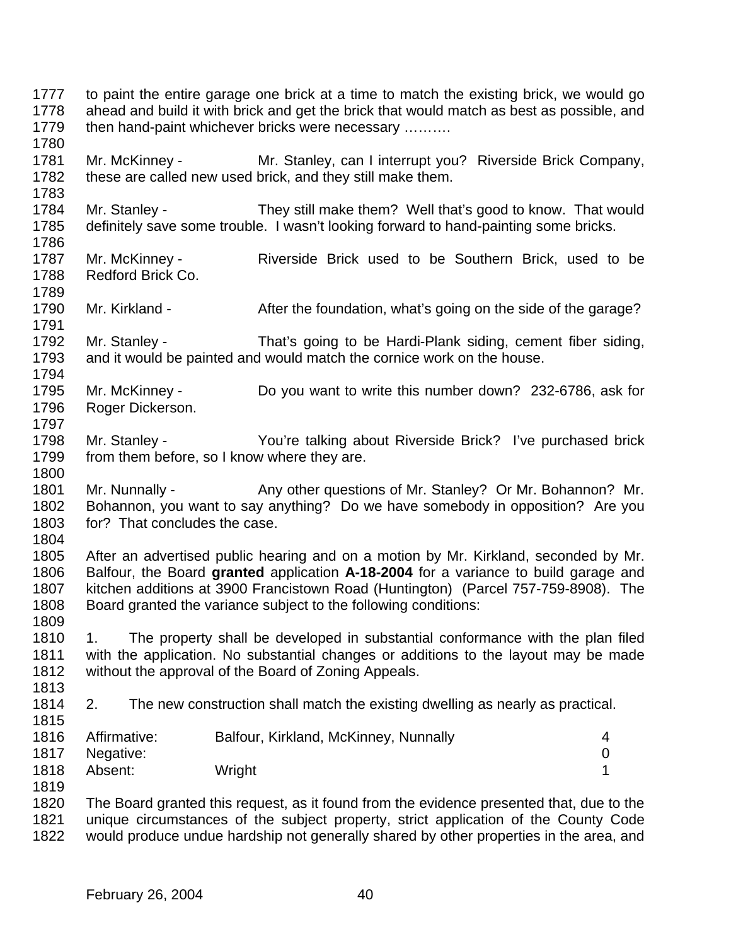to paint the entire garage one brick at a time to match the existing brick, we would go ahead and build it with brick and get the brick that would match as best as possible, and 1779 then hand-paint whichever bricks were necessary ………. Mr. McKinney - Mr. Stanley, can I interrupt you? Riverside Brick Company, these are called new used brick, and they still make them. Mr. Stanley - They still make them? Well that's good to know. That would definitely save some trouble. I wasn't looking forward to hand-painting some bricks. Mr. McKinney - Riverside Brick used to be Southern Brick, used to be Redford Brick Co. 1790 Mr. Kirkland - After the foundation, what's going on the side of the garage? Mr. Stanley - That's going to be Hardi-Plank siding, cement fiber siding, and it would be painted and would match the cornice work on the house. Mr. McKinney - Do you want to write this number down? 232-6786, ask for Roger Dickerson. Mr. Stanley - You're talking about Riverside Brick? I've purchased brick 1799 from them before, so I know where they are. 1801 Mr. Nunnally - Any other questions of Mr. Stanley? Or Mr. Bohannon? Mr. Bohannon, you want to say anything? Do we have somebody in opposition? Are you for? That concludes the case. After an advertised public hearing and on a motion by Mr. Kirkland, seconded by Mr. Balfour, the Board **granted** application **A-18-2004** for a variance to build garage and kitchen additions at 3900 Francistown Road (Huntington) (Parcel 757-759-8908). The Board granted the variance subject to the following conditions: 1. The property shall be developed in substantial conformance with the plan filed with the application. No substantial changes or additions to the layout may be made without the approval of the Board of Zoning Appeals. 2. The new construction shall match the existing dwelling as nearly as practical. Affirmative: Balfour, Kirkland, McKinney, Nunnally 4 Negative: 0 1818 Absent: Wright 1818 1990 1991 1991 1991 1992 1993 1994 1996 1997 1998 1999 1 The Board granted this request, as it found from the evidence presented that, due to the unique circumstances of the subject property, strict application of the County Code would produce undue hardship not generally shared by other properties in the area, and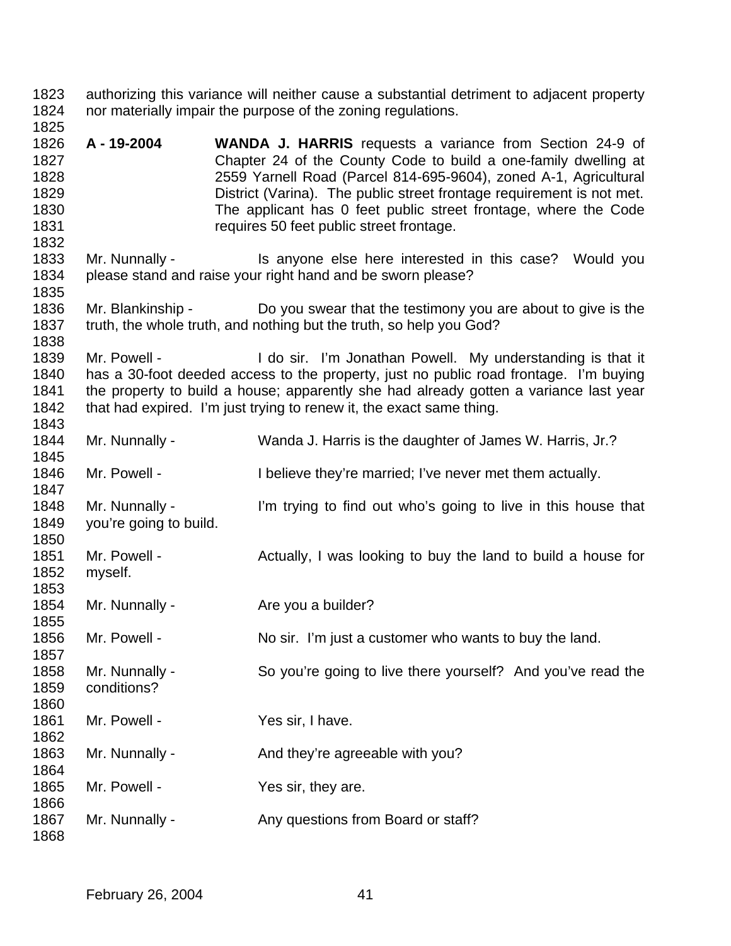- authorizing this variance will neither cause a substantial detriment to adjacent property nor materially impair the purpose of the zoning regulations.
- **A 19-2004 WANDA J. HARRIS** requests a variance from Section 24-9 of Chapter 24 of the County Code to build a one-family dwelling at 2559 Yarnell Road (Parcel 814-695-9604), zoned A-1, Agricultural District (Varina). The public street frontage requirement is not met. The applicant has 0 feet public street frontage, where the Code requires 50 feet public street frontage.
- 1833 Mr. Nunnally Is anyone else here interested in this case? Would you please stand and raise your right hand and be sworn please?
- Mr. Blankinship Do you swear that the testimony you are about to give is the truth, the whole truth, and nothing but the truth, so help you God?
- 1839 Mr. Powell I do sir. I'm Jonathan Powell. My understanding is that it has a 30-foot deeded access to the property, just no public road frontage. I'm buying the property to build a house; apparently she had already gotten a variance last year 1842 that had expired. I'm just trying to renew it, the exact same thing.
- Mr. Nunnally Wanda J. Harris is the daughter of James W. Harris, Jr.?
- Mr. Powell I believe they're married; I've never met them actually.
- 1848 Mr. Nunnally I'm trying to find out who's going to live in this house that you're going to build.
- 1851 Mr. Powell - Actually, I was looking to buy the land to build a house for myself.
- 1854 Mr. Nunnally Are you a builder?
- 1856 Mr. Powell No sir. I'm just a customer who wants to buy the land.
- Mr. Nunnally So you're going to live there yourself? And you've read the
- 1861 Mr. Powell - Yes sir, I have. 1863 Mr. Nunnally - And they're agreeable with you? 1865 Mr. Powell - Yes sir, they are. 1867 Mr. Nunnally - Any questions from Board or staff?

conditions?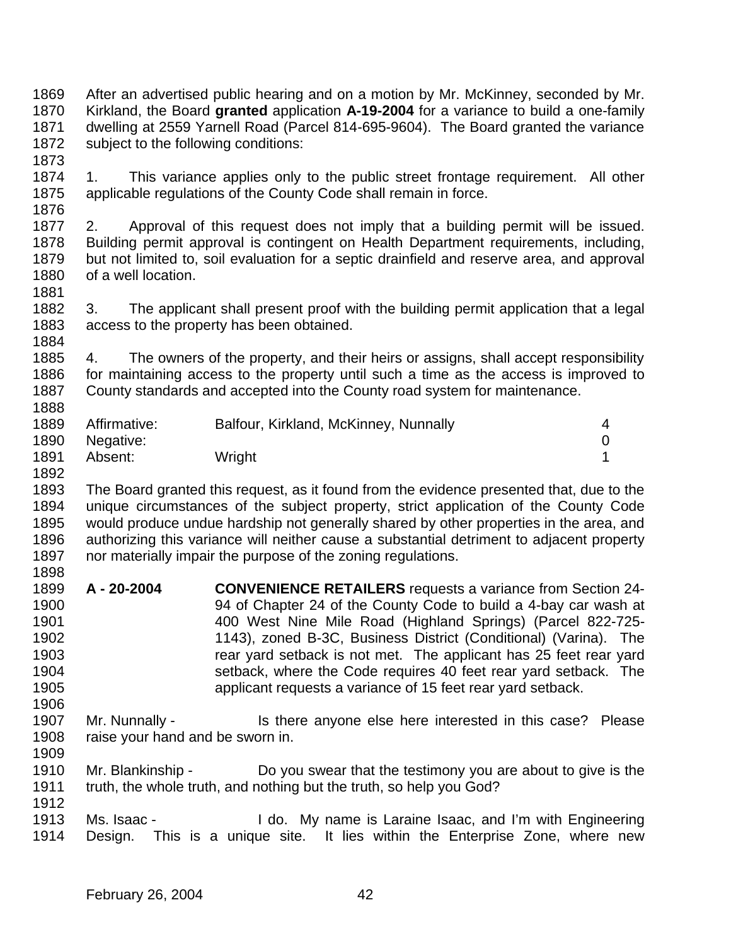After an advertised public hearing and on a motion by Mr. McKinney, seconded by Mr. Kirkland, the Board **granted** application **A-19-2004** for a variance to build a one-family dwelling at 2559 Yarnell Road (Parcel 814-695-9604). The Board granted the variance subject to the following conditions:

 1. This variance applies only to the public street frontage requirement. All other applicable regulations of the County Code shall remain in force. 

 2. Approval of this request does not imply that a building permit will be issued. Building permit approval is contingent on Health Department requirements, including, but not limited to, soil evaluation for a septic drainfield and reserve area, and approval of a well location.

1882 3. The applicant shall present proof with the building permit application that a legal 1883 access to the property has been obtained. access to the property has been obtained. 

 4. The owners of the property, and their heirs or assigns, shall accept responsibility for maintaining access to the property until such a time as the access is improved to County standards and accepted into the County road system for maintenance. 

| 1889 | Affirmative: | Balfour, Kirkland, McKinney, Nunnally | 4 |
|------|--------------|---------------------------------------|---|
| 1890 | Negative:    |                                       |   |
| 1891 | Absent:      | Wright                                |   |
| 1892 |              |                                       |   |

 The Board granted this request, as it found from the evidence presented that, due to the unique circumstances of the subject property, strict application of the County Code would produce undue hardship not generally shared by other properties in the area, and authorizing this variance will neither cause a substantial detriment to adjacent property nor materially impair the purpose of the zoning regulations. 

- **A 20-2004 CONVENIENCE RETAILERS** requests a variance from Section 24- 94 of Chapter 24 of the County Code to build a 4-bay car wash at 400 West Nine Mile Road (Highland Springs) (Parcel 822-725- 1143), zoned B-3C, Business District (Conditional) (Varina). The rear yard setback is not met. The applicant has 25 feet rear yard setback, where the Code requires 40 feet rear yard setback. The applicant requests a variance of 15 feet rear yard setback.
- 1907 Mr. Nunnally Is there anyone else here interested in this case? Please 1908 raise your hand and be sworn in.
- Mr. Blankinship Do you swear that the testimony you are about to give is the truth, the whole truth, and nothing but the truth, so help you God?
- Ms. Isaac I do. My name is Laraine Isaac, and I'm with Engineering Design. This is a unique site. It lies within the Enterprise Zone, where new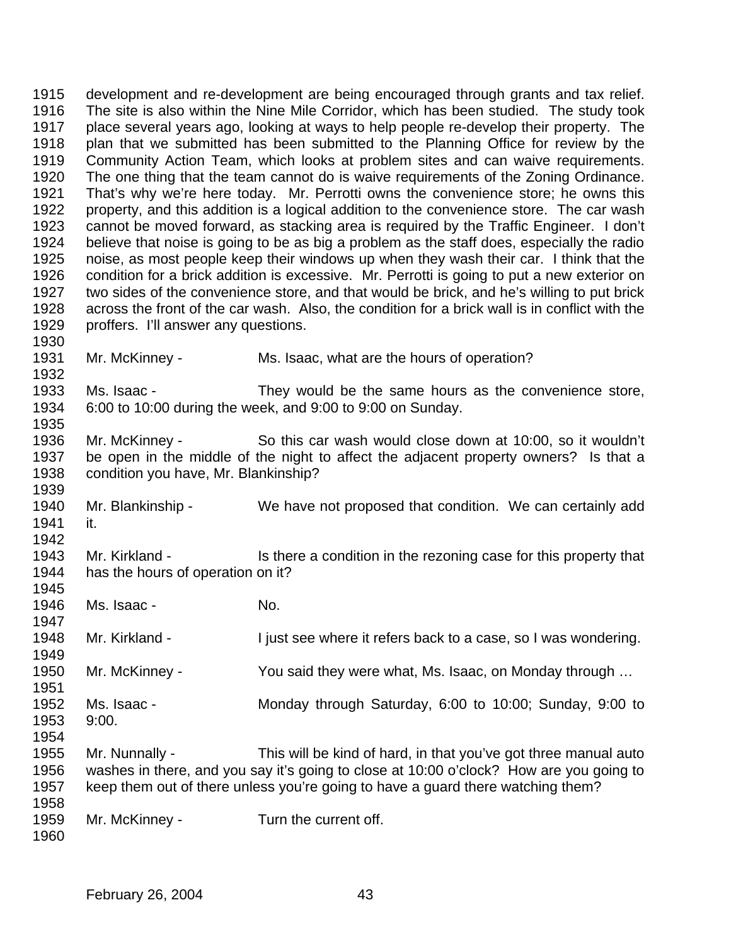development and re-development are being encouraged through grants and tax relief. The site is also within the Nine Mile Corridor, which has been studied. The study took place several years ago, looking at ways to help people re-develop their property. The plan that we submitted has been submitted to the Planning Office for review by the Community Action Team, which looks at problem sites and can waive requirements. The one thing that the team cannot do is waive requirements of the Zoning Ordinance. That's why we're here today. Mr. Perrotti owns the convenience store; he owns this property, and this addition is a logical addition to the convenience store. The car wash cannot be moved forward, as stacking area is required by the Traffic Engineer. I don't believe that noise is going to be as big a problem as the staff does, especially the radio noise, as most people keep their windows up when they wash their car. I think that the condition for a brick addition is excessive. Mr. Perrotti is going to put a new exterior on two sides of the convenience store, and that would be brick, and he's willing to put brick across the front of the car wash. Also, the condition for a brick wall is in conflict with the proffers. I'll answer any questions. Mr. McKinney - Ms. Isaac, what are the hours of operation? Ms. Isaac - They would be the same hours as the convenience store, 6:00 to 10:00 during the week, and 9:00 to 9:00 on Sunday. Mr. McKinney - So this car wash would close down at 10:00, so it wouldn't be open in the middle of the night to affect the adjacent property owners? Is that a condition you have, Mr. Blankinship? Mr. Blankinship - We have not proposed that condition. We can certainly add it. 1943 Mr. Kirkland - Is there a condition in the rezoning case for this property that has the hours of operation on it? 

 Ms. Isaac - No. 

Mr. Kirkland - I just see where it refers back to a case, so I was wondering.

 Mr. McKinney - You said they were what, Ms. Isaac, on Monday through … 

 Ms. Isaac - Monday through Saturday, 6:00 to 10:00; Sunday, 9:00 to 9:00. 

 Mr. Nunnally - This will be kind of hard, in that you've got three manual auto washes in there, and you say it's going to close at 10:00 o'clock? How are you going to keep them out of there unless you're going to have a guard there watching them? 

Mr. McKinney - Turn the current off.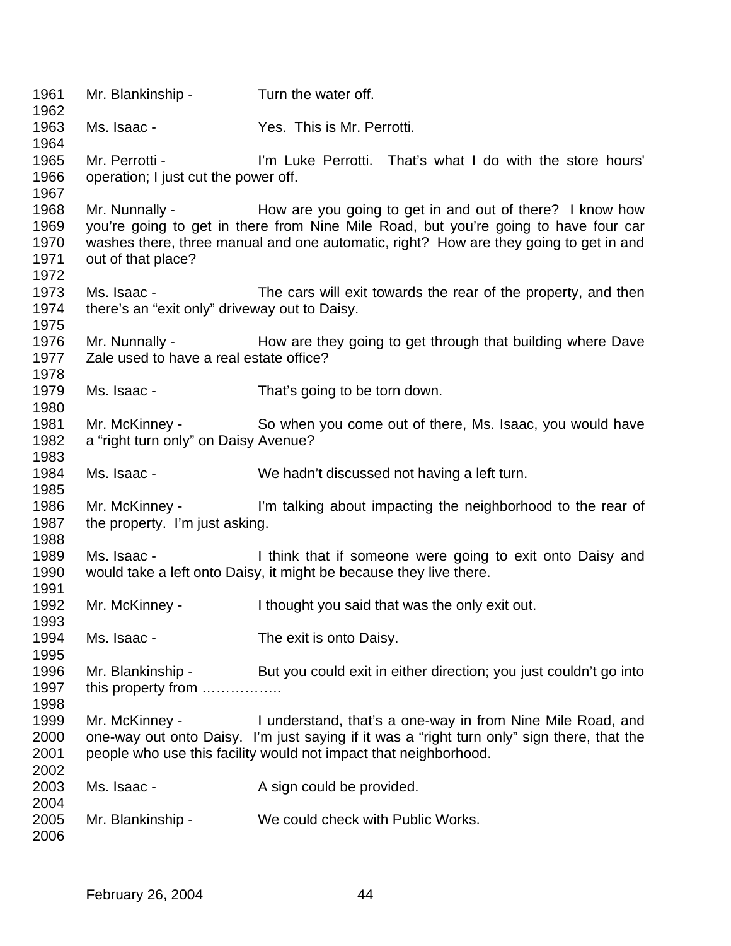| 1961<br>1962                         | Mr. Blankinship -                                            | Turn the water off.                                                                                                                                                                                                                                     |
|--------------------------------------|--------------------------------------------------------------|---------------------------------------------------------------------------------------------------------------------------------------------------------------------------------------------------------------------------------------------------------|
| 1963<br>1964                         | Ms. Isaac -                                                  | Yes. This is Mr. Perrotti.                                                                                                                                                                                                                              |
| 1965<br>1966<br>1967                 | Mr. Perrotti -<br>operation; I just cut the power off.       | I'm Luke Perrotti. That's what I do with the store hours'                                                                                                                                                                                               |
| 1968<br>1969<br>1970<br>1971<br>1972 | out of that place?                                           | Mr. Nunnally - How are you going to get in and out of there? I know how<br>you're going to get in there from Nine Mile Road, but you're going to have four car<br>washes there, three manual and one automatic, right? How are they going to get in and |
| 1973<br>1974<br>1975                 | Ms. Isaac -<br>there's an "exit only" driveway out to Daisy. | The cars will exit towards the rear of the property, and then                                                                                                                                                                                           |
| 1976<br>1977<br>1978                 | Zale used to have a real estate office?                      | Mr. Nunnally - How are they going to get through that building where Dave                                                                                                                                                                               |
| 1979<br>1980                         | Ms. Isaac -                                                  | That's going to be torn down.                                                                                                                                                                                                                           |
| 1981<br>1982<br>1983                 | Mr. McKinney -<br>a "right turn only" on Daisy Avenue?       | So when you come out of there, Ms. Isaac, you would have                                                                                                                                                                                                |
| 1984<br>1985                         | Ms. Isaac -                                                  | We hadn't discussed not having a left turn.                                                                                                                                                                                                             |
| 1986<br>1987<br>1988                 | Mr. McKinney -<br>the property. I'm just asking.             | I'm talking about impacting the neighborhood to the rear of                                                                                                                                                                                             |
| 1989<br>1990<br>1991                 | Ms. Isaac -                                                  | I think that if someone were going to exit onto Daisy and<br>would take a left onto Daisy, it might be because they live there.                                                                                                                         |
| 1992<br>1993                         | Mr. McKinney -                                               | I thought you said that was the only exit out.                                                                                                                                                                                                          |
| 1994<br>1995                         | Ms. Isaac -                                                  | The exit is onto Daisy.                                                                                                                                                                                                                                 |
| 1996<br>1997<br>1998                 | Mr. Blankinship -<br>this property from                      | But you could exit in either direction; you just couldn't go into                                                                                                                                                                                       |
| 1999<br>2000<br>2001<br>2002         | Mr. McKinney -                                               | I understand, that's a one-way in from Nine Mile Road, and<br>one-way out onto Daisy. I'm just saying if it was a "right turn only" sign there, that the<br>people who use this facility would not impact that neighborhood.                            |
| 2003<br>2004                         | Ms. Isaac -                                                  | A sign could be provided.                                                                                                                                                                                                                               |
| 2005<br>2006                         | Mr. Blankinship -                                            | We could check with Public Works.                                                                                                                                                                                                                       |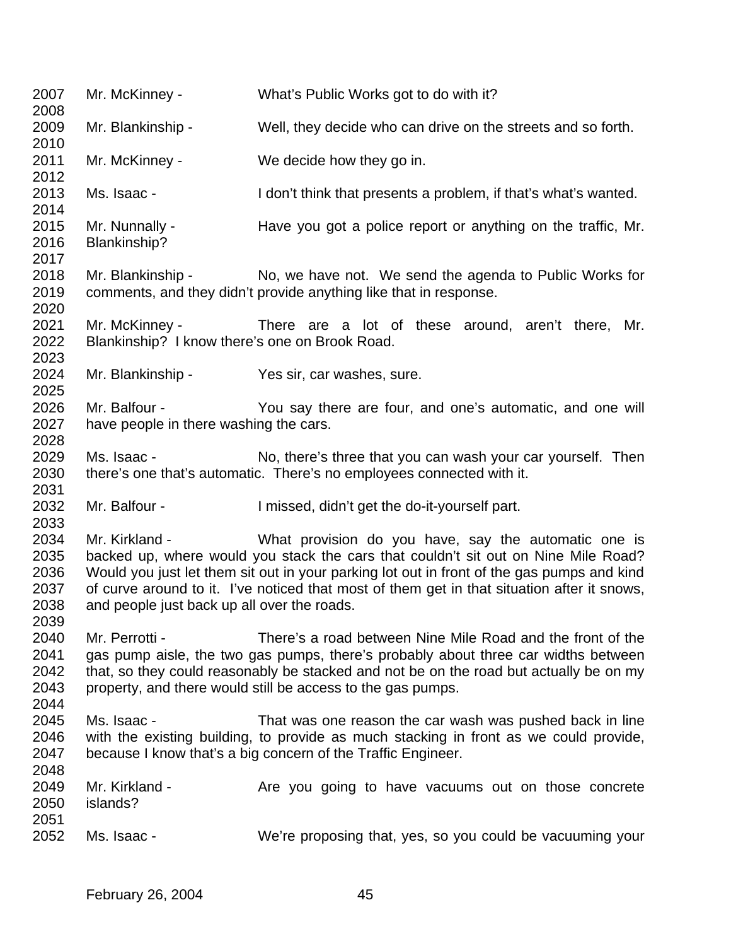| 2007<br>2008                                 | Mr. McKinney -                                                   | What's Public Works got to do with it?                                                                                                                                                                                                                                                                                                  |
|----------------------------------------------|------------------------------------------------------------------|-----------------------------------------------------------------------------------------------------------------------------------------------------------------------------------------------------------------------------------------------------------------------------------------------------------------------------------------|
| 2009<br>2010                                 | Mr. Blankinship -                                                | Well, they decide who can drive on the streets and so forth.                                                                                                                                                                                                                                                                            |
| 2011<br>2012                                 | Mr. McKinney -                                                   | We decide how they go in.                                                                                                                                                                                                                                                                                                               |
| 2013<br>2014                                 | Ms. Isaac -                                                      | I don't think that presents a problem, if that's what's wanted.                                                                                                                                                                                                                                                                         |
| 2015<br>2016<br>2017                         | Mr. Nunnally -<br>Blankinship?                                   | Have you got a police report or anything on the traffic, Mr.                                                                                                                                                                                                                                                                            |
| 2018<br>2019<br>2020                         |                                                                  | Mr. Blankinship - No, we have not. We send the agenda to Public Works for<br>comments, and they didn't provide anything like that in response.                                                                                                                                                                                          |
| 2021<br>2022<br>2023                         | Mr. McKinney -<br>Blankinship? I know there's one on Brook Road. | There are a lot of these around, aren't there, Mr.                                                                                                                                                                                                                                                                                      |
| 2024<br>2025                                 | Mr. Blankinship -                                                | Yes sir, car washes, sure.                                                                                                                                                                                                                                                                                                              |
| 2026<br>2027<br>2028                         | Mr. Balfour -<br>have people in there washing the cars.          | You say there are four, and one's automatic, and one will                                                                                                                                                                                                                                                                               |
| 2029<br>2030<br>2031                         | Ms. Isaac -                                                      | No, there's three that you can wash your car yourself. Then<br>there's one that's automatic. There's no employees connected with it.                                                                                                                                                                                                    |
| 2032<br>2033                                 | Mr. Balfour -                                                    | I missed, didn't get the do-it-yourself part.                                                                                                                                                                                                                                                                                           |
| 2034<br>2035<br>2036<br>2037<br>2038<br>2039 | Mr. Kirkland -<br>and people just back up all over the roads.    | What provision do you have, say the automatic one is<br>backed up, where would you stack the cars that couldn't sit out on Nine Mile Road?<br>Would you just let them sit out in your parking lot out in front of the gas pumps and kind<br>of curve around to it. I've noticed that most of them get in that situation after it snows, |
| 2040<br>2041<br>2042<br>2043<br>2044         | Mr. Perrotti -                                                   | There's a road between Nine Mile Road and the front of the<br>gas pump aisle, the two gas pumps, there's probably about three car widths between<br>that, so they could reasonably be stacked and not be on the road but actually be on my<br>property, and there would still be access to the gas pumps.                               |
| 2045<br>2046<br>2047<br>2048                 | Ms. Isaac -                                                      | That was one reason the car wash was pushed back in line<br>with the existing building, to provide as much stacking in front as we could provide,<br>because I know that's a big concern of the Traffic Engineer.                                                                                                                       |
| 2049<br>2050<br>2051                         | Mr. Kirkland -<br>islands?                                       | Are you going to have vacuums out on those concrete                                                                                                                                                                                                                                                                                     |
| 2052                                         | Ms. Isaac -                                                      | We're proposing that, yes, so you could be vacuuming your                                                                                                                                                                                                                                                                               |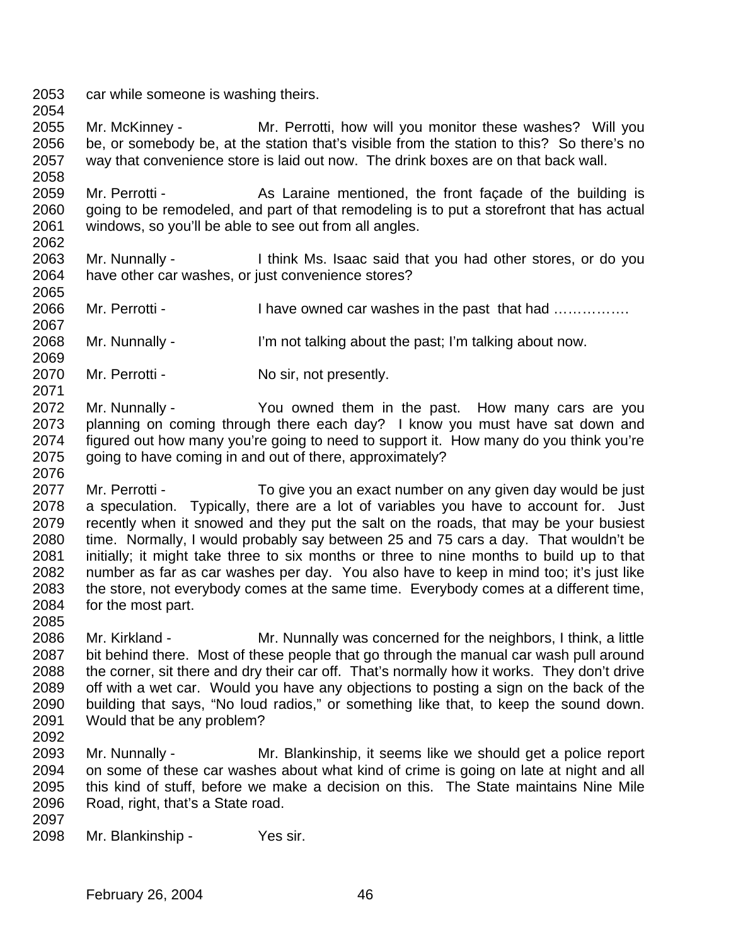car while someone is washing theirs. 

 Mr. McKinney - Mr. Perrotti, how will you monitor these washes? Will you be, or somebody be, at the station that's visible from the station to this? So there's no way that convenience store is laid out now. The drink boxes are on that back wall. 

 Mr. Perrotti - As Laraine mentioned, the front façade of the building is going to be remodeled, and part of that remodeling is to put a storefront that has actual windows, so you'll be able to see out from all angles. 

- Mr. Nunnally I think Ms. Isaac said that you had other stores, or do you have other car washes, or just convenience stores?
- 2066 Mr. Perrotti I have owned car washes in the past that had ...............
- Mr. Nunnally I'm not talking about the past; I'm talking about now.
- 2070 Mr. Perrotti No sir, not presently.
- Mr. Nunnally You owned them in the past. How many cars are you planning on coming through there each day? I know you must have sat down and figured out how many you're going to need to support it. How many do you think you're going to have coming in and out of there, approximately?
- Mr. Perrotti To give you an exact number on any given day would be just a speculation. Typically, there are a lot of variables you have to account for. Just recently when it snowed and they put the salt on the roads, that may be your busiest time. Normally, I would probably say between 25 and 75 cars a day. That wouldn't be initially; it might take three to six months or three to nine months to build up to that number as far as car washes per day. You also have to keep in mind too; it's just like the store, not everybody comes at the same time. Everybody comes at a different time, for the most part.
- 

- Mr. Kirkland Mr. Nunnally was concerned for the neighbors, I think, a little bit behind there. Most of these people that go through the manual car wash pull around the corner, sit there and dry their car off. That's normally how it works. They don't drive off with a wet car. Would you have any objections to posting a sign on the back of the building that says, "No loud radios," or something like that, to keep the sound down. Would that be any problem?
- 
- Mr. Nunnally Mr. Blankinship, it seems like we should get a police report on some of these car washes about what kind of crime is going on late at night and all this kind of stuff, before we make a decision on this. The State maintains Nine Mile Road, right, that's a State road.
- 
- Mr. Blankinship Yes sir.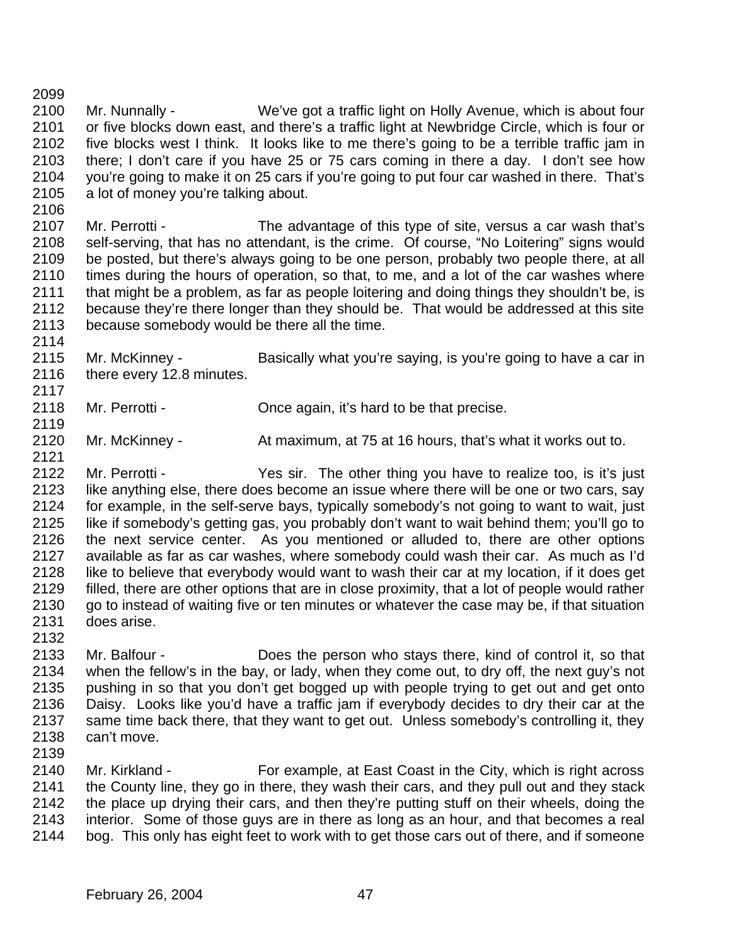Mr. Nunnally - We've got a traffic light on Holly Avenue, which is about four or five blocks down east, and there's a traffic light at Newbridge Circle, which is four or five blocks west I think. It looks like to me there's going to be a terrible traffic jam in there; I don't care if you have 25 or 75 cars coming in there a day. I don't see how you're going to make it on 25 cars if you're going to put four car washed in there. That's a lot of money you're talking about.

 Mr. Perrotti - The advantage of this type of site, versus a car wash that's self-serving, that has no attendant, is the crime. Of course, "No Loitering" signs would be posted, but there's always going to be one person, probably two people there, at all times during the hours of operation, so that, to me, and a lot of the car washes where that might be a problem, as far as people loitering and doing things they shouldn't be, is 2112 because they're there longer than they should be. That would be addressed at this site<br>2113 because somebody would be there all the time. because somebody would be there all the time.

 Mr. McKinney - Basically what you're saying, is you're going to have a car in 2116 there every 12.8 minutes.

Mr. Perrotti - Once again, it's hard to be that precise.

Mr. McKinney - At maximum, at 75 at 16 hours, that's what it works out to.

- Mr. Perrotti Yes sir. The other thing you have to realize too, is it's just like anything else, there does become an issue where there will be one or two cars, say for example, in the self-serve bays, typically somebody's not going to want to wait, just like if somebody's getting gas, you probably don't want to wait behind them; you'll go to the next service center. As you mentioned or alluded to, there are other options available as far as car washes, where somebody could wash their car. As much as I'd like to believe that everybody would want to wash their car at my location, if it does get filled, there are other options that are in close proximity, that a lot of people would rather 2130 go to instead of waiting five or ten minutes or whatever the case may be, if that situation does arise.
- Mr. Balfour - Does the person who stays there, kind of control it, so that when the fellow's in the bay, or lady, when they come out, to dry off, the next guy's not pushing in so that you don't get bogged up with people trying to get out and get onto Daisy. Looks like you'd have a traffic jam if everybody decides to dry their car at the same time back there, that they want to get out. Unless somebody's controlling it, they can't move.
- 

 Mr. Kirkland - For example, at East Coast in the City, which is right across the County line, they go in there, they wash their cars, and they pull out and they stack the place up drying their cars, and then they're putting stuff on their wheels, doing the interior. Some of those guys are in there as long as an hour, and that becomes a real bog. This only has eight feet to work with to get those cars out of there, and if someone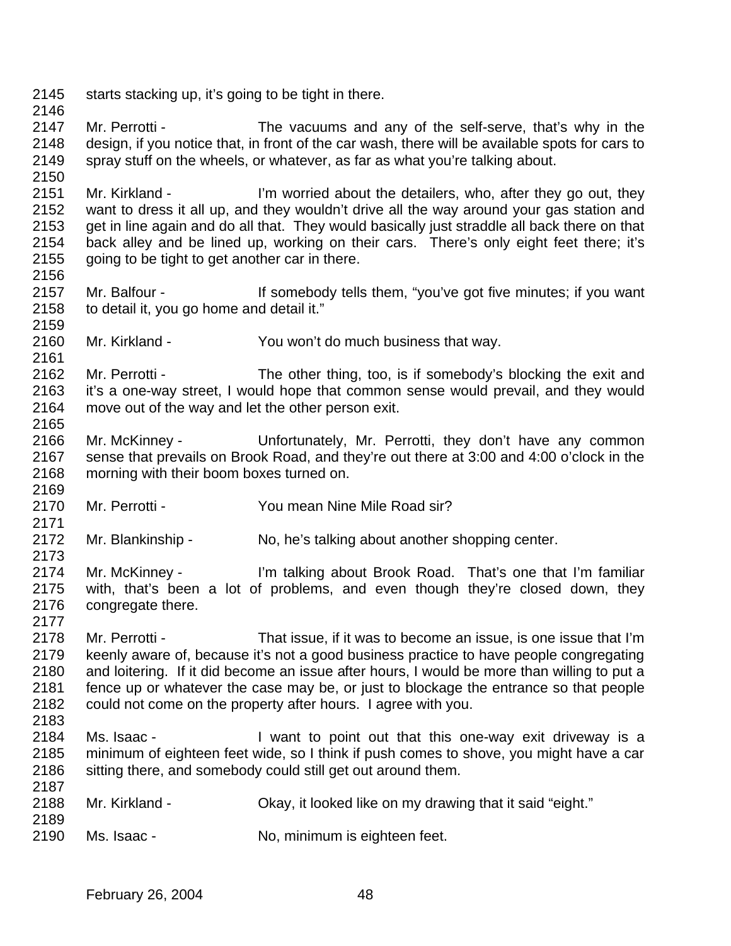- 2145 starts stacking up, it's going to be tight in there.
- Mr. Perrotti The vacuums and any of the self-serve, that's why in the design, if you notice that, in front of the car wash, there will be available spots for cars to spray stuff on the wheels, or whatever, as far as what you're talking about.
- 2151 Mr. Kirkland I'm worried about the detailers, who, after they go out, they want to dress it all up, and they wouldn't drive all the way around your gas station and get in line again and do all that. They would basically just straddle all back there on that back alley and be lined up, working on their cars. There's only eight feet there; it's 2155 going to be tight to get another car in there.
- Mr. Balfour If somebody tells them, "you've got five minutes; if you want to detail it, you go home and detail it."
- Mr. Kirkland You won't do much business that way.
- Mr. Perrotti The other thing, too, is if somebody's blocking the exit and it's a one-way street, I would hope that common sense would prevail, and they would move out of the way and let the other person exit.
- Mr. McKinney Unfortunately, Mr. Perrotti, they don't have any common sense that prevails on Brook Road, and they're out there at 3:00 and 4:00 o'clock in the morning with their boom boxes turned on.
- Mr. Perrotti You mean Nine Mile Road sir?
- Mr. Blankinship No, he's talking about another shopping center.
- Mr. McKinney I'm talking about Brook Road. That's one that I'm familiar with, that's been a lot of problems, and even though they're closed down, they 2176 congregate there.
- - Mr. Perrotti That issue, if it was to become an issue, is one issue that I'm keenly aware of, because it's not a good business practice to have people congregating and loitering. If it did become an issue after hours, I would be more than willing to put a fence up or whatever the case may be, or just to blockage the entrance so that people could not come on the property after hours. I agree with you.
	-

- Ms. Isaac I want to point out that this one-way exit driveway is a minimum of eighteen feet wide, so I think if push comes to shove, you might have a car 2186 sitting there, and somebody could still get out around them.
- Mr. Kirkland Okay, it looked like on my drawing that it said "eight."
- Ms. Isaac No, minimum is eighteen feet.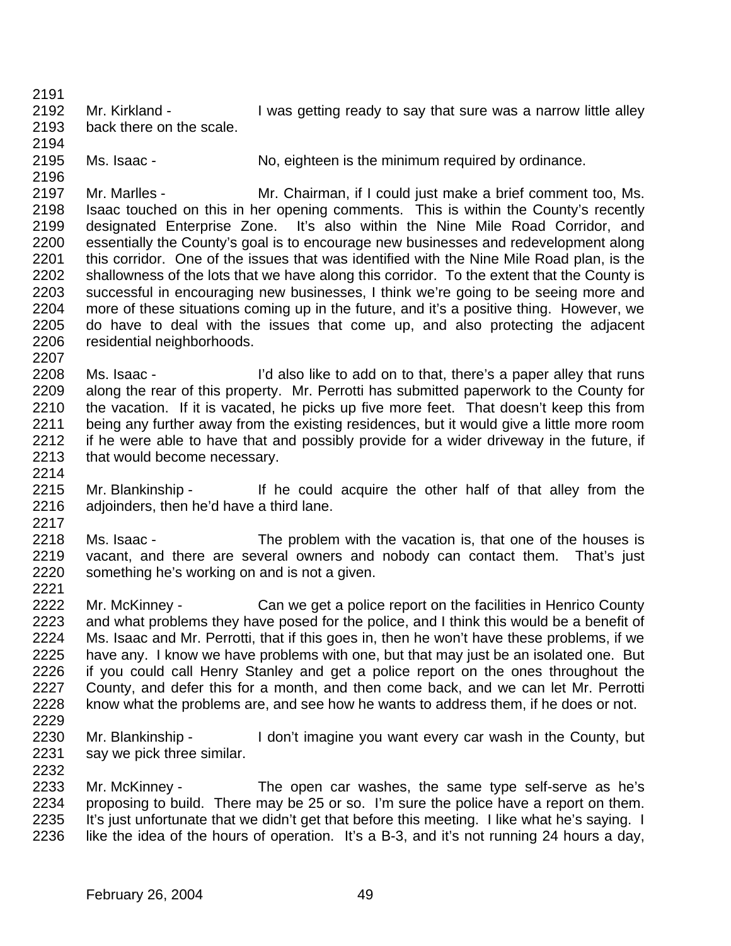2192 Mr. Kirkland - I was getting ready to say that sure was a narrow little alley back there on the scale.

Ms. Isaac - No, eighteen is the minimum required by ordinance.

 Mr. Marlles - Mr. Chairman, if I could just make a brief comment too, Ms. Isaac touched on this in her opening comments. This is within the County's recently designated Enterprise Zone. It's also within the Nine Mile Road Corridor, and essentially the County's goal is to encourage new businesses and redevelopment along 2201 this corridor. One of the issues that was identified with the Nine Mile Road plan, is the shallowness of the lots that we have along this corridor. To the extent that the County is successful in encouraging new businesses, I think we're going to be seeing more and more of these situations coming up in the future, and it's a positive thing. However, we do have to deal with the issues that come up, and also protecting the adjacent residential neighborhoods.

- Ms. Isaac - I'd also like to add on to that, there's a paper alley that runs along the rear of this property. Mr. Perrotti has submitted paperwork to the County for the vacation. If it is vacated, he picks up five more feet. That doesn't keep this from being any further away from the existing residences, but it would give a little more room if he were able to have that and possibly provide for a wider driveway in the future, if that would become necessary.
- Mr. Blankinship If he could acquire the other half of that alley from the adjoinders, then he'd have a third lane.
- Ms. Isaac The problem with the vacation is, that one of the houses is vacant, and there are several owners and nobody can contact them. That's just something he's working on and is not a given.
- Mr. McKinney Can we get a police report on the facilities in Henrico County and what problems they have posed for the police, and I think this would be a benefit of Ms. Isaac and Mr. Perrotti, that if this goes in, then he won't have these problems, if we have any. I know we have problems with one, but that may just be an isolated one. But if you could call Henry Stanley and get a police report on the ones throughout the County, and defer this for a month, and then come back, and we can let Mr. Perrotti know what the problems are, and see how he wants to address them, if he does or not.
- 

 Mr. Blankinship - I don't imagine you want every car wash in the County, but say we pick three similar. 

 Mr. McKinney - The open car washes, the same type self-serve as he's proposing to build. There may be 25 or so. I'm sure the police have a report on them. 2235 It's just unfortunate that we didn't get that before this meeting. I like what he's saying. I like the idea of the hours of operation. It's a B-3, and it's not running 24 hours a day,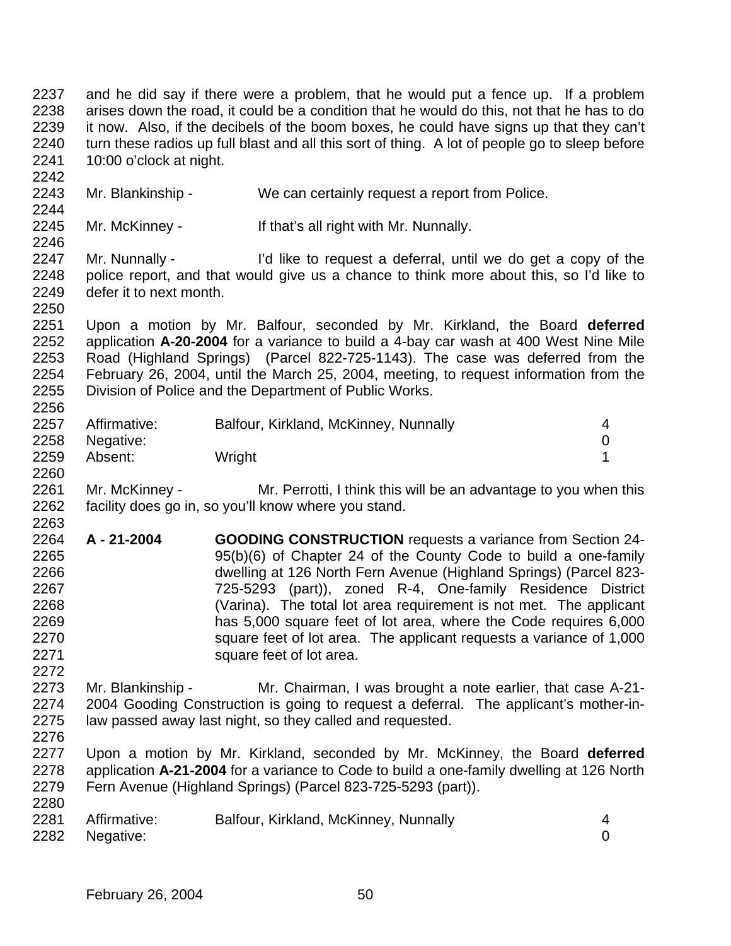and he did say if there were a problem, that he would put a fence up. If a problem arises down the road, it could be a condition that he would do this, not that he has to do it now. Also, if the decibels of the boom boxes, he could have signs up that they can't 2240 turn these radios up full blast and all this sort of thing. A lot of people go to sleep before 10:00 o'clock at night.

Mr. Blankinship - We can certainly request a report from Police.

Mr. McKinney - If that's all right with Mr. Nunnally.

2246<br>2247 Mr. Nunnally - I'd like to request a deferral, until we do get a copy of the police report, and that would give us a chance to think more about this, so I'd like to defer it to next month.

 Upon a motion by Mr. Balfour, seconded by Mr. Kirkland, the Board **deferred** application **A-20-2004** for a variance to build a 4-bay car wash at 400 West Nine Mile Road (Highland Springs) (Parcel 822-725-1143). The case was deferred from the 2254 February 26, 2004, until the March 25, 2004, meeting, to request information from the 2255 Division of Police and the Department of Public Works. Division of Police and the Department of Public Works. 

| 2257 | Affirmative: | Balfour, Kirkland, McKinney, Nunnally |  |
|------|--------------|---------------------------------------|--|
| 2258 | Negative:    |                                       |  |
| 2259 | Absent:      | Wright                                |  |
| 2260 |              |                                       |  |

 Mr. McKinney - Mr. Perrotti, I think this will be an advantage to you when this facility does go in, so you'll know where you stand. 

 **A - 21-2004 GOODING CONSTRUCTION** requests a variance from Section 24- 95(b)(6) of Chapter 24 of the County Code to build a one-family dwelling at 126 North Fern Avenue (Highland Springs) (Parcel 823- 725-5293 (part)), zoned R-4, One-family Residence District (Varina). The total lot area requirement is not met. The applicant has 5,000 square feet of lot area, where the Code requires 6,000 square feet of lot area. The applicant requests a variance of 1,000 2271 square feet of lot area.

 Mr. Blankinship - Mr. Chairman, I was brought a note earlier, that case A-21- 2004 Gooding Construction is going to request a deferral. The applicant's mother-in-law passed away last night, so they called and requested.

 Upon a motion by Mr. Kirkland, seconded by Mr. McKinney, the Board **deferred** application **A-21-2004** for a variance to Code to build a one-family dwelling at 126 North Fern Avenue (Highland Springs) (Parcel 823-725-5293 (part)). 

| 2281 | Affirmative:   | Balfour, Kirkland, McKinney, Nunnally |  |
|------|----------------|---------------------------------------|--|
|      | 2282 Negative: |                                       |  |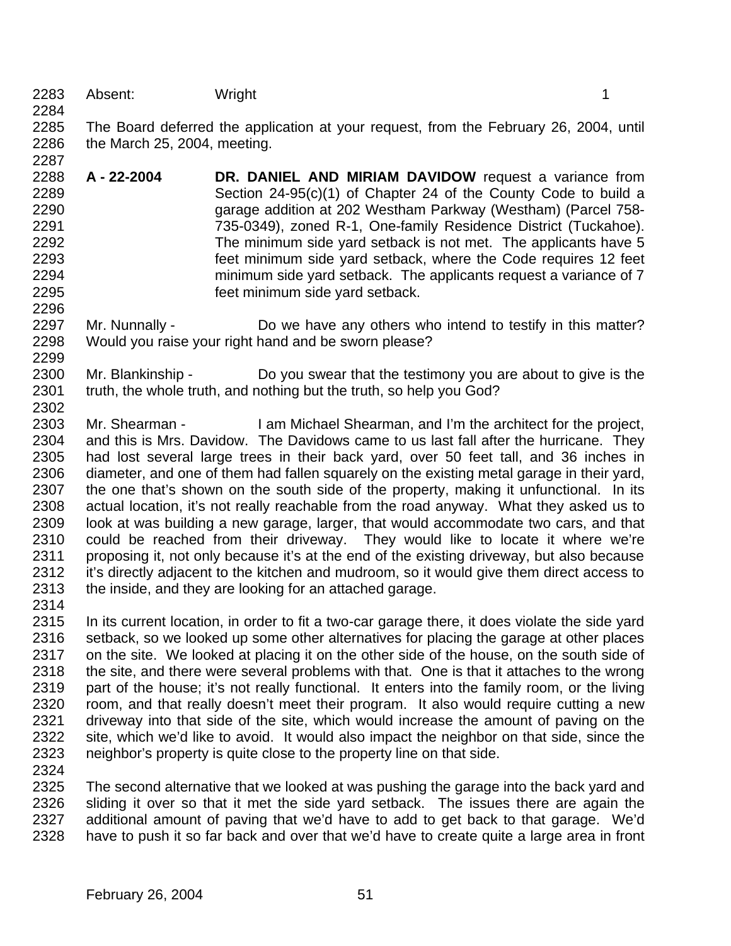Absent: Wright 1

 The Board deferred the application at your request, from the February 26, 2004, until the March 25, 2004, meeting.

- **A 22-2004 DR. DANIEL AND MIRIAM DAVIDOW** request a variance from Section 24-95(c)(1) of Chapter 24 of the County Code to build a garage addition at 202 Westham Parkway (Westham) (Parcel 758- 735-0349), zoned R-1, One-family Residence District (Tuckahoe). 2292 The minimum side yard setback is not met. The applicants have 5 feet minimum side yard setback, where the Code requires 12 feet minimum side yard setback. The applicants request a variance of 7 feet minimum side yard setback.
- 2297 Mr. Nunnally - Do we have any others who intend to testify in this matter? Would you raise your right hand and be sworn please?
- Mr. Blankinship Do you swear that the testimony you are about to give is the truth, the whole truth, and nothing but the truth, so help you God?
- Mr. Shearman I am Michael Shearman, and I'm the architect for the project, and this is Mrs. Davidow. The Davidows came to us last fall after the hurricane. They had lost several large trees in their back yard, over 50 feet tall, and 36 inches in diameter, and one of them had fallen squarely on the existing metal garage in their yard, the one that's shown on the south side of the property, making it unfunctional. In its actual location, it's not really reachable from the road anyway. What they asked us to look at was building a new garage, larger, that would accommodate two cars, and that could be reached from their driveway. They would like to locate it where we're proposing it, not only because it's at the end of the existing driveway, but also because 2312 it's directly adjacent to the kitchen and mudroom, so it would give them direct access to the inside, and they are looking for an attached garage.
- 
- In its current location, in order to fit a two-car garage there, it does violate the side yard setback, so we looked up some other alternatives for placing the garage at other places 2317 on the site. We looked at placing it on the other side of the house, on the south side of 2318 the site, and there were several problems with that. One is that it attaches to the wrong part of the house; it's not really functional. It enters into the family room, or the living room, and that really doesn't meet their program. It also would require cutting a new driveway into that side of the site, which would increase the amount of paving on the site, which we'd like to avoid. It would also impact the neighbor on that side, since the neighbor's property is quite close to the property line on that side.
- 

 The second alternative that we looked at was pushing the garage into the back yard and sliding it over so that it met the side yard setback. The issues there are again the additional amount of paving that we'd have to add to get back to that garage. We'd have to push it so far back and over that we'd have to create quite a large area in front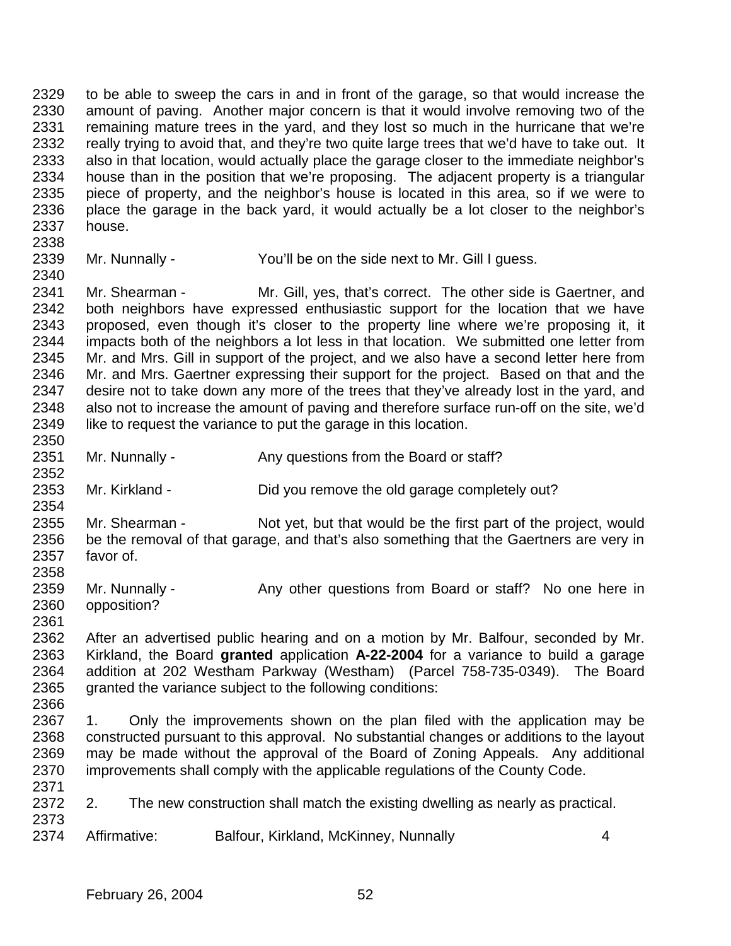to be able to sweep the cars in and in front of the garage, so that would increase the amount of paving. Another major concern is that it would involve removing two of the remaining mature trees in the yard, and they lost so much in the hurricane that we're really trying to avoid that, and they're two quite large trees that we'd have to take out. It also in that location, would actually place the garage closer to the immediate neighbor's house than in the position that we're proposing. The adjacent property is a triangular piece of property, and the neighbor's house is located in this area, so if we were to place the garage in the back yard, it would actually be a lot closer to the neighbor's house.

Mr. Nunnally - You'll be on the side next to Mr. Gill I guess.

 Mr. Shearman - Mr. Gill, yes, that's correct. The other side is Gaertner, and both neighbors have expressed enthusiastic support for the location that we have proposed, even though it's closer to the property line where we're proposing it, it impacts both of the neighbors a lot less in that location. We submitted one letter from Mr. and Mrs. Gill in support of the project, and we also have a second letter here from Mr. and Mrs. Gaertner expressing their support for the project. Based on that and the 2347 desire not to take down any more of the trees that they've already lost in the yard, and also not to increase the amount of paving and therefore surface run-off on the site, we'd 2349 like to request the variance to put the garage in this location. 

- 2351 Mr. Nunnally Any questions from the Board or staff?
- Mr. Kirkland Did you remove the old garage completely out?

 Mr. Shearman - Not yet, but that would be the first part of the project, would be the removal of that garage, and that's also something that the Gaertners are very in favor of. 

- 2359 Mr. Nunnally Any other questions from Board or staff? No one here in opposition?
- 

 After an advertised public hearing and on a motion by Mr. Balfour, seconded by Mr. Kirkland, the Board **granted** application **A-22-2004** for a variance to build a garage addition at 202 Westham Parkway (Westham) (Parcel 758-735-0349). The Board granted the variance subject to the following conditions: 

- 1. Only the improvements shown on the plan filed with the application may be constructed pursuant to this approval. No substantial changes or additions to the layout may be made without the approval of the Board of Zoning Appeals. Any additional improvements shall comply with the applicable regulations of the County Code.
- 2. The new construction shall match the existing dwelling as nearly as practical.
- Affirmative: Balfour, Kirkland, McKinney, Nunnally 4